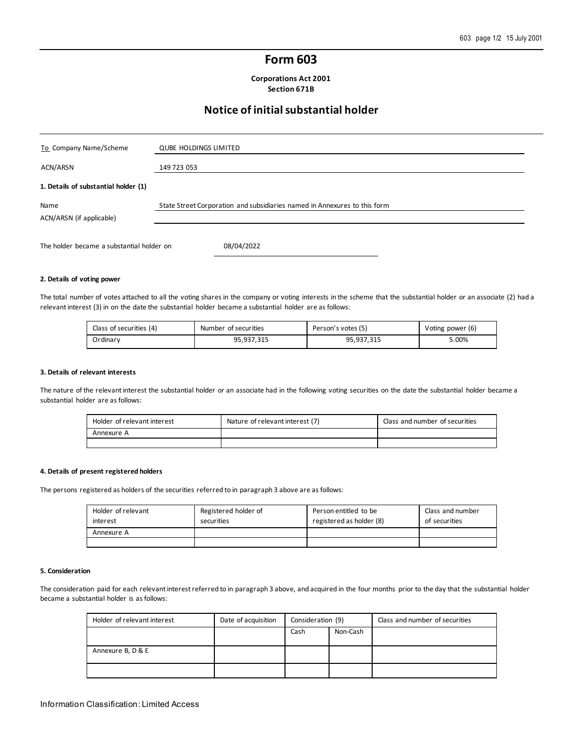## **Form 603**

**Corporations Act 2001 Section 671B**

# **Notice of initial substantial holder**

| To Company Name/Scheme                    | <b>QUBE HOLDINGS LIMITED</b>                                              |
|-------------------------------------------|---------------------------------------------------------------------------|
| ACN/ARSN                                  | 149 723 053                                                               |
| 1. Details of substantial holder (1)      |                                                                           |
| Name<br>ACN/ARSN (if applicable)          | State Street Corporation and subsidiaries named in Annexures to this form |
| The holder became a substantial holder on | 08/04/2022                                                                |

#### **2. Details of voting power**

The total number of votes attached to all the voting shares in the company or voting interests in the scheme that the substantial holder or an associate (2) had a relevant interest (3) in on the date the substantial holder became a substantial holder are as follows:

| Class of securities (4) | Number of securities | Person's votes (5) | Voting power (6) |
|-------------------------|----------------------|--------------------|------------------|
| Ordinarv                | 95.937.315           | 95,937,315         | 5.00%            |

#### **3. Details of relevant interests**

The nature of the relevant interest the substantial holder or an associate had in the following voting securities on the date the substantial holder became a substantial holder are as follows:

| Holder of relevant interest | Nature of relevant interest (7) | Class and number of securities |
|-----------------------------|---------------------------------|--------------------------------|
| Annexure A                  |                                 |                                |
|                             |                                 |                                |

#### **4. Details of present registered holders**

The persons registered as holders of the securities referred to in paragraph 3 above are as follows:

| Holder of relevant<br>interest | Registered holder of<br>securities | Person entitled to be<br>registered as holder (8) | Class and number<br>of securities |
|--------------------------------|------------------------------------|---------------------------------------------------|-----------------------------------|
| Annexure A                     |                                    |                                                   |                                   |
|                                |                                    |                                                   |                                   |

#### **5. Consideration**

The consideration paid for each relevant interest referred to in paragraph 3 above, and acquired in the four months prior to the day that the substantial holder became a substantial holder is as follows:

| Holder of relevant interest | Date of acquisition | Consideration (9) |          |  |  | Class and number of securities |
|-----------------------------|---------------------|-------------------|----------|--|--|--------------------------------|
|                             |                     | Cash              | Non-Cash |  |  |                                |
| Annexure B, D & E           |                     |                   |          |  |  |                                |
|                             |                     |                   |          |  |  |                                |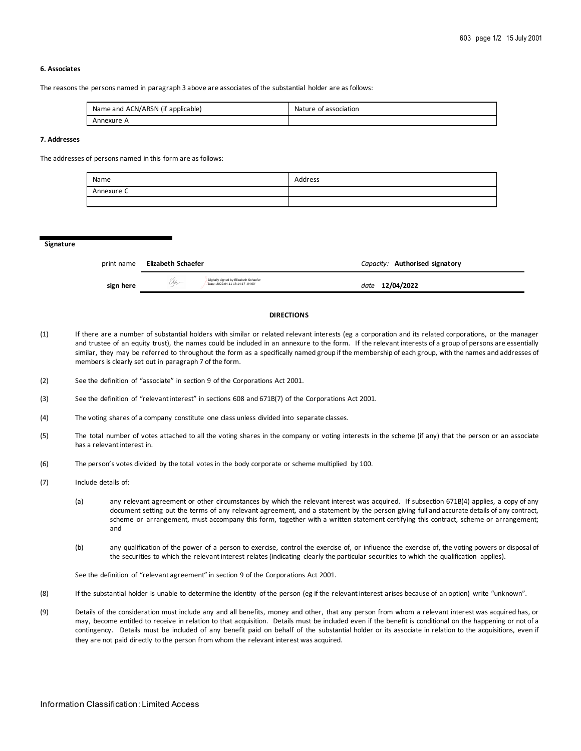### **6. Associates**

The reasons the persons named in paragraph 3 above are associates of the substantial holder are as follows:

| Name and ACN/ARSN (if applicable) | Nature of association |
|-----------------------------------|-----------------------|
| Annexure A                        |                       |

### **7. Addresses**

The addresses of persons named in this form are as follows:

| Name       | Address |
|------------|---------|
| Annexure C |         |
|            |         |

**Signature**

| print name | Elizabeth Schaefer                                                          | Capacity: Authorised signatory |
|------------|-----------------------------------------------------------------------------|--------------------------------|
| sign here  | Digitally signed by Elizabeth Schaefer<br>Date: 2022.04.11 18:14:17 -04'00" | date 12/04/2022                |

### **DIRECTIONS**

- (1) If there are a number of substantial holders with similar or related relevant interests (eg a corporation and its related corporations, or the manager and trustee of an equity trust), the names could be included in an annexure to the form. If the relevant interests of a group of persons are essentially similar, they may be referred to throughout the form as a specifically named group if the membership of each group, with the names and addresses of members is clearly set out in paragraph 7 of the form.
- (2) See the definition of "associate" in section 9 of the Corporations Act 2001.
- (3) See the definition of "relevant interest" in sections 608 and 671B(7) of the Corporations Act 2001.
- (4) The voting shares of a company constitute one class unless divided into separate classes.
- (5) The total number of votes attached to all the voting shares in the company or voting interests in the scheme (if any) that the person or an associate has a relevant interest in.
- (6) The person's votes divided by the total votes in the body corporate or scheme multiplied by 100.
- (7) Include details of:
	- (a) any relevant agreement or other circumstances by which the relevant interest was acquired. If subsection 671B(4) applies, a copy of any document setting out the terms of any relevant agreement, and a statement by the person giving full and accurate details of any contract, scheme or arrangement, must accompany this form, together with a written statement certifying this contract, scheme or arrangement; and
	- (b) any qualification of the power of a person to exercise, control the exercise of, or influence the exercise of, the voting powers or disposal of the securities to which the relevant interest relates (indicating clearly the particular securities to which the qualification applies).

See the definition of "relevant agreement" in section 9 of the Corporations Act 2001.

- (8) If the substantial holder is unable to determine the identity of the person (eg if the relevant interest arises because of an option) write "unknown".
- (9) Details of the consideration must include any and all benefits, money and other, that any person from whom a relevant interest was acquired has, or may, become entitled to receive in relation to that acquisition. Details must be included even if the benefit is conditional on the happening or not of a contingency. Details must be included of any benefit paid on behalf of the substantial holder or its associate in relation to the acquisitions, even if they are not paid directly to the person from whom the relevant interest was acquired.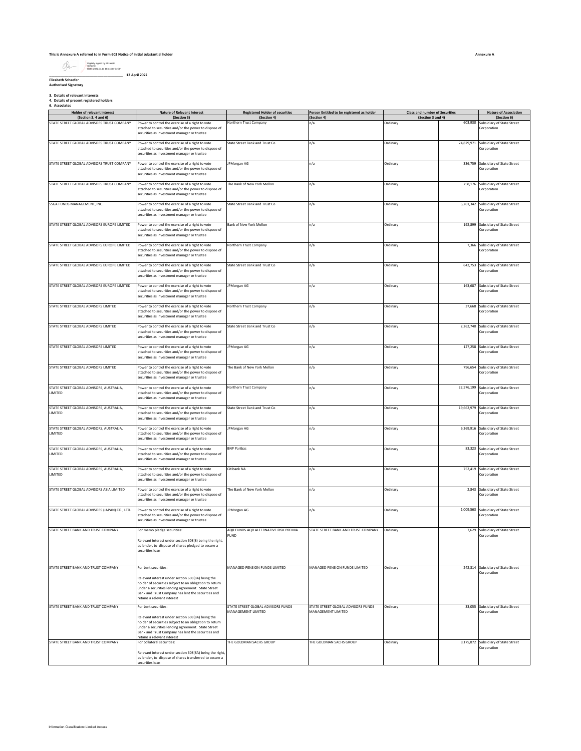#### **This is Annexure A referred to in Form 603 Notice of initial substantial holder**

Digitally signed by Elizabeth Schaefer Date: 2022.04.11 18:14:38 -04'00'

#### **\_\_\_\_\_\_\_\_\_\_\_\_\_\_\_\_\_\_\_\_\_\_\_\_\_\_\_\_\_\_\_\_\_\_\_\_\_\_ 12 April 2022 Elizabeth Schaefer Authorised Signatory**

**3. Details of relevant interests 4. Details of present registered holders 6. Associates**

| Holder of relevant interest<br>(Section 3, 4 and 6) | <b>Nature of Relevant Interest</b><br>(Section 3)                                                                                                                                                                                                       | <b>Registered Holder of securities</b><br>(Section 4)    | Person Entitled to be registered as holder<br>(Section 4) | Class and number of Securities<br>(Section 3 and 4) |         | <b>Nature of Association</b><br>(Section 6)          |
|-----------------------------------------------------|---------------------------------------------------------------------------------------------------------------------------------------------------------------------------------------------------------------------------------------------------------|----------------------------------------------------------|-----------------------------------------------------------|-----------------------------------------------------|---------|------------------------------------------------------|
| STATE STREET GLOBAL ADVISORS TRUST COMPANY          | Power to control the exercise of a right to vote                                                                                                                                                                                                        | Northern Trust Company                                   | n/a                                                       | Ordinary                                            | 603,930 | Subsidiary of State Street                           |
|                                                     | attached to securities and/or the power to dispose of<br>securities as investment manager or trustee                                                                                                                                                    |                                                          |                                                           |                                                     |         | Corporation                                          |
| STATE STREET GLOBAL ADVISORS TRUST COMPANY          | Power to control the exercise of a right to vote<br>attached to securities and/or the power to dispose of<br>securities as investment manager or trustee                                                                                                | State Street Bank and Trust Co.                          | n/a                                                       | Ordinary                                            |         | 24,829,971 Subsidiary of State Street<br>Corporation |
|                                                     |                                                                                                                                                                                                                                                         |                                                          |                                                           |                                                     |         |                                                      |
| STATE STREET GLOBAL ADVISORS TRUST COMPANY          | Power to control the exercise of a right to vote<br>attached to securities and/or the power to dispose of<br>securities as investment manager or trustee                                                                                                | JPMorgan AG                                              | n/a                                                       | Ordinary                                            |         | 336,759 Subsidiary of State Street<br>Corporation    |
| STATE STREET GLOBAL ADVISORS TRUST COMPANY          | Power to control the exercise of a right to vote<br>attached to securities and/or the power to dispose of<br>securities as investment manager or trustee                                                                                                | The Bank of New York Mellon                              | n/a                                                       | Ordinary                                            |         | 758,176 Subsidiary of State Street<br>Corporation    |
| SSGA FUNDS MANAGEMENT, INC.                         | Power to control the exercise of a right to vote<br>attached to securities and/or the power to dispose of<br>securities as investment manager or trustee                                                                                                | State Street Bank and Trust Co                           | n/a                                                       | Ordinary                                            |         | 5,261,342 Subsidiary of State Street<br>Corporation  |
| STATE STREET GLOBAL ADVISORS EUROPE LIMITED         | Power to control the exercise of a right to vote<br>attached to securities and/or the power to dispose of<br>securities as investment manager or trustee                                                                                                | Bank of New York Mellon                                  | n/a                                                       | Ordinary                                            |         | 192,899 Subsidiary of State Street<br>Corporation    |
| STATE STREET GLOBAL ADVISORS EUROPE LIMITED         | Power to control the exercise of a right to vote<br>attached to securities and/or the power to dispose of<br>securities as investment manager or trustee                                                                                                | Northern Trust Company                                   | n/a                                                       | Ordinary                                            |         | 7,366 Subsidiary of State Street<br>Corporation      |
| STATE STREET GLOBAL ADVISORS EUROPE LIMITED         | Power to control the exercise of a right to vote<br>attached to securities and/or the power to dispose of<br>securities as investment manager or trustee                                                                                                | State Street Bank and Trust Co                           | n/a                                                       | Ordinary                                            |         | 642,753 Subsidiary of State Street<br>Corporation    |
| STATE STREET GLOBAL ADVISORS EUROPE LIMITED         | Power to control the exercise of a right to vote<br>attached to securities and/or the power to dispose of<br>securities as investment manager or trustee                                                                                                | JPMorgan AG                                              | n/a                                                       | Ordinary                                            |         | 163,687 Subsidiary of State Street<br>Corporation    |
| STATE STREET GLOBAL ADVISORS LIMITED                | Power to control the exercise of a right to vote<br>attached to securities and/or the power to dispose of<br>securities as investment manager or trustee                                                                                                | Northern Trust Company                                   | n/a                                                       | Ordinary                                            |         | 37,668 Subsidiary of State Street<br>Corporation     |
| STATE STREET GLOBAL ADVISORS LIMITED                | Power to control the exercise of a right to vote                                                                                                                                                                                                        | State Street Bank and Trust Co                           | n/a                                                       | Ordinary                                            |         | 2,262,740 Subsidiary of State Street                 |
|                                                     | attached to securities and/or the power to dispose of<br>securities as investment manager or trustee                                                                                                                                                    |                                                          |                                                           |                                                     |         | Corporation                                          |
| STATE STREET GLOBAL ADVISORS LIMITED                | Power to control the exercise of a right to vote<br>attached to securities and/or the power to dispose of<br>securities as investment manager or trustee                                                                                                | JPMorgan AG                                              | n/a                                                       | Ordinary                                            |         | 127,258 Subsidiary of State Street<br>Corporation    |
| STATE STREET GLOBAL ADVISORS LIMITED                | Power to control the exercise of a right to vote<br>attached to securities and/or the power to dispose of<br>securities as investment manager or trustee                                                                                                | The Bank of New York Mellon                              | n/a                                                       | Ordinary                                            |         | 796,654 Subsidiary of State Street<br>Corporation    |
| STATE STREET GLOBAL ADVISORS, AUSTRALIA,<br>LIMITED | Power to control the exercise of a right to vote<br>attached to securities and/or the power to dispose of<br>securities as investment manager or trustee                                                                                                | Northern Trust Company                                   | n/a                                                       | Ordinary                                            |         | 22,576,199 Subsidiary of State Street<br>Corporation |
| STATE STREET GLOBAL ADVISORS, AUSTRALIA,<br>LIMITED | Power to control the exercise of a right to vote<br>attached to securities and/or the power to dispose of<br>securities as investment manager or trustee                                                                                                | State Street Bank and Trust Co                           | n/a                                                       | Ordinary                                            |         | 19,662,979 Subsidiary of State Street<br>Corporation |
| STATE STREET GLOBAL ADVISORS, AUSTRALIA,<br>LIMITED | Power to control the exercise of a right to vote<br>attached to securities and/or the power to dispose of<br>securities as investment manager or trustee                                                                                                | JPMorgan AG                                              | n/a                                                       | Ordinary                                            |         | 6,369,916 Subsidiary of State Street<br>Corporation  |
| STATE STREET GLOBAL ADVISORS, AUSTRALIA,<br>LIMITED | Power to control the exercise of a right to vote<br>attached to securities and/or the power to dispose of<br>securities as investment manager or trustee                                                                                                | <b>BNP Paribas</b>                                       | n/a                                                       | Ordinary                                            |         | 83,323 Subsidiary of State Street<br>Corporation     |
| STATE STREET GLOBAL ADVISORS, AUSTRALIA,<br>LIMITED | Power to control the exercise of a right to vote<br>attached to securities and/or the power to dispose of<br>securities as investment manager or trustee                                                                                                | Citibank NA                                              | n/a                                                       | Ordinary                                            |         | 752,419 Subsidiary of State Street<br>Corporation    |
| STATE STREET GLOBAL ADVISORS ASIA LIMITED           | Power to control the exercise of a right to vote<br>attached to securities and/or the power to dispose of<br>securities as investment manager or trustee                                                                                                | The Bank of New York Mellon                              | n/a                                                       | Ordinary                                            |         | 2,843 Subsidiary of State Street<br>Corporation      |
| STATE STREET GLOBAL ADVISORS (JAPAN) CO., LTD.      | Power to control the exercise of a right to vote<br>attached to securities and/or the power to dispose of<br>securities as investment manager or trustee                                                                                                | JPMorgan AG                                              | n/a                                                       | Ordinary                                            |         | 1,009,563 Subsidiary of State Street<br>Corporation  |
| STATE STREET BANK AND TRUST COMPANY                 | For memo pledge securities:<br>Relevant interest under section 608(8) being the right,<br>as lender, to dispose of shares pledged to secure a<br>securities loan                                                                                        | AQR FUNDS AQR ALTERNATIVE RISK PREMIA<br><b>FUND</b>     | STATE STREET BANK AND TRUST COMPANY                       | Ordinary                                            |         | 7,629 Subsidiary of State Street<br>Corporation      |
| STATE STREET BANK AND TRUST COMPANY                 | For Lent securities:                                                                                                                                                                                                                                    | MANAGED PENSION FUNDS LIMITED                            | MANAGED PENSION FUNDS LIMITED                             | Ordinary                                            |         | 242,314 Subsidiary of State Street                   |
|                                                     | Relevant interest under section 608(8A) being the<br>holder of securities subject to an obligation to return<br>under a securities lending agreement. State Street<br>Bank and Trust Company has lent the securities and<br>retains a relevant interest |                                                          |                                                           |                                                     |         | Corporation                                          |
| STATE STREET BANK AND TRUST COMPANY                 | For Lent securities:<br>Relevant interest under section 608(8A) being the<br>holder of securities subject to an obligation to return                                                                                                                    | STATE STREET GLOBAL ADVISORS FUNDS<br>MANAGEMENT LIMITED | STATE STREET GLOBAL ADVISORS FUNDS<br>MANAGEMENT LIMITED  | Ordinary                                            |         | 33,055 Subsidiary of State Street<br>Corporation     |
|                                                     | under a securities lending agreement. State Street<br>Bank and Trust Company has lent the securities and<br>retains a relevant interest                                                                                                                 |                                                          | THE GOLDMAN SACHS GROUP                                   |                                                     |         | 9,175,872 Subsidiary of State Street                 |
| STATE STREET BANK AND TRUST COMPANY                 | For collateral securities:                                                                                                                                                                                                                              | THE GOLDMAN SACHS GROUP                                  |                                                           | Ordinary                                            |         | Corporation                                          |
|                                                     | Relevant interest under section 608(8A) being the right,<br>as lender, to dispose of shares transferred to secure a<br>ecurities loan                                                                                                                   |                                                          |                                                           |                                                     |         |                                                      |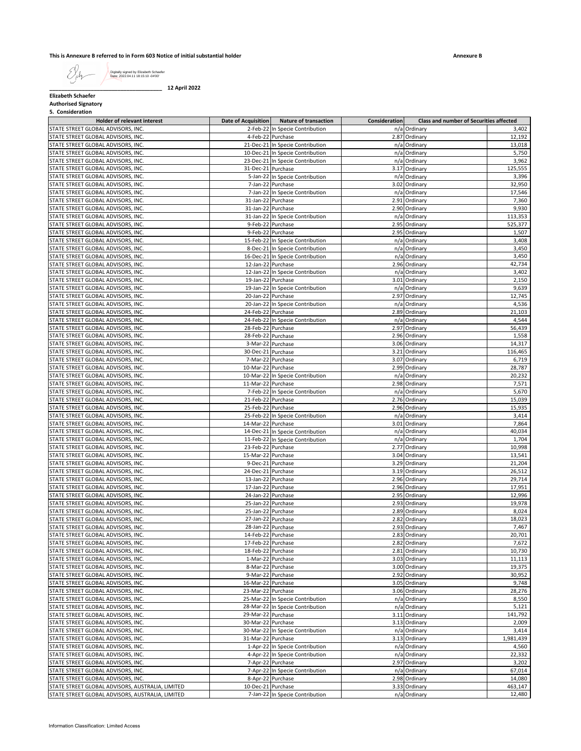## **This is Annexure B referred to in Form 603 Notice of initial substantial holder**

**Annexure B**

Digitally signed by Elizabeth Schaefer Date: 2022.04.11 18:15:10 -04'00'

**\_\_\_\_\_\_\_\_\_\_\_\_\_\_\_\_\_\_\_\_\_\_\_\_\_\_\_\_\_\_\_\_\_\_\_\_\_\_ 12 April 2022**

**Elizabeth Schaefer**

**Authorised Signatory 5. Consideration**

| Holder of relevant interest                      | Date of Acquisition | <b>Nature of transaction</b>     | Consideration | Class and number of Securities affected |           |
|--------------------------------------------------|---------------------|----------------------------------|---------------|-----------------------------------------|-----------|
| STATE STREET GLOBAL ADVISORS, INC.               |                     | 2-Feb-22 In Specie Contribution  |               | n/a Ordinary                            | 3,402     |
| STATE STREET GLOBAL ADVISORS, INC.               |                     | 4-Feb-22 Purchase                |               | 2.87 Ordinary                           | 12,192    |
| STATE STREET GLOBAL ADVISORS, INC.               |                     | 21-Dec-21 In Specie Contribution |               | n/a Ordinary                            | 13,018    |
| STATE STREET GLOBAL ADVISORS, INC.               |                     | 10-Dec-21 In Specie Contribution |               | n/a Ordinary                            | 5,750     |
| STATE STREET GLOBAL ADVISORS, INC.               |                     | 23-Dec-21 In Specie Contribution |               | n/a Ordinary                            | 3,962     |
| STATE STREET GLOBAL ADVISORS, INC.               | 31-Dec-21 Purchase  |                                  |               | 3.17 Ordinary                           | 125,555   |
| STATE STREET GLOBAL ADVISORS, INC.               |                     | 5-Jan-22 In Specie Contribution  |               | n/a Ordinary                            | 3,396     |
| STATE STREET GLOBAL ADVISORS, INC.               |                     | 7-Jan-22 Purchase                |               | 3.02 Ordinary                           | 32,950    |
| STATE STREET GLOBAL ADVISORS, INC.               |                     | 7-Jan-22 In Specie Contribution  |               | n/a Ordinary                            | 17,546    |
| STATE STREET GLOBAL ADVISORS, INC.               | 31-Jan-22 Purchase  |                                  |               | 2.91 Ordinary                           | 7,360     |
| STATE STREET GLOBAL ADVISORS, INC.               | 31-Jan-22 Purchase  |                                  |               | 2.90 Ordinary                           | 9,930     |
| STATE STREET GLOBAL ADVISORS, INC.               |                     | 31-Jan-22 In Specie Contribution |               | n/a Ordinary                            | 113,353   |
| STATE STREET GLOBAL ADVISORS, INC.               |                     | 9-Feb-22 Purchase                |               |                                         |           |
| STATE STREET GLOBAL ADVISORS, INC.               |                     |                                  |               | 2.95 Ordinary                           | 525,377   |
|                                                  |                     | 9-Feb-22 Purchase                |               | 2.95 Ordinary                           | 1,507     |
| STATE STREET GLOBAL ADVISORS, INC.               |                     | 15-Feb-22 In Specie Contribution |               | n/a Ordinary                            | 3,408     |
| STATE STREET GLOBAL ADVISORS, INC.               |                     | 8-Dec-21 In Specie Contribution  |               | n/a Ordinary                            | 3,450     |
| STATE STREET GLOBAL ADVISORS, INC.               |                     | 16-Dec-21 In Specie Contribution |               | n/a Ordinary                            | 3,450     |
| STATE STREET GLOBAL ADVISORS, INC.               | 12-Jan-22 Purchase  |                                  |               | 2.96 Ordinary                           | 42,734    |
| STATE STREET GLOBAL ADVISORS, INC.               |                     | 12-Jan-22 In Specie Contribution |               | n/a Ordinary                            | 3,402     |
| STATE STREET GLOBAL ADVISORS, INC.               | 19-Jan-22 Purchase  |                                  |               | 3.01 Ordinary                           | 2,150     |
| STATE STREET GLOBAL ADVISORS, INC.               |                     | 19-Jan-22 In Specie Contribution |               | n/a Ordinary                            | 9,639     |
| STATE STREET GLOBAL ADVISORS, INC.               | 20-Jan-22 Purchase  |                                  |               | 2.97 Ordinary                           | 12,745    |
| STATE STREET GLOBAL ADVISORS, INC.               |                     | 20-Jan-22 In Specie Contribution |               | n/a Ordinary                            | 4,536     |
| STATE STREET GLOBAL ADVISORS, INC.               | 24-Feb-22 Purchase  |                                  |               | 2.89 Ordinary                           | 21,103    |
| STATE STREET GLOBAL ADVISORS, INC.               |                     | 24-Feb-22 In Specie Contribution |               | n/a Ordinary                            | 4,544     |
| STATE STREET GLOBAL ADVISORS, INC.               | 28-Feb-22 Purchase  |                                  |               | 2.97 Ordinary                           | 56,439    |
| STATE STREET GLOBAL ADVISORS, INC.               | 28-Feb-22 Purchase  |                                  |               | 2.96 Ordinary                           | 1,558     |
| STATE STREET GLOBAL ADVISORS, INC.               | 3-Mar-22 Purchase   |                                  |               | 3.06 Ordinary                           | 14,317    |
| STATE STREET GLOBAL ADVISORS, INC.               | 30-Dec-21 Purchase  |                                  | 3.21          | Ordinary                                | 116,465   |
| STATE STREET GLOBAL ADVISORS, INC.               | 7-Mar-22 Purchase   |                                  |               | 3.07 Ordinary                           | 6,719     |
| STATE STREET GLOBAL ADVISORS, INC.               | 10-Mar-22 Purchase  |                                  |               | 2.99 Ordinary                           | 28,787    |
| STATE STREET GLOBAL ADVISORS, INC.               |                     | 10-Mar-22 In Specie Contribution |               | n/a Ordinary                            | 20,232    |
| STATE STREET GLOBAL ADVISORS, INC.               | 11-Mar-22 Purchase  |                                  |               | 2.98 Ordinary                           | 7,571     |
| STATE STREET GLOBAL ADVISORS, INC.               |                     | 7-Feb-22 In Specie Contribution  |               | n/a Ordinary                            | 5,670     |
| STATE STREET GLOBAL ADVISORS, INC.               | 21-Feb-22 Purchase  |                                  |               | 2.76 Ordinary                           | 15,039    |
| STATE STREET GLOBAL ADVISORS, INC.               | 25-Feb-22 Purchase  |                                  |               | 2.96 Ordinary                           | 15,935    |
| STATE STREET GLOBAL ADVISORS, INC.               |                     | 25-Feb-22 In Specie Contribution |               | n/a Ordinary                            | 3,414     |
| STATE STREET GLOBAL ADVISORS, INC.               | 14-Mar-22 Purchase  |                                  |               | 3.01 Ordinary                           | 7,864     |
| STATE STREET GLOBAL ADVISORS, INC.               |                     |                                  |               | n/a Ordinary                            | 40,034    |
|                                                  |                     | 14-Dec-21 In Specie Contribution |               |                                         |           |
| STATE STREET GLOBAL ADVISORS, INC.               |                     | 11-Feb-22 In Specie Contribution |               | n/a Ordinary                            | 1,704     |
| STATE STREET GLOBAL ADVISORS, INC.               | 23-Feb-22 Purchase  |                                  |               | 2.77 Ordinary                           | 10,998    |
| STATE STREET GLOBAL ADVISORS, INC.               | 15-Mar-22 Purchase  |                                  |               | 3.04 Ordinary                           | 13,541    |
| STATE STREET GLOBAL ADVISORS, INC.               | 9-Dec-21 Purchase   |                                  |               | 3.29 Ordinary                           | 21,204    |
| STATE STREET GLOBAL ADVISORS, INC.               | 24-Dec-21 Purchase  |                                  |               | 3.19 Ordinary                           | 26,512    |
| STATE STREET GLOBAL ADVISORS, INC.               | 13-Jan-22 Purchase  |                                  |               | 2.96 Ordinary                           | 29,714    |
| STATE STREET GLOBAL ADVISORS, INC.               | 17-Jan-22 Purchase  |                                  |               | 2.96 Ordinary                           | 17,951    |
| STATE STREET GLOBAL ADVISORS, INC.               | 24-Jan-22 Purchase  |                                  |               | 2.95 Ordinary                           | 12,996    |
| STATE STREET GLOBAL ADVISORS, INC.               | 25-Jan-22 Purchase  |                                  |               | 2.93 Ordinary                           | 19,978    |
| STATE STREET GLOBAL ADVISORS, INC.               | 25-Jan-22 Purchase  |                                  |               | 2.89 Ordinary                           | 8,024     |
| STATE STREET GLOBAL ADVISORS, INC.               | 27-Jan-22 Purchase  |                                  | 2.82          | Ordinary                                | 18,023    |
| STATE STREET GLOBAL ADVISORS, INC.               | 28-Jan-22 Purchase  |                                  |               | 2.93 Ordinary                           | 7,467     |
| STATE STREET GLOBAL ADVISORS, INC.               | 14-Feb-22 Purchase  |                                  |               | 2.83 Ordinary                           | 20,701    |
| STATE STREET GLOBAL ADVISORS, INC.               | 17-Feb-22 Purchase  |                                  |               | 2.82 Ordinary                           | 7,672     |
| STATE STREET GLOBAL ADVISORS, INC.               | 18-Feb-22 Purchase  |                                  |               | 2.81 Ordinary                           | 10,730    |
| STATE STREET GLOBAL ADVISORS, INC.               | 1-Mar-22 Purchase   |                                  |               | 3.03 Ordinary                           | 11,113    |
| STATE STREET GLOBAL ADVISORS, INC.               | 8-Mar-22 Purchase   |                                  |               | 3.00 Ordinary                           | 19,375    |
| STATE STREET GLOBAL ADVISORS, INC.               | 9-Mar-22 Purchase   |                                  |               | 2.92 Ordinary                           | 30,952    |
| STATE STREET GLOBAL ADVISORS, INC.               | 16-Mar-22 Purchase  |                                  |               | 3.05 Ordinary                           | 9,748     |
| STATE STREET GLOBAL ADVISORS, INC.               | 23-Mar-22 Purchase  |                                  |               | 3.06 Ordinary                           | 28,276    |
| STATE STREET GLOBAL ADVISORS, INC.               |                     | 25-Mar-22 In Specie Contribution |               | n/a Ordinary                            | 8,550     |
| STATE STREET GLOBAL ADVISORS, INC.               |                     | 28-Mar-22 In Specie Contribution |               | n/a Ordinary                            | 5,121     |
| STATE STREET GLOBAL ADVISORS, INC.               | 29-Mar-22 Purchase  |                                  |               | 3.11 Ordinary                           | 141,792   |
| STATE STREET GLOBAL ADVISORS, INC.               | 30-Mar-22 Purchase  |                                  |               | 3.13 Ordinary                           | 2,009     |
| STATE STREET GLOBAL ADVISORS, INC.               |                     | 30-Mar-22 In Specie Contribution |               | n/a Ordinary                            | 3,414     |
| STATE STREET GLOBAL ADVISORS, INC.               | 31-Mar-22 Purchase  |                                  |               | 3.13 Ordinary                           | 1,981,439 |
| STATE STREET GLOBAL ADVISORS, INC.               |                     | 1-Apr-22 In Specie Contribution  |               | n/a Ordinary                            | 4,560     |
| STATE STREET GLOBAL ADVISORS, INC.               |                     | 4-Apr-22 In Specie Contribution  |               | n/a Ordinary                            | 22,332    |
| STATE STREET GLOBAL ADVISORS, INC.               |                     |                                  |               | 2.97 Ordinary                           | 3,202     |
|                                                  |                     | 7-Apr-22 Purchase                |               |                                         | 67,014    |
| STATE STREET GLOBAL ADVISORS, INC.               |                     | 7-Apr-22 In Specie Contribution  |               | n/a Ordinary                            |           |
| STATE STREET GLOBAL ADVISORS, INC.               |                     | 8-Apr-22 Purchase                |               | 2.98 Ordinary                           | 14,080    |
| STATE STREET GLOBAL ADVISORS, AUSTRALIA, LIMITED | 10-Dec-21 Purchase  |                                  |               | 3.33 Ordinary                           | 463,147   |
| STATE STREET GLOBAL ADVISORS, AUSTRALIA, LIMITED |                     | 7-Jan-22 In Specie Contribution  |               | n/a Ordinary                            | 12,480    |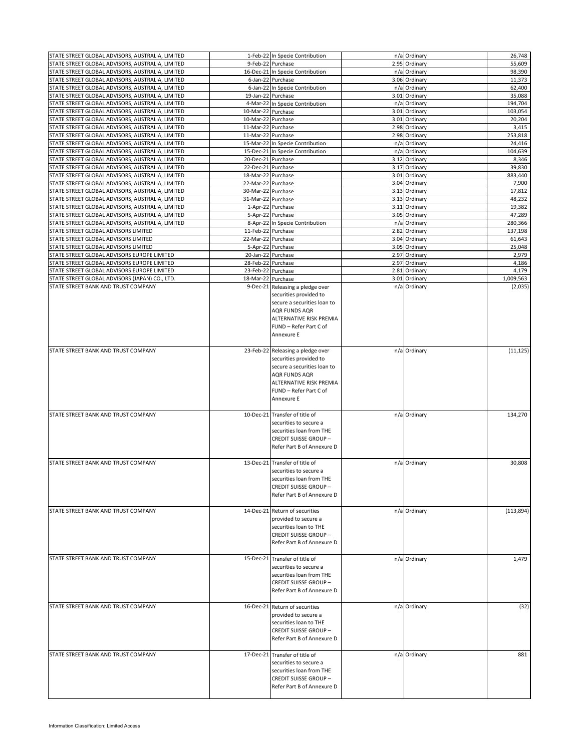| STATE STREET GLOBAL ADVISORS, AUSTRALIA, LIMITED |                    |                                                           |               |            |
|--------------------------------------------------|--------------------|-----------------------------------------------------------|---------------|------------|
|                                                  |                    | 1-Feb-22 In Specie Contribution                           | n/a Ordinary  | 26,748     |
| STATE STREET GLOBAL ADVISORS, AUSTRALIA, LIMITED |                    | 9-Feb-22 Purchase                                         | 2.95 Ordinary | 55,609     |
| STATE STREET GLOBAL ADVISORS, AUSTRALIA, LIMITED |                    | 16-Dec-21 In Specie Contribution                          | n/a Ordinary  | 98,390     |
| STATE STREET GLOBAL ADVISORS, AUSTRALIA, LIMITED |                    | 6-Jan-22 Purchase                                         | 3.06 Ordinary | 11,373     |
| STATE STREET GLOBAL ADVISORS, AUSTRALIA, LIMITED |                    | 6-Jan-22 In Specie Contribution                           | n/a Ordinary  | 62,400     |
| STATE STREET GLOBAL ADVISORS, AUSTRALIA, LIMITED |                    | 19-Jan-22 Purchase                                        | 3.01 Ordinary | 35,088     |
| STATE STREET GLOBAL ADVISORS, AUSTRALIA, LIMITED |                    | 4-Mar-22 In Specie Contribution                           | n/a Ordinary  | 194,704    |
| STATE STREET GLOBAL ADVISORS, AUSTRALIA, LIMITED |                    |                                                           |               | 103,054    |
|                                                  | 10-Mar-22 Purchase |                                                           | 3.01 Ordinary |            |
| STATE STREET GLOBAL ADVISORS, AUSTRALIA, LIMITED | 10-Mar-22 Purchase |                                                           | 3.01 Ordinary | 20.204     |
| STATE STREET GLOBAL ADVISORS, AUSTRALIA, LIMITED | 11-Mar-22 Purchase |                                                           | 2.98 Ordinary | 3,415      |
| STATE STREET GLOBAL ADVISORS, AUSTRALIA, LIMITED | 11-Mar-22 Purchase |                                                           | 2.98 Ordinary | 253,818    |
| STATE STREET GLOBAL ADVISORS, AUSTRALIA, LIMITED |                    | 15-Mar-22 In Specie Contribution                          | n/a Ordinary  | 24,416     |
| STATE STREET GLOBAL ADVISORS, AUSTRALIA, LIMITED |                    | 15-Dec-21 In Specie Contribution                          | n/a Ordinary  | 104,639    |
| STATE STREET GLOBAL ADVISORS, AUSTRALIA, LIMITED | 20-Dec-21 Purchase |                                                           | 3.12 Ordinary | 8,346      |
| STATE STREET GLOBAL ADVISORS, AUSTRALIA, LIMITED | 22-Dec-21 Purchase |                                                           | 3.17 Ordinary | 39,830     |
| STATE STREET GLOBAL ADVISORS, AUSTRALIA, LIMITED | 18-Mar-22 Purchase |                                                           | 3.01 Ordinary | 883,440    |
| STATE STREET GLOBAL ADVISORS, AUSTRALIA, LIMITED | 22-Mar-22 Purchase |                                                           | 3.04 Ordinary | 7,900      |
|                                                  |                    |                                                           |               |            |
| STATE STREET GLOBAL ADVISORS, AUSTRALIA, LIMITED | 30-Mar-22 Purchase |                                                           | 3.13 Ordinary | 17,812     |
| STATE STREET GLOBAL ADVISORS, AUSTRALIA, LIMITED | 31-Mar-22 Purchase |                                                           | 3.13 Ordinary | 48,232     |
| STATE STREET GLOBAL ADVISORS, AUSTRALIA, LIMITED |                    | 1-Apr-22 Purchase                                         | 3.11 Ordinary | 19,382     |
| STATE STREET GLOBAL ADVISORS, AUSTRALIA, LIMITED |                    | 5-Apr-22 Purchase                                         | 3.05 Ordinary | 47,289     |
| STATE STREET GLOBAL ADVISORS, AUSTRALIA, LIMITED |                    | 8-Apr-22 In Specie Contribution                           | n/a Ordinary  | 280,366    |
| STATE STREET GLOBAL ADVISORS LIMITED             | 11-Feb-22 Purchase |                                                           | 2.82 Ordinary | 137,198    |
| STATE STREET GLOBAL ADVISORS LIMITED             | 22-Mar-22 Purchase |                                                           | 3.04 Ordinary | 61,643     |
| STATE STREET GLOBAL ADVISORS LIMITED             |                    | 5-Apr-22 Purchase                                         | 3.05 Ordinary | 25,048     |
| STATE STREET GLOBAL ADVISORS EUROPE LIMITED      |                    | 20-Jan-22 Purchase                                        | 2.97 Ordinary | 2,979      |
|                                                  |                    |                                                           |               |            |
| STATE STREET GLOBAL ADVISORS EUROPE LIMITED      | 28-Feb-22 Purchase |                                                           | 2.97 Ordinary | 4,186      |
| STATE STREET GLOBAL ADVISORS EUROPE LIMITED      | 23-Feb-22 Purchase |                                                           | 2.81 Ordinary | 4,179      |
| STATE STREET GLOBAL ADVISORS (JAPAN) CO., LTD.   | 18-Mar-22 Purchase |                                                           | 3.01 Ordinary | 1,009,563  |
| STATE STREET BANK AND TRUST COMPANY              |                    | 9-Dec-21 Releasing a pledge over                          | n/a Ordinary  | (2,035)    |
|                                                  |                    | securities provided to                                    |               |            |
|                                                  |                    | secure a securities loan to                               |               |            |
|                                                  |                    | <b>AQR FUNDS AQR</b>                                      |               |            |
|                                                  |                    | <b>ALTERNATIVE RISK PREMIA</b>                            |               |            |
|                                                  |                    | FUND - Refer Part C of                                    |               |            |
|                                                  |                    |                                                           |               |            |
|                                                  |                    | Annexure E                                                |               |            |
|                                                  |                    |                                                           |               |            |
| STATE STREET BANK AND TRUST COMPANY              |                    | 23-Feb-22 Releasing a pledge over                         | n/a Ordinary  | (11, 125)  |
|                                                  |                    | securities provided to                                    |               |            |
|                                                  |                    | secure a securities loan to                               |               |            |
|                                                  |                    | <b>AQR FUNDS AQR</b>                                      |               |            |
|                                                  |                    | ALTERNATIVE RISK PREMIA                                   |               |            |
|                                                  |                    | FUND - Refer Part C of                                    |               |            |
|                                                  |                    |                                                           |               |            |
|                                                  |                    | Annexure E                                                |               |            |
|                                                  |                    |                                                           |               |            |
| STATE STREET BANK AND TRUST COMPANY              |                    | 10-Dec-21 Transfer of title of                            | n/a Ordinary  | 134,270    |
|                                                  |                    | securities to secure a                                    |               |            |
|                                                  |                    | securities loan from THE                                  |               |            |
|                                                  |                    | <b>CREDIT SUISSE GROUP-</b>                               |               |            |
|                                                  |                    |                                                           |               |            |
|                                                  |                    |                                                           |               |            |
|                                                  |                    | Refer Part B of Annexure D                                |               |            |
|                                                  |                    |                                                           |               |            |
| STATE STREET BANK AND TRUST COMPANY              |                    | 13-Dec-21 Transfer of title of                            | n/a Ordinary  | 30,808     |
|                                                  |                    | securities to secure a                                    |               |            |
|                                                  |                    | securities loan from THE                                  |               |            |
|                                                  |                    | <b>CREDIT SUISSE GROUP-</b>                               |               |            |
|                                                  |                    | Refer Part B of Annexure D                                |               |            |
|                                                  |                    |                                                           |               |            |
| STATE STREET BANK AND TRUST COMPANY              |                    | 14-Dec-21 Return of securities                            |               |            |
|                                                  |                    |                                                           | n/a Ordinary  | (113, 894) |
|                                                  |                    | provided to secure a                                      |               |            |
|                                                  |                    | securities loan to THE                                    |               |            |
|                                                  |                    | <b>CREDIT SUISSE GROUP-</b>                               |               |            |
|                                                  |                    | Refer Part B of Annexure D                                |               |            |
|                                                  |                    |                                                           |               |            |
| STATE STREET BANK AND TRUST COMPANY              |                    | 15-Dec-21 Transfer of title of                            | n/a Ordinary  | 1,479      |
|                                                  |                    | securities to secure a                                    |               |            |
|                                                  |                    | securities loan from THE                                  |               |            |
|                                                  |                    |                                                           |               |            |
|                                                  |                    | <b>CREDIT SUISSE GROUP-</b><br>Refer Part B of Annexure D |               |            |
|                                                  |                    |                                                           |               |            |
|                                                  |                    |                                                           |               |            |
| STATE STREET BANK AND TRUST COMPANY              |                    | 16-Dec-21 Return of securities                            | n/a Ordinary  | (32)       |
|                                                  |                    | provided to secure a                                      |               |            |
|                                                  |                    | securities loan to THE                                    |               |            |
|                                                  |                    | <b>CREDIT SUISSE GROUP-</b>                               |               |            |
|                                                  |                    | Refer Part B of Annexure D                                |               |            |
|                                                  |                    |                                                           |               |            |
|                                                  |                    |                                                           |               |            |
| STATE STREET BANK AND TRUST COMPANY              |                    | 17-Dec-21 Transfer of title of                            | n/a Ordinary  | 881        |
|                                                  |                    | securities to secure a                                    |               |            |
|                                                  |                    | securities loan from THE                                  |               |            |
|                                                  |                    | <b>CREDIT SUISSE GROUP-</b>                               |               |            |
|                                                  |                    | Refer Part B of Annexure D                                |               |            |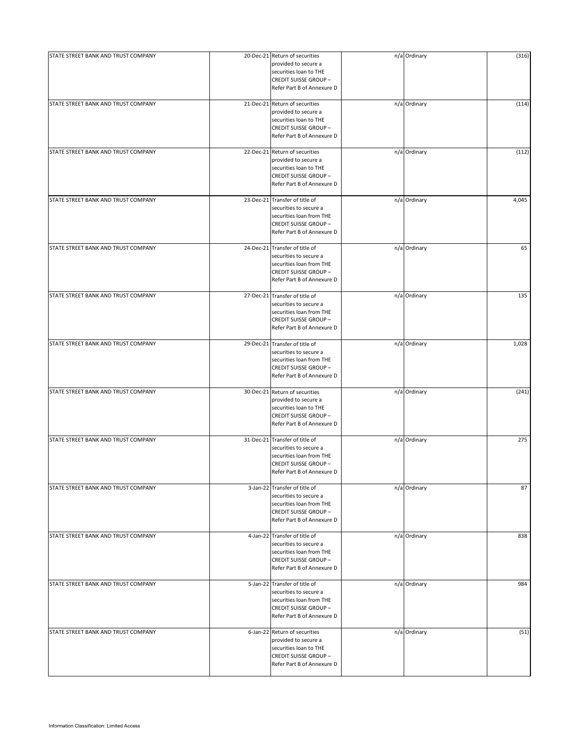| STATE STREET BANK AND TRUST COMPANY | 20-Dec-21 Return of securities<br>provided to secure a<br>securities loan to THE<br><b>CREDIT SUISSE GROUP-</b><br>Refer Part B of Annexure D      | n/a Ordinary | (316) |
|-------------------------------------|----------------------------------------------------------------------------------------------------------------------------------------------------|--------------|-------|
| STATE STREET BANK AND TRUST COMPANY | 21-Dec-21 Return of securities<br>provided to secure a<br>securities loan to THE<br><b>CREDIT SUISSE GROUP-</b><br>Refer Part B of Annexure D      | n/a Ordinary | (114) |
| STATE STREET BANK AND TRUST COMPANY | 22-Dec-21 Return of securities<br>provided to secure a<br>securities loan to THE<br><b>CREDIT SUISSE GROUP-</b><br>Refer Part B of Annexure D      | n/a Ordinary | (112) |
| STATE STREET BANK AND TRUST COMPANY | 23-Dec-21 Transfer of title of<br>securities to secure a<br>securities loan from THE<br><b>CREDIT SUISSE GROUP -</b><br>Refer Part B of Annexure D | n/a Ordinary | 4,045 |
| STATE STREET BANK AND TRUST COMPANY | 24-Dec-21 Transfer of title of<br>securities to secure a<br>securities loan from THE<br><b>CREDIT SUISSE GROUP-</b><br>Refer Part B of Annexure D  | n/a Ordinary | 65    |
| STATE STREET BANK AND TRUST COMPANY | 27-Dec-21 Transfer of title of<br>securities to secure a<br>securities loan from THE<br><b>CREDIT SUISSE GROUP-</b><br>Refer Part B of Annexure D  | n/a Ordinary | 135   |
| STATE STREET BANK AND TRUST COMPANY | 29-Dec-21 Transfer of title of<br>securities to secure a<br>securities loan from THE<br><b>CREDIT SUISSE GROUP-</b><br>Refer Part B of Annexure D  | n/a Ordinary | 1,028 |
| STATE STREET BANK AND TRUST COMPANY | 30-Dec-21 Return of securities<br>provided to secure a<br>securities loan to THE<br><b>CREDIT SUISSE GROUP-</b><br>Refer Part B of Annexure D      | n/a Ordinary | (241) |
| STATE STREET BANK AND TRUST COMPANY | 31-Dec-21 Transfer of title of<br>securities to secure a<br>securities loan from THE<br><b>CREDIT SUISSE GROUP-</b><br>Refer Part B of Annexure D  | n/a Ordinary | 275   |
| STATE STREET BANK AND TRUST COMPANY | 3-Jan-22 Transfer of title of<br>securities to secure a<br>securities loan from THE<br><b>CREDIT SUISSE GROUP-</b><br>Refer Part B of Annexure D   | n/a Ordinary | 87    |
| STATE STREET BANK AND TRUST COMPANY | 4-Jan-22 Transfer of title of<br>securities to secure a<br>securities loan from THE<br><b>CREDIT SUISSE GROUP-</b><br>Refer Part B of Annexure D   | n/a Ordinary | 838   |
| STATE STREET BANK AND TRUST COMPANY | 5-Jan-22 Transfer of title of<br>securities to secure a<br>securities loan from THE<br><b>CREDIT SUISSE GROUP-</b><br>Refer Part B of Annexure D   | n/a Ordinary | 984   |
| STATE STREET BANK AND TRUST COMPANY | 6-Jan-22 Return of securities<br>provided to secure a<br>securities loan to THE<br><b>CREDIT SUISSE GROUP -</b><br>Refer Part B of Annexure D      | n/a Ordinary | (51)  |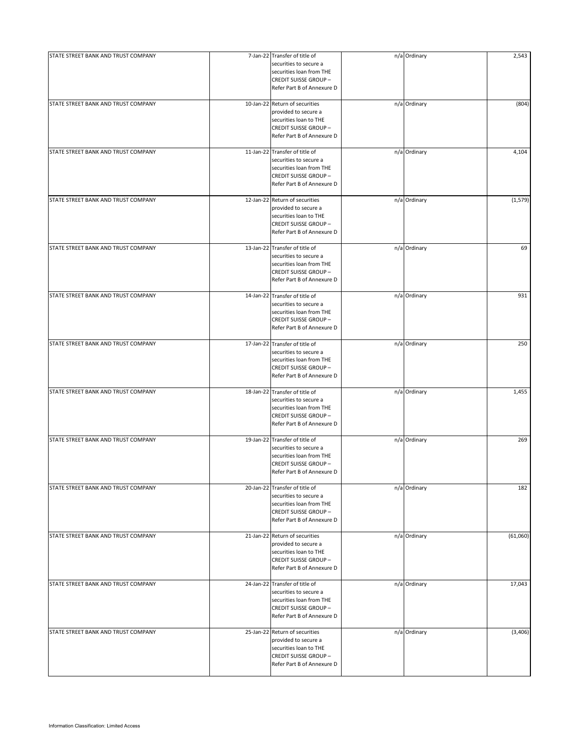| STATE STREET BANK AND TRUST COMPANY | 7-Jan-22 Transfer of title of                                                                                                                     | n/a Ordinary | 2,543    |
|-------------------------------------|---------------------------------------------------------------------------------------------------------------------------------------------------|--------------|----------|
|                                     | securities to secure a<br>securities loan from THE<br><b>CREDIT SUISSE GROUP-</b><br>Refer Part B of Annexure D                                   |              |          |
| STATE STREET BANK AND TRUST COMPANY | 10-Jan-22 Return of securities<br>provided to secure a<br>securities loan to THE<br><b>CREDIT SUISSE GROUP-</b><br>Refer Part B of Annexure D     | n/a Ordinary | (804)    |
| STATE STREET BANK AND TRUST COMPANY | 11-Jan-22 Transfer of title of<br>securities to secure a<br>securities loan from THE<br><b>CREDIT SUISSE GROUP-</b><br>Refer Part B of Annexure D | n/a Ordinary | 4,104    |
| STATE STREET BANK AND TRUST COMPANY | 12-Jan-22 Return of securities<br>provided to secure a<br>securities loan to THE<br><b>CREDIT SUISSE GROUP-</b><br>Refer Part B of Annexure D     | n/a Ordinary | (1,579)  |
| STATE STREET BANK AND TRUST COMPANY | 13-Jan-22 Transfer of title of<br>securities to secure a<br>securities loan from THE<br><b>CREDIT SUISSE GROUP-</b><br>Refer Part B of Annexure D | n/a Ordinary | 69       |
| STATE STREET BANK AND TRUST COMPANY | 14-Jan-22 Transfer of title of<br>securities to secure a<br>securities loan from THE<br><b>CREDIT SUISSE GROUP-</b><br>Refer Part B of Annexure D | n/a Ordinary | 931      |
| STATE STREET BANK AND TRUST COMPANY | 17-Jan-22 Transfer of title of<br>securities to secure a<br>securities loan from THE<br><b>CREDIT SUISSE GROUP-</b><br>Refer Part B of Annexure D | n/a Ordinary | 250      |
| STATE STREET BANK AND TRUST COMPANY | 18-Jan-22 Transfer of title of<br>securities to secure a<br>securities loan from THE<br><b>CREDIT SUISSE GROUP-</b><br>Refer Part B of Annexure D | n/a Ordinary | 1,455    |
| STATE STREET BANK AND TRUST COMPANY | 19-Jan-22 Transfer of title of<br>securities to secure a<br>securities loan from THE<br><b>CREDIT SUISSE GROUP-</b><br>Refer Part B of Annexure D | n/a Ordinary | 269      |
| STATE STREET BANK AND TRUST COMPANY | 20-Jan-22 Transfer of title of<br>securities to secure a<br>securities loan from THE<br><b>CREDIT SUISSE GROUP-</b><br>Refer Part B of Annexure D | n/a Ordinary | 182      |
| STATE STREET BANK AND TRUST COMPANY | 21-Jan-22 Return of securities<br>provided to secure a<br>securities loan to THE<br><b>CREDIT SUISSE GROUP-</b><br>Refer Part B of Annexure D     | n/a Ordinary | (61,060) |
| STATE STREET BANK AND TRUST COMPANY | 24-Jan-22 Transfer of title of<br>securities to secure a<br>securities loan from THE<br><b>CREDIT SUISSE GROUP-</b><br>Refer Part B of Annexure D | n/a Ordinary | 17,043   |
| STATE STREET BANK AND TRUST COMPANY | 25-Jan-22 Return of securities<br>provided to secure a<br>securities loan to THE<br><b>CREDIT SUISSE GROUP -</b><br>Refer Part B of Annexure D    | n/a Ordinary | (3,406)  |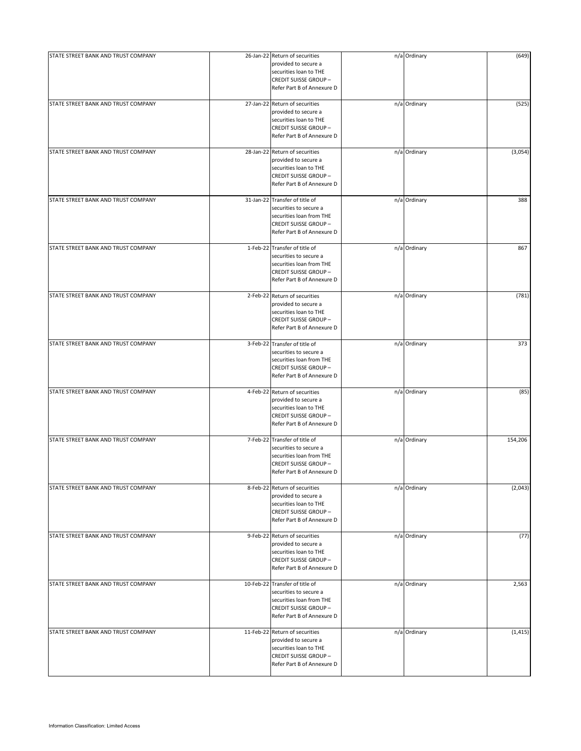| STATE STREET BANK AND TRUST COMPANY | 26-Jan-22 Return of securities<br>provided to secure a<br>securities loan to THE<br><b>CREDIT SUISSE GROUP-</b><br>Refer Part B of Annexure D      | n/a Ordinary | (649)    |
|-------------------------------------|----------------------------------------------------------------------------------------------------------------------------------------------------|--------------|----------|
| STATE STREET BANK AND TRUST COMPANY | 27-Jan-22 Return of securities<br>provided to secure a<br>securities loan to THE<br><b>CREDIT SUISSE GROUP-</b><br>Refer Part B of Annexure D      | n/a Ordinary | (525)    |
| STATE STREET BANK AND TRUST COMPANY | 28-Jan-22 Return of securities<br>provided to secure a<br>securities loan to THE<br><b>CREDIT SUISSE GROUP-</b><br>Refer Part B of Annexure D      | n/a Ordinary | (3,054)  |
| STATE STREET BANK AND TRUST COMPANY | 31-Jan-22 Transfer of title of<br>securities to secure a<br>securities loan from THE<br><b>CREDIT SUISSE GROUP -</b><br>Refer Part B of Annexure D | n/a Ordinary | 388      |
| STATE STREET BANK AND TRUST COMPANY | 1-Feb-22 Transfer of title of<br>securities to secure a<br>securities loan from THE<br><b>CREDIT SUISSE GROUP-</b><br>Refer Part B of Annexure D   | n/a Ordinary | 867      |
| STATE STREET BANK AND TRUST COMPANY | 2-Feb-22 Return of securities<br>provided to secure a<br>securities loan to THE<br><b>CREDIT SUISSE GROUP-</b><br>Refer Part B of Annexure D       | n/a Ordinary | (781)    |
| STATE STREET BANK AND TRUST COMPANY | 3-Feb-22 Transfer of title of<br>securities to secure a<br>securities loan from THE<br><b>CREDIT SUISSE GROUP-</b><br>Refer Part B of Annexure D   | n/a Ordinary | 373      |
| STATE STREET BANK AND TRUST COMPANY | 4-Feb-22 Return of securities<br>provided to secure a<br>securities loan to THE<br><b>CREDIT SUISSE GROUP-</b><br>Refer Part B of Annexure D       | n/a Ordinary | (85)     |
| STATE STREET BANK AND TRUST COMPANY | 7-Feb-22 Transfer of title of<br>securities to secure a<br>securities loan from THE<br><b>CREDIT SUISSE GROUP-</b><br>Refer Part B of Annexure D   | n/a Ordinary | 154,206  |
| STATE STREET BANK AND TRUST COMPANY | 8-Feb-22 Return of securities<br>provided to secure a<br>securities loan to THE<br><b>CREDIT SUISSE GROUP-</b><br>Refer Part B of Annexure D       | n/a Ordinary | (2,043)  |
| STATE STREET BANK AND TRUST COMPANY | 9-Feb-22 Return of securities<br>provided to secure a<br>securities loan to THE<br><b>CREDIT SUISSE GROUP-</b><br>Refer Part B of Annexure D       | n/a Ordinary | (77)     |
| STATE STREET BANK AND TRUST COMPANY | 10-Feb-22 Transfer of title of<br>securities to secure a<br>securities loan from THE<br><b>CREDIT SUISSE GROUP-</b><br>Refer Part B of Annexure D  | n/a Ordinary | 2,563    |
| STATE STREET BANK AND TRUST COMPANY | 11-Feb-22 Return of securities<br>provided to secure a<br>securities loan to THE<br><b>CREDIT SUISSE GROUP -</b><br>Refer Part B of Annexure D     | n/a Ordinary | (1, 415) |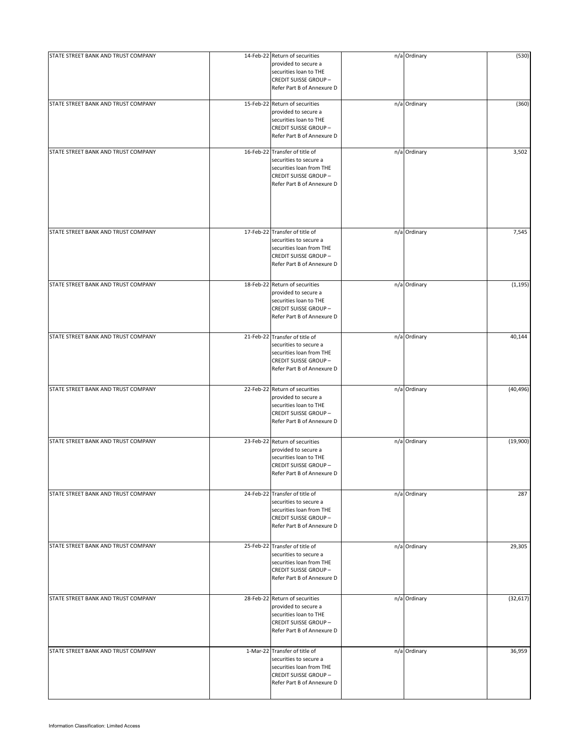| STATE STREET BANK AND TRUST COMPANY | 14-Feb-22 Return of securities<br>provided to secure a<br>securities loan to THE<br><b>CREDIT SUISSE GROUP-</b><br>Refer Part B of Annexure D     | n/a Ordinary | (530)     |
|-------------------------------------|---------------------------------------------------------------------------------------------------------------------------------------------------|--------------|-----------|
| STATE STREET BANK AND TRUST COMPANY | 15-Feb-22 Return of securities<br>provided to secure a<br>securities loan to THE<br><b>CREDIT SUISSE GROUP-</b><br>Refer Part B of Annexure D     | n/a Ordinary | (360)     |
| STATE STREET BANK AND TRUST COMPANY | 16-Feb-22 Transfer of title of<br>securities to secure a<br>securities loan from THE<br><b>CREDIT SUISSE GROUP-</b><br>Refer Part B of Annexure D | n/a Ordinary | 3,502     |
| STATE STREET BANK AND TRUST COMPANY | 17-Feb-22 Transfer of title of<br>securities to secure a<br>securities loan from THE<br><b>CREDIT SUISSE GROUP-</b><br>Refer Part B of Annexure D | n/a Ordinary | 7,545     |
| STATE STREET BANK AND TRUST COMPANY | 18-Feb-22 Return of securities<br>provided to secure a<br>securities loan to THE<br><b>CREDIT SUISSE GROUP-</b><br>Refer Part B of Annexure D     | n/a Ordinary | (1, 195)  |
| STATE STREET BANK AND TRUST COMPANY | 21-Feb-22 Transfer of title of<br>securities to secure a<br>securities loan from THE<br><b>CREDIT SUISSE GROUP-</b><br>Refer Part B of Annexure D | n/a Ordinary | 40,144    |
| STATE STREET BANK AND TRUST COMPANY | 22-Feb-22 Return of securities<br>provided to secure a<br>securities loan to THE<br><b>CREDIT SUISSE GROUP-</b><br>Refer Part B of Annexure D     | n/a Ordinary | (40, 496) |
| STATE STREET BANK AND TRUST COMPANY | 23-Feb-22 Return of securities<br>provided to secure a<br>securities loan to THE<br><b>CREDIT SUISSE GROUP-</b><br>Refer Part B of Annexure D     | n/a Ordinary | (19,900)  |
| STATE STREET BANK AND TRUST COMPANY | 24-Feb-22 Transfer of title of<br>securities to secure a<br>securities loan from THE<br><b>CREDIT SUISSE GROUP-</b><br>Refer Part B of Annexure D | n/a Ordinary | 287       |
| STATE STREET BANK AND TRUST COMPANY | 25-Feb-22 Transfer of title of<br>securities to secure a<br>securities loan from THE<br><b>CREDIT SUISSE GROUP-</b><br>Refer Part B of Annexure D | n/a Ordinary | 29,305    |
| STATE STREET BANK AND TRUST COMPANY | 28-Feb-22 Return of securities<br>provided to secure a<br>securities loan to THE<br><b>CREDIT SUISSE GROUP -</b><br>Refer Part B of Annexure D    | n/a Ordinary | (32, 617) |
| STATE STREET BANK AND TRUST COMPANY | 1-Mar-22 Transfer of title of<br>securities to secure a<br>securities loan from THE<br><b>CREDIT SUISSE GROUP-</b><br>Refer Part B of Annexure D  | n/a Ordinary | 36,959    |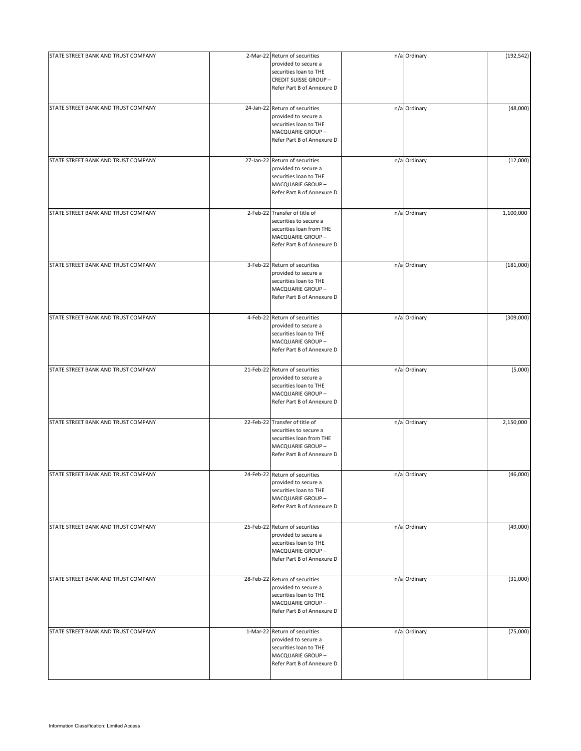| STATE STREET BANK AND TRUST COMPANY | 2-Mar-22 Return of securities                         | n/a Ordinary | (192, 542) |
|-------------------------------------|-------------------------------------------------------|--------------|------------|
|                                     | provided to secure a                                  |              |            |
|                                     | securities loan to THE                                |              |            |
|                                     | <b>CREDIT SUISSE GROUP-</b>                           |              |            |
|                                     | Refer Part B of Annexure D                            |              |            |
|                                     |                                                       |              |            |
| STATE STREET BANK AND TRUST COMPANY | 24-Jan-22 Return of securities                        |              |            |
|                                     | provided to secure a                                  | n/a Ordinary | (48,000)   |
|                                     |                                                       |              |            |
|                                     | securities loan to THE                                |              |            |
|                                     | MACQUARIE GROUP-                                      |              |            |
|                                     | Refer Part B of Annexure D                            |              |            |
|                                     |                                                       |              |            |
| STATE STREET BANK AND TRUST COMPANY | 27-Jan-22 Return of securities                        | n/a Ordinary | (12,000)   |
|                                     | provided to secure a                                  |              |            |
|                                     | securities loan to THE                                |              |            |
|                                     | MACQUARIE GROUP-                                      |              |            |
|                                     | Refer Part B of Annexure D                            |              |            |
| STATE STREET BANK AND TRUST COMPANY | 2-Feb-22 Transfer of title of                         | n/a Ordinary | 1,100,000  |
|                                     |                                                       |              |            |
|                                     | securities to secure a                                |              |            |
|                                     | securities loan from THE                              |              |            |
|                                     | MACQUARIE GROUP-<br>Refer Part B of Annexure D        |              |            |
|                                     |                                                       |              |            |
| STATE STREET BANK AND TRUST COMPANY | 3-Feb-22 Return of securities                         | n/a Ordinary | (181,000)  |
|                                     | provided to secure a                                  |              |            |
|                                     | securities loan to THE                                |              |            |
|                                     | MACQUARIE GROUP-                                      |              |            |
|                                     | Refer Part B of Annexure D                            |              |            |
|                                     |                                                       |              |            |
| STATE STREET BANK AND TRUST COMPANY | 4-Feb-22 Return of securities                         | n/a Ordinary | (309,000)  |
|                                     | provided to secure a                                  |              |            |
|                                     | securities loan to THE                                |              |            |
|                                     | MACQUARIE GROUP-                                      |              |            |
|                                     | Refer Part B of Annexure D                            |              |            |
|                                     |                                                       |              |            |
| STATE STREET BANK AND TRUST COMPANY | 21-Feb-22 Return of securities                        | n/a Ordinary | (5,000)    |
|                                     | provided to secure a                                  |              |            |
|                                     | securities loan to THE                                |              |            |
|                                     | MACQUARIE GROUP-                                      |              |            |
|                                     | Refer Part B of Annexure D                            |              |            |
|                                     |                                                       |              |            |
| STATE STREET BANK AND TRUST COMPANY | 22-Feb-22 Transfer of title of                        | n/a Ordinary | 2,150,000  |
|                                     | securities to secure a                                |              |            |
|                                     | securities loan from THE                              |              |            |
|                                     | MACQUARIE GROUP-<br>Refer Part B of Annexure D        |              |            |
|                                     |                                                       |              |            |
| STATE STREET BANK AND TRUST COMPANY | 24-Feb-22 Return of securities                        | n/a Ordinary | (46,000)   |
|                                     | provided to secure a                                  |              |            |
|                                     | securities loan to THE                                |              |            |
|                                     | MACQUARIE GROUP-                                      |              |            |
|                                     | Refer Part B of Annexure D                            |              |            |
|                                     |                                                       |              |            |
| STATE STREET BANK AND TRUST COMPANY | 25-Feb-22 Return of securities                        | n/a Ordinary | (49,000)   |
|                                     | provided to secure a                                  |              |            |
|                                     | securities loan to THE                                |              |            |
|                                     | MACQUARIE GROUP-                                      |              |            |
|                                     | Refer Part B of Annexure D                            |              |            |
|                                     |                                                       |              |            |
| STATE STREET BANK AND TRUST COMPANY | 28-Feb-22 Return of securities                        | n/a Ordinary | (31,000)   |
|                                     | provided to secure a                                  |              |            |
|                                     | securities loan to THE                                |              |            |
|                                     | MACQUARIE GROUP-                                      |              |            |
|                                     | Refer Part B of Annexure D                            |              |            |
|                                     |                                                       |              |            |
| STATE STREET BANK AND TRUST COMPANY | 1-Mar-22 Return of securities<br>provided to secure a | n/a Ordinary | (75,000)   |
|                                     | securities loan to THE                                |              |            |
|                                     | MACQUARIE GROUP-                                      |              |            |
|                                     | Refer Part B of Annexure D                            |              |            |
|                                     |                                                       |              |            |
|                                     |                                                       |              |            |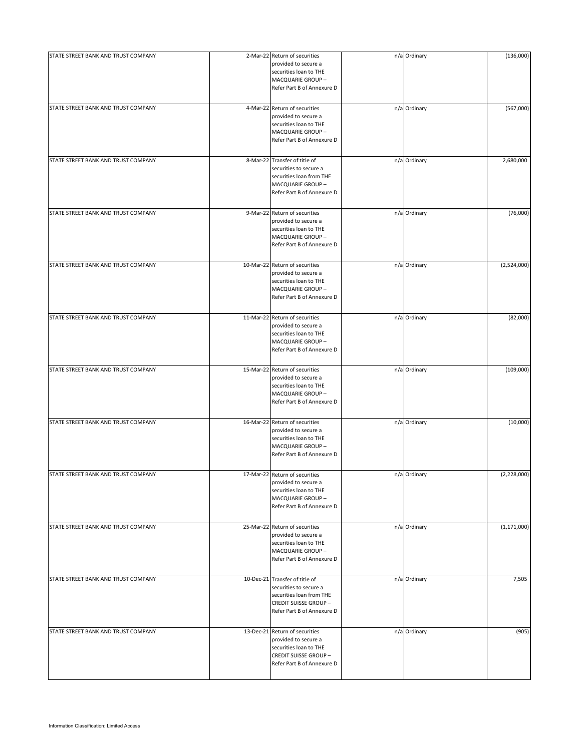| STATE STREET BANK AND TRUST COMPANY | 2-Mar-22 Return of securities                  | n/a Ordinary | (136,000)     |
|-------------------------------------|------------------------------------------------|--------------|---------------|
|                                     | provided to secure a                           |              |               |
|                                     | securities loan to THE                         |              |               |
|                                     | MACQUARIE GROUP-                               |              |               |
|                                     | Refer Part B of Annexure D                     |              |               |
|                                     |                                                |              |               |
| STATE STREET BANK AND TRUST COMPANY | 4-Mar-22 Return of securities                  | n/a Ordinary | (567,000)     |
|                                     | provided to secure a                           |              |               |
|                                     | securities loan to THE                         |              |               |
|                                     | MACQUARIE GROUP-                               |              |               |
|                                     | Refer Part B of Annexure D                     |              |               |
|                                     |                                                |              |               |
| STATE STREET BANK AND TRUST COMPANY | 8-Mar-22 Transfer of title of                  | n/a Ordinary | 2,680,000     |
|                                     | securities to secure a                         |              |               |
|                                     | securities loan from THE                       |              |               |
|                                     | MACQUARIE GROUP-                               |              |               |
|                                     | Refer Part B of Annexure D                     |              |               |
|                                     |                                                |              |               |
| STATE STREET BANK AND TRUST COMPANY | 9-Mar-22 Return of securities                  | n/a Ordinary | (76,000)      |
|                                     | provided to secure a                           |              |               |
|                                     | securities loan to THE                         |              |               |
|                                     | MACQUARIE GROUP-<br>Refer Part B of Annexure D |              |               |
|                                     |                                                |              |               |
| STATE STREET BANK AND TRUST COMPANY | 10-Mar-22 Return of securities                 | n/a Ordinary | (2,524,000)   |
|                                     | provided to secure a                           |              |               |
|                                     | securities loan to THE                         |              |               |
|                                     | MACQUARIE GROUP-                               |              |               |
|                                     | Refer Part B of Annexure D                     |              |               |
|                                     |                                                |              |               |
| STATE STREET BANK AND TRUST COMPANY | 11-Mar-22 Return of securities                 | n/a Ordinary | (82,000)      |
|                                     | provided to secure a                           |              |               |
|                                     | securities loan to THE                         |              |               |
|                                     | MACQUARIE GROUP-                               |              |               |
|                                     | Refer Part B of Annexure D                     |              |               |
|                                     |                                                |              |               |
| STATE STREET BANK AND TRUST COMPANY | 15-Mar-22 Return of securities                 | n/a Ordinary | (109,000)     |
|                                     | provided to secure a                           |              |               |
|                                     | securities loan to THE<br>MACQUARIE GROUP-     |              |               |
|                                     | Refer Part B of Annexure D                     |              |               |
|                                     |                                                |              |               |
| STATE STREET BANK AND TRUST COMPANY | 16-Mar-22 Return of securities                 | n/a Ordinary | (10,000)      |
|                                     | provided to secure a                           |              |               |
|                                     | securities loan to THE                         |              |               |
|                                     | MACQUARIE GROUP-                               |              |               |
|                                     | Refer Part B of Annexure D                     |              |               |
|                                     |                                                |              |               |
| STATE STREET BANK AND TRUST COMPANY | 17-Mar-22 Return of securities                 | n/a Ordinary | (2,228,000)   |
|                                     | provided to secure a                           |              |               |
|                                     | securities loan to THE                         |              |               |
|                                     | MACQUARIE GROUP-<br>Refer Part B of Annexure D |              |               |
|                                     |                                                |              |               |
| STATE STREET BANK AND TRUST COMPANY | 25-Mar-22 Return of securities                 | n/a Ordinary | (1, 171, 000) |
|                                     | provided to secure a                           |              |               |
|                                     | securities loan to THE                         |              |               |
|                                     | MACQUARIE GROUP-                               |              |               |
|                                     | Refer Part B of Annexure D                     |              |               |
|                                     |                                                |              |               |
| STATE STREET BANK AND TRUST COMPANY | 10-Dec-21 Transfer of title of                 | n/a Ordinary | 7,505         |
|                                     | securities to secure a                         |              |               |
|                                     | securities loan from THE                       |              |               |
|                                     | <b>CREDIT SUISSE GROUP-</b>                    |              |               |
|                                     | Refer Part B of Annexure D                     |              |               |
|                                     |                                                |              |               |
| STATE STREET BANK AND TRUST COMPANY | 13-Dec-21 Return of securities                 | n/a Ordinary | (905)         |
|                                     | provided to secure a<br>securities loan to THE |              |               |
|                                     | <b>CREDIT SUISSE GROUP-</b>                    |              |               |
|                                     | Refer Part B of Annexure D                     |              |               |
|                                     |                                                |              |               |
|                                     |                                                |              |               |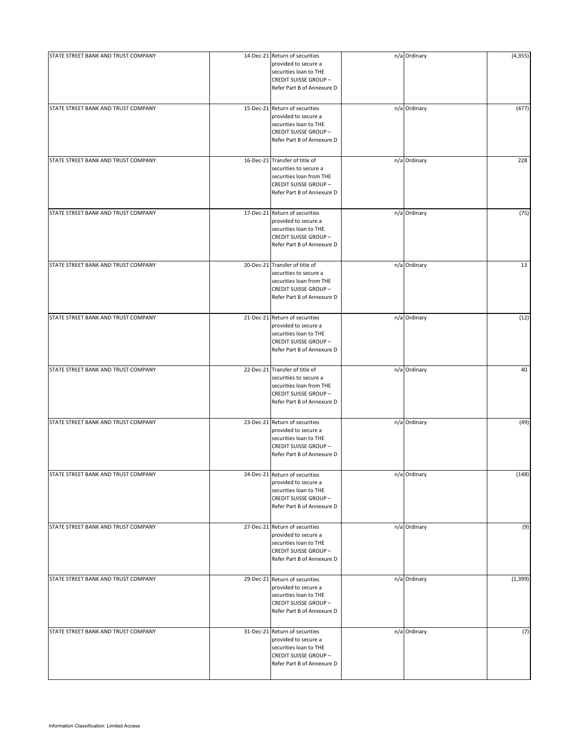| STATE STREET BANK AND TRUST COMPANY | 14-Dec-21 Return of securities                            | n/a Ordinary | (4, 355) |
|-------------------------------------|-----------------------------------------------------------|--------------|----------|
|                                     | provided to secure a                                      |              |          |
|                                     | securities loan to THE                                    |              |          |
|                                     | <b>CREDIT SUISSE GROUP-</b>                               |              |          |
|                                     | Refer Part B of Annexure D                                |              |          |
|                                     |                                                           |              |          |
| STATE STREET BANK AND TRUST COMPANY | 15-Dec-21 Return of securities                            | n/a Ordinary | (477)    |
|                                     | provided to secure a                                      |              |          |
|                                     | securities loan to THE                                    |              |          |
|                                     | <b>CREDIT SUISSE GROUP-</b>                               |              |          |
|                                     | Refer Part B of Annexure D                                |              |          |
| STATE STREET BANK AND TRUST COMPANY | 16-Dec-21 Transfer of title of                            | n/a Ordinary | 228      |
|                                     | securities to secure a                                    |              |          |
|                                     | securities loan from THE                                  |              |          |
|                                     | <b>CREDIT SUISSE GROUP-</b>                               |              |          |
|                                     | Refer Part B of Annexure D                                |              |          |
|                                     |                                                           |              |          |
| STATE STREET BANK AND TRUST COMPANY | 17-Dec-21 Return of securities                            | n/a Ordinary | (75)     |
|                                     | provided to secure a                                      |              |          |
|                                     | securities loan to THE                                    |              |          |
|                                     | <b>CREDIT SUISSE GROUP-</b><br>Refer Part B of Annexure D |              |          |
|                                     |                                                           |              |          |
| STATE STREET BANK AND TRUST COMPANY | 20-Dec-21 Transfer of title of                            | n/a Ordinary | 13       |
|                                     | securities to secure a                                    |              |          |
|                                     | securities loan from THE                                  |              |          |
|                                     | <b>CREDIT SUISSE GROUP-</b>                               |              |          |
|                                     | Refer Part B of Annexure D                                |              |          |
| STATE STREET BANK AND TRUST COMPANY | 21-Dec-21 Return of securities                            | n/a Ordinary | (12)     |
|                                     | provided to secure a                                      |              |          |
|                                     | securities loan to THE                                    |              |          |
|                                     | <b>CREDIT SUISSE GROUP-</b>                               |              |          |
|                                     | Refer Part B of Annexure D                                |              |          |
|                                     |                                                           |              |          |
| STATE STREET BANK AND TRUST COMPANY | 22-Dec-21 Transfer of title of<br>securities to secure a  | n/a Ordinary | 40       |
|                                     | securities loan from THE                                  |              |          |
|                                     | <b>CREDIT SUISSE GROUP-</b>                               |              |          |
|                                     | Refer Part B of Annexure D                                |              |          |
|                                     |                                                           |              |          |
| STATE STREET BANK AND TRUST COMPANY | 23-Dec-21 Return of securities                            | n/a Ordinary | (49)     |
|                                     | provided to secure a                                      |              |          |
|                                     | securities loan to THE<br><b>CREDIT SUISSE GROUP-</b>     |              |          |
|                                     | Refer Part B of Annexure D                                |              |          |
|                                     |                                                           |              |          |
| STATE STREET BANK AND TRUST COMPANY | 24-Dec-21 Return of securities                            | n/a Ordinary | (148)    |
|                                     | provided to secure a                                      |              |          |
|                                     | securities loan to THE                                    |              |          |
|                                     | <b>CREDIT SUISSE GROUP-</b><br>Refer Part B of Annexure D |              |          |
|                                     |                                                           |              |          |
| STATE STREET BANK AND TRUST COMPANY | 27-Dec-21 Return of securities                            | n/a Ordinary | (9)      |
|                                     | provided to secure a                                      |              |          |
|                                     | securities loan to THE                                    |              |          |
|                                     | <b>CREDIT SUISSE GROUP-</b>                               |              |          |
|                                     | Refer Part B of Annexure D                                |              |          |
| STATE STREET BANK AND TRUST COMPANY | 29-Dec-21 Return of securities                            | n/a Ordinary | (1, 399) |
|                                     | provided to secure a                                      |              |          |
|                                     | securities loan to THE                                    |              |          |
|                                     | <b>CREDIT SUISSE GROUP-</b>                               |              |          |
|                                     | Refer Part B of Annexure D                                |              |          |
|                                     | 31-Dec-21 Return of securities                            |              |          |
| STATE STREET BANK AND TRUST COMPANY | provided to secure a                                      | n/a Ordinary | (7)      |
|                                     | securities loan to THE                                    |              |          |
|                                     | <b>CREDIT SUISSE GROUP-</b>                               |              |          |
|                                     | Refer Part B of Annexure D                                |              |          |
|                                     |                                                           |              |          |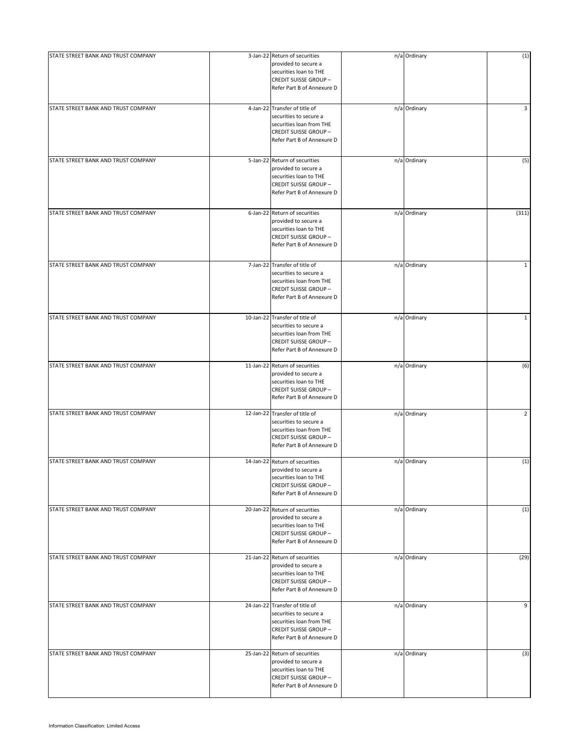| STATE STREET BANK AND TRUST COMPANY |           | 3-Jan-22 Return of securities                                                                                                                     | n/a Ordinary | (1)            |
|-------------------------------------|-----------|---------------------------------------------------------------------------------------------------------------------------------------------------|--------------|----------------|
|                                     |           | provided to secure a<br>securities loan to THE<br><b>CREDIT SUISSE GROUP-</b><br>Refer Part B of Annexure D                                       |              |                |
| STATE STREET BANK AND TRUST COMPANY |           | 4-Jan-22 Transfer of title of<br>securities to secure a<br>securities loan from THE<br><b>CREDIT SUISSE GROUP-</b><br>Refer Part B of Annexure D  | n/a Ordinary | 3              |
| STATE STREET BANK AND TRUST COMPANY |           | 5-Jan-22 Return of securities<br>provided to secure a<br>securities loan to THE<br><b>CREDIT SUISSE GROUP-</b><br>Refer Part B of Annexure D      | n/a Ordinary | (5)            |
| STATE STREET BANK AND TRUST COMPANY |           | 6-Jan-22 Return of securities<br>provided to secure a<br>securities loan to THE<br><b>CREDIT SUISSE GROUP-</b><br>Refer Part B of Annexure D      | n/a Ordinary | (311)          |
| STATE STREET BANK AND TRUST COMPANY |           | 7-Jan-22 Transfer of title of<br>securities to secure a<br>securities loan from THE<br><b>CREDIT SUISSE GROUP -</b><br>Refer Part B of Annexure D | n/a Ordinary | $\mathbf{1}$   |
| STATE STREET BANK AND TRUST COMPANY |           | 10-Jan-22 Transfer of title of<br>securities to secure a<br>securities loan from THE<br><b>CREDIT SUISSE GROUP-</b><br>Refer Part B of Annexure D | n/a Ordinary | $\mathbf{1}$   |
| STATE STREET BANK AND TRUST COMPANY |           | 11-Jan-22 Return of securities<br>provided to secure a<br>securities loan to THE<br><b>CREDIT SUISSE GROUP-</b><br>Refer Part B of Annexure D     | n/a Ordinary | (6)            |
| STATE STREET BANK AND TRUST COMPANY |           | 12-Jan-22 Transfer of title of<br>securities to secure a<br>securities loan from THE<br><b>CREDIT SUISSE GROUP-</b><br>Refer Part B of Annexure D | n/a Ordinary | $\overline{2}$ |
| STATE STREET BANK AND TRUST COMPANY |           | 14-Jan-22 Return of securities<br>provided to secure a<br>securities loan to THE<br><b>CREDIT SUISSE GROUP-</b><br>Refer Part B of Annexure D     | n/a Ordinary | (1)            |
| STATE STREET BANK AND TRUST COMPANY |           | 20-Jan-22 Return of securities<br>provided to secure a<br>securities loan to THE<br><b>CREDIT SUISSE GROUP-</b><br>Refer Part B of Annexure D     | n/a Ordinary | (1)            |
| STATE STREET BANK AND TRUST COMPANY |           | 21-Jan-22 Return of securities<br>provided to secure a<br>securities loan to THE<br><b>CREDIT SUISSE GROUP-</b><br>Refer Part B of Annexure D     | n/a Ordinary | (29)           |
| STATE STREET BANK AND TRUST COMPANY | 24-Jan-22 | Transfer of title of<br>securities to secure a<br>securities loan from THE<br><b>CREDIT SUISSE GROUP-</b><br>Refer Part B of Annexure D           | n/a Ordinary | 9              |
| STATE STREET BANK AND TRUST COMPANY |           | 25-Jan-22 Return of securities<br>provided to secure a<br>securities loan to THE<br><b>CREDIT SUISSE GROUP-</b><br>Refer Part B of Annexure D     | n/a Ordinary | (3)            |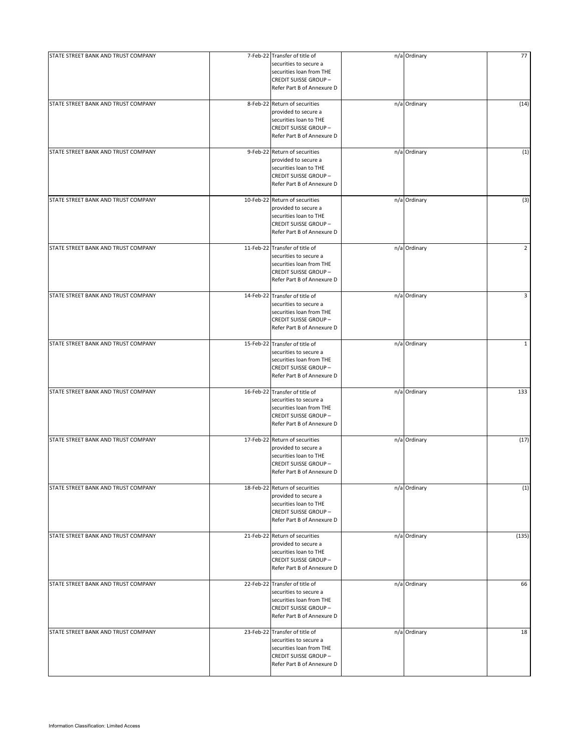| STATE STREET BANK AND TRUST COMPANY | 7-Feb-22 Transfer of title of<br>securities to secure a<br>securities loan from THE<br><b>CREDIT SUISSE GROUP-</b><br>Refer Part B of Annexure D   | n/a Ordinary | 77             |
|-------------------------------------|----------------------------------------------------------------------------------------------------------------------------------------------------|--------------|----------------|
| STATE STREET BANK AND TRUST COMPANY | 8-Feb-22 Return of securities<br>provided to secure a<br>securities loan to THE<br><b>CREDIT SUISSE GROUP-</b><br>Refer Part B of Annexure D       | n/a Ordinary | (14)           |
| STATE STREET BANK AND TRUST COMPANY | 9-Feb-22 Return of securities<br>provided to secure a<br>securities loan to THE<br><b>CREDIT SUISSE GROUP-</b><br>Refer Part B of Annexure D       | n/a Ordinary | (1)            |
| STATE STREET BANK AND TRUST COMPANY | 10-Feb-22 Return of securities<br>provided to secure a<br>securities loan to THE<br><b>CREDIT SUISSE GROUP -</b><br>Refer Part B of Annexure D     | n/a Ordinary | (3)            |
| STATE STREET BANK AND TRUST COMPANY | 11-Feb-22 Transfer of title of<br>securities to secure a<br>securities loan from THE<br><b>CREDIT SUISSE GROUP -</b><br>Refer Part B of Annexure D | n/a Ordinary | $\overline{2}$ |
| STATE STREET BANK AND TRUST COMPANY | 14-Feb-22 Transfer of title of<br>securities to secure a<br>securities loan from THE<br><b>CREDIT SUISSE GROUP-</b><br>Refer Part B of Annexure D  | n/a Ordinary | 3              |
| STATE STREET BANK AND TRUST COMPANY | 15-Feb-22 Transfer of title of<br>securities to secure a<br>securities loan from THE<br><b>CREDIT SUISSE GROUP-</b><br>Refer Part B of Annexure D  | n/a Ordinary | $\mathbf{1}$   |
| STATE STREET BANK AND TRUST COMPANY | 16-Feb-22 Transfer of title of<br>securities to secure a<br>securities loan from THE<br><b>CREDIT SUISSE GROUP-</b><br>Refer Part B of Annexure D  | n/a Ordinary | 133            |
| STATE STREET BANK AND TRUST COMPANY | 17-Feb-22 Return of securities<br>provided to secure a<br>securities loan to THE<br><b>CREDIT SUISSE GROUP-</b><br>Refer Part B of Annexure D      | n/a Ordinary | (17)           |
| STATE STREET BANK AND TRUST COMPANY | 18-Feb-22 Return of securities<br>provided to secure a<br>securities loan to THE<br><b>CREDIT SUISSE GROUP-</b><br>Refer Part B of Annexure D      | n/a Ordinary | (1)            |
| STATE STREET BANK AND TRUST COMPANY | 21-Feb-22 Return of securities<br>provided to secure a<br>securities loan to THE<br><b>CREDIT SUISSE GROUP-</b><br>Refer Part B of Annexure D      | n/a Ordinary | (135)          |
| STATE STREET BANK AND TRUST COMPANY | 22-Feb-22 Transfer of title of<br>securities to secure a<br>securities loan from THE<br><b>CREDIT SUISSE GROUP-</b><br>Refer Part B of Annexure D  | n/a Ordinary | 66             |
| STATE STREET BANK AND TRUST COMPANY | 23-Feb-22 Transfer of title of<br>securities to secure a<br>securities loan from THE<br><b>CREDIT SUISSE GROUP-</b><br>Refer Part B of Annexure D  | n/a Ordinary | 18             |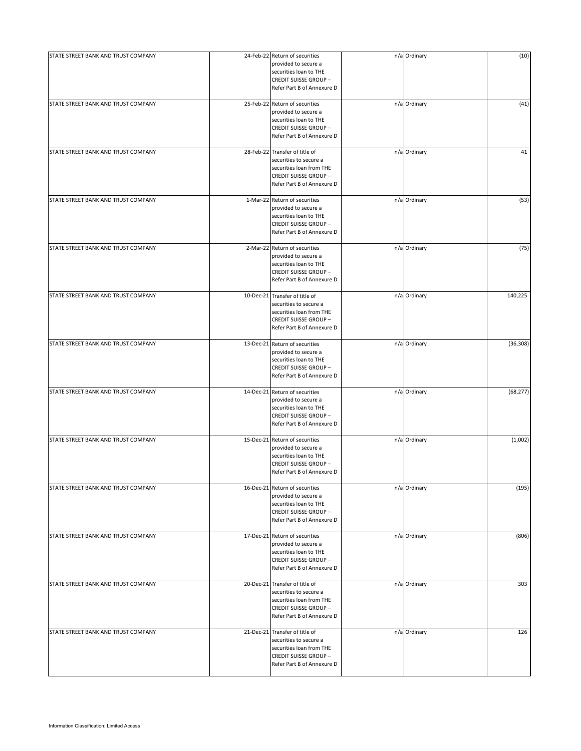| STATE STREET BANK AND TRUST COMPANY | 24-Feb-22 Return of securities<br>provided to secure a<br>securities loan to THE<br><b>CREDIT SUISSE GROUP-</b><br>Refer Part B of Annexure D      | n/a Ordinary | (10)      |
|-------------------------------------|----------------------------------------------------------------------------------------------------------------------------------------------------|--------------|-----------|
| STATE STREET BANK AND TRUST COMPANY | 25-Feb-22 Return of securities<br>provided to secure a<br>securities loan to THE<br><b>CREDIT SUISSE GROUP-</b><br>Refer Part B of Annexure D      | n/a Ordinary | (41)      |
| STATE STREET BANK AND TRUST COMPANY | 28-Feb-22 Transfer of title of<br>securities to secure a<br>securities loan from THE<br><b>CREDIT SUISSE GROUP-</b><br>Refer Part B of Annexure D  | n/a Ordinary | 41        |
| STATE STREET BANK AND TRUST COMPANY | 1-Mar-22 Return of securities<br>provided to secure a<br>securities loan to THE<br><b>CREDIT SUISSE GROUP-</b><br>Refer Part B of Annexure D       | n/a Ordinary | (53)      |
| STATE STREET BANK AND TRUST COMPANY | 2-Mar-22 Return of securities<br>provided to secure a<br>securities loan to THE<br><b>CREDIT SUISSE GROUP-</b><br>Refer Part B of Annexure D       | n/a Ordinary | (75)      |
| STATE STREET BANK AND TRUST COMPANY | 10-Dec-21 Transfer of title of<br>securities to secure a<br>securities loan from THE<br><b>CREDIT SUISSE GROUP-</b><br>Refer Part B of Annexure D  | n/a Ordinary | 140,225   |
| STATE STREET BANK AND TRUST COMPANY | 13-Dec-21 Return of securities<br>provided to secure a<br>securities loan to THE<br><b>CREDIT SUISSE GROUP-</b><br>Refer Part B of Annexure D      | n/a Ordinary | (36, 308) |
| STATE STREET BANK AND TRUST COMPANY | 14-Dec-21 Return of securities<br>provided to secure a<br>securities loan to THE<br><b>CREDIT SUISSE GROUP-</b><br>Refer Part B of Annexure D      | n/a Ordinary | (68, 277) |
| STATE STREET BANK AND TRUST COMPANY | 15-Dec-21 Return of securities<br>provided to secure a<br>securities loan to THE<br><b>CREDIT SUISSE GROUP-</b><br>Refer Part B of Annexure D      | n/a Ordinary | (1,002)   |
| STATE STREET BANK AND TRUST COMPANY | 16-Dec-21 Return of securities<br>provided to secure a<br>securities loan to THE<br><b>CREDIT SUISSE GROUP-</b><br>Refer Part B of Annexure D      | n/a Ordinary | (195)     |
| STATE STREET BANK AND TRUST COMPANY | 17-Dec-21 Return of securities<br>provided to secure a<br>securities loan to THE<br><b>CREDIT SUISSE GROUP-</b><br>Refer Part B of Annexure D      | n/a Ordinary | (806)     |
| STATE STREET BANK AND TRUST COMPANY | 20-Dec-21 Transfer of title of<br>securities to secure a<br>securities loan from THE<br><b>CREDIT SUISSE GROUP-</b><br>Refer Part B of Annexure D  | n/a Ordinary | 303       |
| STATE STREET BANK AND TRUST COMPANY | 21-Dec-21 Transfer of title of<br>securities to secure a<br>securities loan from THE<br><b>CREDIT SUISSE GROUP -</b><br>Refer Part B of Annexure D | n/a Ordinary | 126       |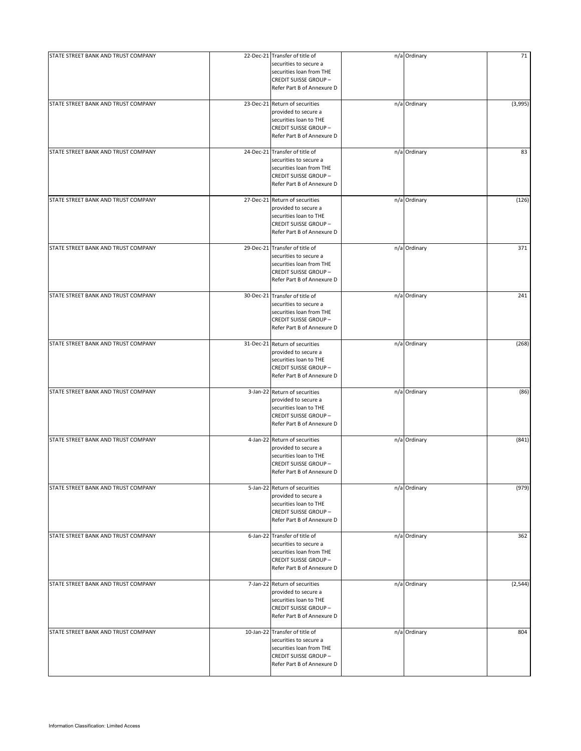| STATE STREET BANK AND TRUST COMPANY | 22-Dec-21 Transfer of title of                                                                                                                     | n/a Ordinary | 71       |
|-------------------------------------|----------------------------------------------------------------------------------------------------------------------------------------------------|--------------|----------|
|                                     | securities to secure a<br>securities loan from THE<br><b>CREDIT SUISSE GROUP-</b><br>Refer Part B of Annexure D                                    |              |          |
| STATE STREET BANK AND TRUST COMPANY | 23-Dec-21 Return of securities<br>provided to secure a<br>securities loan to THE<br><b>CREDIT SUISSE GROUP-</b><br>Refer Part B of Annexure D      | n/a Ordinary | (3,995)  |
| STATE STREET BANK AND TRUST COMPANY | 24-Dec-21 Transfer of title of<br>securities to secure a<br>securities loan from THE<br><b>CREDIT SUISSE GROUP-</b><br>Refer Part B of Annexure D  | n/a Ordinary | 83       |
| STATE STREET BANK AND TRUST COMPANY | 27-Dec-21 Return of securities<br>provided to secure a<br>securities loan to THE<br><b>CREDIT SUISSE GROUP-</b><br>Refer Part B of Annexure D      | n/a Ordinary | (126)    |
| STATE STREET BANK AND TRUST COMPANY | 29-Dec-21 Transfer of title of<br>securities to secure a<br>securities loan from THE<br><b>CREDIT SUISSE GROUP-</b><br>Refer Part B of Annexure D  | n/a Ordinary | 371      |
| STATE STREET BANK AND TRUST COMPANY | 30-Dec-21 Transfer of title of<br>securities to secure a<br>securities loan from THE<br><b>CREDIT SUISSE GROUP-</b><br>Refer Part B of Annexure D  | n/a Ordinary | 241      |
| STATE STREET BANK AND TRUST COMPANY | 31-Dec-21 Return of securities<br>provided to secure a<br>securities loan to THE<br><b>CREDIT SUISSE GROUP-</b><br>Refer Part B of Annexure D      | n/a Ordinary | (268)    |
| STATE STREET BANK AND TRUST COMPANY | 3-Jan-22 Return of securities<br>provided to secure a<br>securities loan to THE<br><b>CREDIT SUISSE GROUP-</b><br>Refer Part B of Annexure D       | n/a Ordinary | (86)     |
| STATE STREET BANK AND TRUST COMPANY | 4-Jan-22 Return of securities<br>provided to secure a<br>securities loan to THE<br><b>CREDIT SUISSE GROUP-</b><br>Refer Part B of Annexure D       | n/a Ordinary | (841)    |
| STATE STREET BANK AND TRUST COMPANY | 5-Jan-22 Return of securities<br>provided to secure a<br>securities loan to THE<br><b>CREDIT SUISSE GROUP-</b><br>Refer Part B of Annexure D       | n/a Ordinary | (979)    |
| STATE STREET BANK AND TRUST COMPANY | 6-Jan-22 Transfer of title of<br>securities to secure a<br>securities loan from THE<br><b>CREDIT SUISSE GROUP-</b><br>Refer Part B of Annexure D   | n/a Ordinary | 362      |
| STATE STREET BANK AND TRUST COMPANY | 7-Jan-22 Return of securities<br>provided to secure a<br>securities loan to THE<br><b>CREDIT SUISSE GROUP-</b><br>Refer Part B of Annexure D       | n/a Ordinary | (2, 544) |
| STATE STREET BANK AND TRUST COMPANY | 10-Jan-22 Transfer of title of<br>securities to secure a<br>securities loan from THE<br><b>CREDIT SUISSE GROUP -</b><br>Refer Part B of Annexure D | n/a Ordinary | 804      |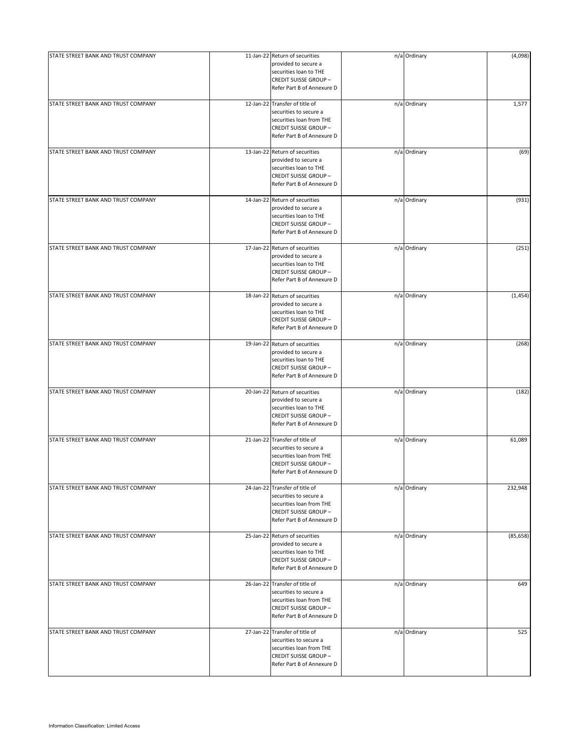| STATE STREET BANK AND TRUST COMPANY | 11-Jan-22 Return of securities<br>provided to secure a<br>securities loan to THE<br><b>CREDIT SUISSE GROUP-</b><br>Refer Part B of Annexure D      | n/a Ordinary | (4,098)   |
|-------------------------------------|----------------------------------------------------------------------------------------------------------------------------------------------------|--------------|-----------|
| STATE STREET BANK AND TRUST COMPANY | 12-Jan-22 Transfer of title of<br>securities to secure a<br>securities loan from THE<br><b>CREDIT SUISSE GROUP-</b><br>Refer Part B of Annexure D  | n/a Ordinary | 1,577     |
| STATE STREET BANK AND TRUST COMPANY | 13-Jan-22 Return of securities<br>provided to secure a<br>securities loan to THE<br><b>CREDIT SUISSE GROUP-</b><br>Refer Part B of Annexure D      | n/a Ordinary | (69)      |
| STATE STREET BANK AND TRUST COMPANY | 14-Jan-22 Return of securities<br>provided to secure a<br>securities loan to THE<br><b>CREDIT SUISSE GROUP-</b><br>Refer Part B of Annexure D      | n/a Ordinary | (931)     |
| STATE STREET BANK AND TRUST COMPANY | 17-Jan-22 Return of securities<br>provided to secure a<br>securities loan to THE<br><b>CREDIT SUISSE GROUP-</b><br>Refer Part B of Annexure D      | n/a Ordinary | (251)     |
| STATE STREET BANK AND TRUST COMPANY | 18-Jan-22 Return of securities<br>provided to secure a<br>securities loan to THE<br><b>CREDIT SUISSE GROUP-</b><br>Refer Part B of Annexure D      | n/a Ordinary | (1, 454)  |
| STATE STREET BANK AND TRUST COMPANY | 19-Jan-22 Return of securities<br>provided to secure a<br>securities loan to THE<br><b>CREDIT SUISSE GROUP-</b><br>Refer Part B of Annexure D      | n/a Ordinary | (268)     |
| STATE STREET BANK AND TRUST COMPANY | 20-Jan-22 Return of securities<br>provided to secure a<br>securities loan to THE<br><b>CREDIT SUISSE GROUP-</b><br>Refer Part B of Annexure D      | n/a Ordinary | (182)     |
| STATE STREET BANK AND TRUST COMPANY | 21-Jan-22 Transfer of title of<br>securities to secure a<br>securities loan from THE<br><b>CREDIT SUISSE GROUP-</b><br>Refer Part B of Annexure D  | n/a Ordinary | 61,089    |
| STATE STREET BANK AND TRUST COMPANY | 24-Jan-22 Transfer of title of<br>securities to secure a<br>securities loan from THE<br><b>CREDIT SUISSE GROUP-</b><br>Refer Part B of Annexure D  | n/a Ordinary | 232,948   |
| STATE STREET BANK AND TRUST COMPANY | 25-Jan-22 Return of securities<br>provided to secure a<br>securities loan to THE<br><b>CREDIT SUISSE GROUP-</b><br>Refer Part B of Annexure D      | n/a Ordinary | (85, 658) |
| STATE STREET BANK AND TRUST COMPANY | 26-Jan-22 Transfer of title of<br>securities to secure a<br>securities loan from THE<br><b>CREDIT SUISSE GROUP-</b><br>Refer Part B of Annexure D  | n/a Ordinary | 649       |
| STATE STREET BANK AND TRUST COMPANY | 27-Jan-22 Transfer of title of<br>securities to secure a<br>securities loan from THE<br><b>CREDIT SUISSE GROUP -</b><br>Refer Part B of Annexure D | n/a Ordinary | 525       |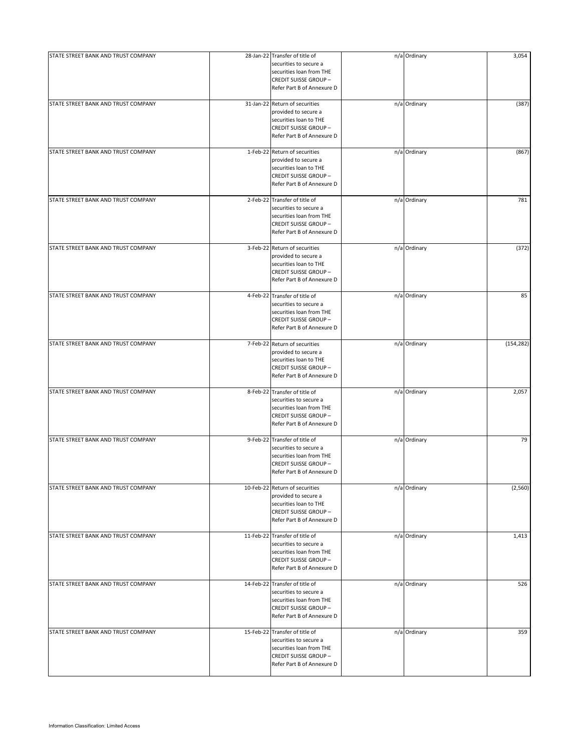| STATE STREET BANK AND TRUST COMPANY | 28-Jan-22 Transfer of title of                                                                                                                     | n/a Ordinary | 3,054      |
|-------------------------------------|----------------------------------------------------------------------------------------------------------------------------------------------------|--------------|------------|
|                                     | securities to secure a<br>securities loan from THE<br><b>CREDIT SUISSE GROUP-</b><br>Refer Part B of Annexure D                                    |              |            |
| STATE STREET BANK AND TRUST COMPANY | 31-Jan-22 Return of securities<br>provided to secure a<br>securities loan to THE<br><b>CREDIT SUISSE GROUP-</b><br>Refer Part B of Annexure D      | n/a Ordinary | (387)      |
| STATE STREET BANK AND TRUST COMPANY | 1-Feb-22 Return of securities<br>provided to secure a<br>securities loan to THE<br><b>CREDIT SUISSE GROUP-</b><br>Refer Part B of Annexure D       | n/a Ordinary | (867)      |
| STATE STREET BANK AND TRUST COMPANY | 2-Feb-22 Transfer of title of<br>securities to secure a<br>securities loan from THE<br><b>CREDIT SUISSE GROUP -</b><br>Refer Part B of Annexure D  | n/a Ordinary | 781        |
| STATE STREET BANK AND TRUST COMPANY | 3-Feb-22 Return of securities<br>provided to secure a<br>securities loan to THE<br><b>CREDIT SUISSE GROUP-</b><br>Refer Part B of Annexure D       | n/a Ordinary | (372)      |
| STATE STREET BANK AND TRUST COMPANY | 4-Feb-22 Transfer of title of<br>securities to secure a<br>securities loan from THE<br><b>CREDIT SUISSE GROUP-</b><br>Refer Part B of Annexure D   | n/a Ordinary | 85         |
| STATE STREET BANK AND TRUST COMPANY | 7-Feb-22 Return of securities<br>provided to secure a<br>securities loan to THE<br><b>CREDIT SUISSE GROUP-</b><br>Refer Part B of Annexure D       | n/a Ordinary | (154, 282) |
| STATE STREET BANK AND TRUST COMPANY | 8-Feb-22 Transfer of title of<br>securities to secure a<br>securities loan from THE<br><b>CREDIT SUISSE GROUP-</b><br>Refer Part B of Annexure D   | n/a Ordinary | 2,057      |
| STATE STREET BANK AND TRUST COMPANY | 9-Feb-22 Transfer of title of<br>securities to secure a<br>securities loan from THE<br><b>CREDIT SUISSE GROUP-</b><br>Refer Part B of Annexure D   | n/a Ordinary | 79         |
| STATE STREET BANK AND TRUST COMPANY | 10-Feb-22 Return of securities<br>provided to secure a<br>securities loan to THE<br><b>CREDIT SUISSE GROUP-</b><br>Refer Part B of Annexure D      | n/a Ordinary | (2,560)    |
| STATE STREET BANK AND TRUST COMPANY | 11-Feb-22 Transfer of title of<br>securities to secure a<br>securities loan from THE<br><b>CREDIT SUISSE GROUP-</b><br>Refer Part B of Annexure D  | n/a Ordinary | 1,413      |
| STATE STREET BANK AND TRUST COMPANY | 14-Feb-22 Transfer of title of<br>securities to secure a<br>securities loan from THE<br><b>CREDIT SUISSE GROUP-</b><br>Refer Part B of Annexure D  | n/a Ordinary | 526        |
| STATE STREET BANK AND TRUST COMPANY | 15-Feb-22 Transfer of title of<br>securities to secure a<br>securities loan from THE<br><b>CREDIT SUISSE GROUP -</b><br>Refer Part B of Annexure D | n/a Ordinary | 359        |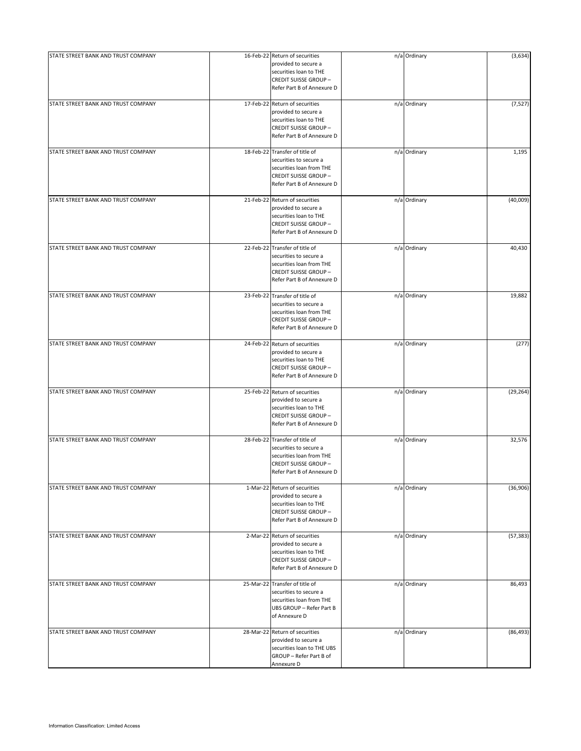| STATE STREET BANK AND TRUST COMPANY | 16-Feb-22 Return of securities<br>provided to secure a<br>securities loan to THE<br><b>CREDIT SUISSE GROUP-</b><br>Refer Part B of Annexure D     | n/a Ordinary | (3,634)   |
|-------------------------------------|---------------------------------------------------------------------------------------------------------------------------------------------------|--------------|-----------|
| STATE STREET BANK AND TRUST COMPANY | 17-Feb-22 Return of securities<br>provided to secure a<br>securities loan to THE<br><b>CREDIT SUISSE GROUP-</b><br>Refer Part B of Annexure D     | n/a Ordinary | (7, 527)  |
| STATE STREET BANK AND TRUST COMPANY | 18-Feb-22 Transfer of title of<br>securities to secure a<br>securities loan from THE<br><b>CREDIT SUISSE GROUP-</b><br>Refer Part B of Annexure D | n/a Ordinary | 1,195     |
| STATE STREET BANK AND TRUST COMPANY | 21-Feb-22 Return of securities<br>provided to secure a<br>securities loan to THE<br><b>CREDIT SUISSE GROUP-</b><br>Refer Part B of Annexure D     | n/a Ordinary | (40,009)  |
| STATE STREET BANK AND TRUST COMPANY | 22-Feb-22 Transfer of title of<br>securities to secure a<br>securities loan from THE<br><b>CREDIT SUISSE GROUP-</b><br>Refer Part B of Annexure D | n/a Ordinary | 40,430    |
| STATE STREET BANK AND TRUST COMPANY | 23-Feb-22 Transfer of title of<br>securities to secure a<br>securities loan from THE<br><b>CREDIT SUISSE GROUP-</b><br>Refer Part B of Annexure D | n/a Ordinary | 19,882    |
| STATE STREET BANK AND TRUST COMPANY | 24-Feb-22 Return of securities<br>provided to secure a<br>securities loan to THE<br><b>CREDIT SUISSE GROUP-</b><br>Refer Part B of Annexure D     | n/a Ordinary | (277)     |
| STATE STREET BANK AND TRUST COMPANY | 25-Feb-22 Return of securities<br>provided to secure a<br>securities loan to THE<br><b>CREDIT SUISSE GROUP-</b><br>Refer Part B of Annexure D     | n/a Ordinary | (29, 264) |
| STATE STREET BANK AND TRUST COMPANY | 28-Feb-22 Transfer of title of<br>securities to secure a<br>securities loan from THE<br><b>CREDIT SUISSE GROUP-</b><br>Refer Part B of Annexure D | n/a Ordinary | 32,576    |
| STATE STREET BANK AND TRUST COMPANY | 1-Mar-22 Return of securities<br>provided to secure a<br>securities loan to THE<br><b>CREDIT SUISSE GROUP-</b><br>Refer Part B of Annexure D      | n/a Ordinary | (36,906)  |
| STATE STREET BANK AND TRUST COMPANY | 2-Mar-22 Return of securities<br>provided to secure a<br>securities loan to THE<br><b>CREDIT SUISSE GROUP-</b><br>Refer Part B of Annexure D      | n/a Ordinary | (57, 383) |
| STATE STREET BANK AND TRUST COMPANY | 25-Mar-22 Transfer of title of<br>securities to secure a<br>securities loan from THE<br>UBS GROUP - Refer Part B<br>of Annexure D                 | n/a Ordinary | 86,493    |
| STATE STREET BANK AND TRUST COMPANY | 28-Mar-22 Return of securities<br>provided to secure a<br>securities loan to THE UBS<br>GROUP - Refer Part B of<br>Annexure D                     | n/a Ordinary | (86, 493) |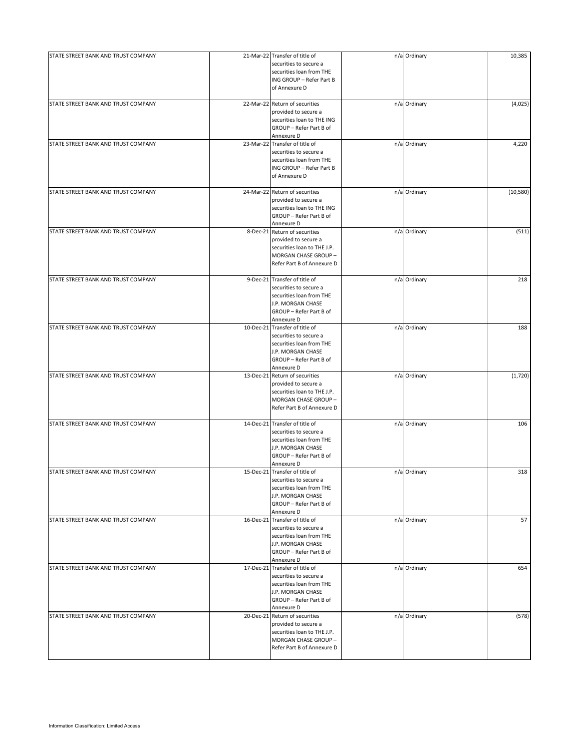| STATE STREET BANK AND TRUST COMPANY | 21-Mar-22 Transfer of title of                         | n/a Ordinary | 10,385    |
|-------------------------------------|--------------------------------------------------------|--------------|-----------|
|                                     | securities to secure a                                 |              |           |
|                                     | securities loan from THE                               |              |           |
|                                     | ING GROUP - Refer Part B                               |              |           |
|                                     | of Annexure D                                          |              |           |
|                                     |                                                        |              |           |
| STATE STREET BANK AND TRUST COMPANY | 22-Mar-22 Return of securities<br>provided to secure a | n/a Ordinary | (4,025)   |
|                                     |                                                        |              |           |
|                                     | securities loan to THE ING                             |              |           |
|                                     | GROUP - Refer Part B of                                |              |           |
| STATE STREET BANK AND TRUST COMPANY | Annexure D                                             |              | 4,220     |
|                                     | 23-Mar-22 Transfer of title of                         | n/a Ordinary |           |
|                                     | securities to secure a                                 |              |           |
|                                     | securities loan from THE                               |              |           |
|                                     | ING GROUP - Refer Part B<br>of Annexure D              |              |           |
|                                     |                                                        |              |           |
| STATE STREET BANK AND TRUST COMPANY | 24-Mar-22 Return of securities                         | n/a Ordinary | (10, 580) |
|                                     | provided to secure a                                   |              |           |
|                                     | securities loan to THE ING<br>GROUP - Refer Part B of  |              |           |
|                                     |                                                        |              |           |
|                                     | Annexure D                                             |              |           |
| STATE STREET BANK AND TRUST COMPANY | 8-Dec-21 Return of securities                          | n/a Ordinary | (511)     |
|                                     | provided to secure a                                   |              |           |
|                                     | securities loan to THE J.P.                            |              |           |
|                                     | MORGAN CHASE GROUP -                                   |              |           |
|                                     | Refer Part B of Annexure D                             |              |           |
| STATE STREET BANK AND TRUST COMPANY | 9-Dec-21 Transfer of title of                          | n/a Ordinary | 218       |
|                                     | securities to secure a                                 |              |           |
|                                     | securities loan from THE                               |              |           |
|                                     | J.P. MORGAN CHASE                                      |              |           |
|                                     | GROUP - Refer Part B of                                |              |           |
|                                     | Annexure D                                             |              |           |
| STATE STREET BANK AND TRUST COMPANY | 10-Dec-21 Transfer of title of                         | n/a Ordinary | 188       |
|                                     | securities to secure a                                 |              |           |
|                                     | securities loan from THE                               |              |           |
|                                     | J.P. MORGAN CHASE                                      |              |           |
|                                     | GROUP - Refer Part B of                                |              |           |
|                                     | Annexure D                                             |              |           |
| STATE STREET BANK AND TRUST COMPANY | 13-Dec-21 Return of securities                         | n/a Ordinary | (1,720)   |
|                                     | provided to secure a                                   |              |           |
|                                     | securities loan to THE J.P.                            |              |           |
|                                     | MORGAN CHASE GROUP -                                   |              |           |
|                                     | Refer Part B of Annexure D                             |              |           |
|                                     |                                                        |              |           |
| STATE STREET BANK AND TRUST COMPANY | 14-Dec-21 Transfer of title of                         | n/a Ordinary | 106       |
|                                     | securities to secure a                                 |              |           |
|                                     | securities loan from THE                               |              |           |
|                                     | J.P. MORGAN CHASE                                      |              |           |
|                                     | GROUP - Refer Part B of                                |              |           |
|                                     | Annexure D                                             |              |           |
| STATE STREET BANK AND TRUST COMPANY | 15-Dec-21 Transfer of title of                         | n/a Ordinary | 318       |
|                                     | securities to secure a                                 |              |           |
|                                     | securities loan from THE                               |              |           |
|                                     | J.P. MORGAN CHASE                                      |              |           |
|                                     | GROUP - Refer Part B of                                |              |           |
|                                     | Annexure D                                             |              |           |
| STATE STREET BANK AND TRUST COMPANY | 16-Dec-21 Transfer of title of                         | n/a Ordinary | 57        |
|                                     | securities to secure a                                 |              |           |
|                                     | securities loan from THE                               |              |           |
|                                     | J.P. MORGAN CHASE                                      |              |           |
|                                     | GROUP - Refer Part B of                                |              |           |
|                                     | Annexure D                                             |              |           |
| STATE STREET BANK AND TRUST COMPANY | 17-Dec-21 Transfer of title of                         | n/a Ordinary | 654       |
|                                     | securities to secure a                                 |              |           |
|                                     | securities loan from THE                               |              |           |
|                                     | J.P. MORGAN CHASE                                      |              |           |
|                                     | GROUP - Refer Part B of                                |              |           |
|                                     | Annexure D                                             |              |           |
| STATE STREET BANK AND TRUST COMPANY | 20-Dec-21 Return of securities                         | n/a Ordinary | (578)     |
|                                     | provided to secure a                                   |              |           |
|                                     | securities loan to THE J.P.                            |              |           |
|                                     | MORGAN CHASE GROUP -                                   |              |           |
|                                     | Refer Part B of Annexure D                             |              |           |
|                                     |                                                        |              |           |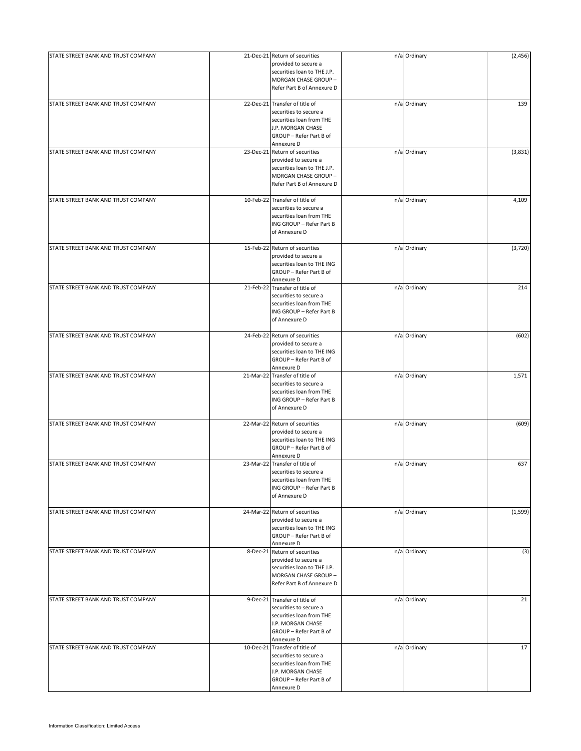| STATE STREET BANK AND TRUST COMPANY | 21-Dec-21 Return of securities<br>provided to secure a<br>securities loan to THE J.P.<br>MORGAN CHASE GROUP -<br>Refer Part B of Annexure D        | n/a Ordinary | (2, 456) |
|-------------------------------------|----------------------------------------------------------------------------------------------------------------------------------------------------|--------------|----------|
| STATE STREET BANK AND TRUST COMPANY | 22-Dec-21 Transfer of title of<br>securities to secure a<br>securities loan from THE<br>J.P. MORGAN CHASE<br>GROUP - Refer Part B of<br>Annexure D | n/a Ordinary | 139      |
| STATE STREET BANK AND TRUST COMPANY | 23-Dec-21 Return of securities<br>provided to secure a<br>securities loan to THE J.P.<br>MORGAN CHASE GROUP -<br>Refer Part B of Annexure D        | n/a Ordinary | (3,831)  |
| STATE STREET BANK AND TRUST COMPANY | 10-Feb-22 Transfer of title of<br>securities to secure a<br>securities loan from THE<br>ING GROUP - Refer Part B<br>of Annexure D                  | n/a Ordinary | 4,109    |
| STATE STREET BANK AND TRUST COMPANY | 15-Feb-22 Return of securities<br>provided to secure a<br>securities loan to THE ING<br>GROUP - Refer Part B of<br>Annexure D                      | n/a Ordinary | (3,720)  |
| STATE STREET BANK AND TRUST COMPANY | 21-Feb-22 Transfer of title of<br>securities to secure a<br>securities loan from THE<br>ING GROUP - Refer Part B<br>of Annexure D                  | n/a Ordinary | 214      |
| STATE STREET BANK AND TRUST COMPANY | 24-Feb-22 Return of securities<br>provided to secure a<br>securities loan to THE ING<br>GROUP - Refer Part B of<br>Annexure D                      | n/a Ordinary | (602)    |
| STATE STREET BANK AND TRUST COMPANY | 21-Mar-22 Transfer of title of<br>securities to secure a<br>securities loan from THE<br>ING GROUP - Refer Part B<br>of Annexure D                  | n/a Ordinary | 1,571    |
| STATE STREET BANK AND TRUST COMPANY | 22-Mar-22 Return of securities<br>provided to secure a<br>securities loan to THE ING<br>GROUP - Refer Part B of<br>Annexure D                      | n/a Ordinary | (609)    |
| STATE STREET BANK AND TRUST COMPANY | 23-Mar-22 Transfer of title of<br>securities to secure a<br>securities loan from THE<br>ING GROUP - Refer Part B<br>of Annexure D                  | n/a Ordinary | 637      |
| STATE STREET BANK AND TRUST COMPANY | 24-Mar-22 Return of securities<br>provided to secure a<br>securities loan to THE ING<br>GROUP - Refer Part B of<br>Annexure D                      | n/a Ordinary | (1,599)  |
| STATE STREET BANK AND TRUST COMPANY | 8-Dec-21 Return of securities<br>provided to secure a<br>securities loan to THE J.P.<br>MORGAN CHASE GROUP -<br>Refer Part B of Annexure D         | n/a Ordinary | (3)      |
| STATE STREET BANK AND TRUST COMPANY | 9-Dec-21 Transfer of title of<br>securities to secure a<br>securities loan from THE<br>J.P. MORGAN CHASE<br>GROUP - Refer Part B of<br>Annexure D  | n/a Ordinary | 21       |
| STATE STREET BANK AND TRUST COMPANY | 10-Dec-21 Transfer of title of<br>securities to secure a<br>securities loan from THE<br>J.P. MORGAN CHASE<br>GROUP - Refer Part B of<br>Annexure D | n/a Ordinary | 17       |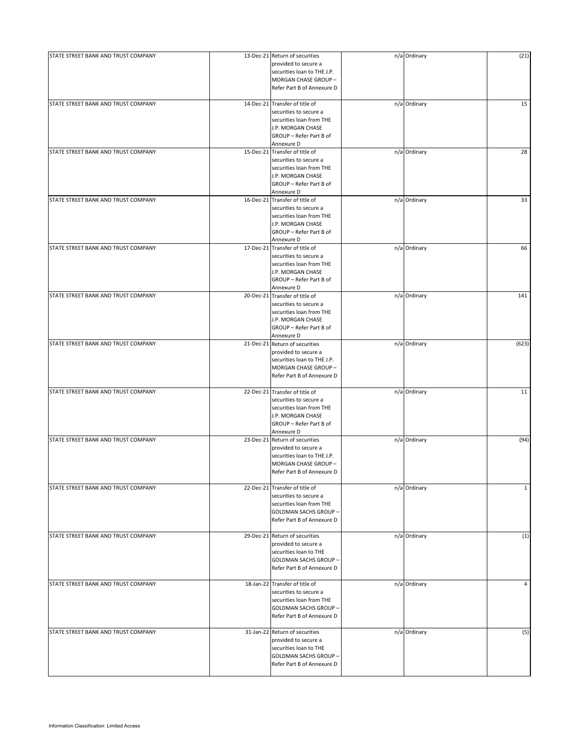| STATE STREET BANK AND TRUST COMPANY |           | 13-Dec-21 Return of securities | n/a Ordinary | (21)         |
|-------------------------------------|-----------|--------------------------------|--------------|--------------|
|                                     |           | provided to secure a           |              |              |
|                                     |           | securities loan to THE J.P.    |              |              |
|                                     |           | MORGAN CHASE GROUP -           |              |              |
|                                     |           |                                |              |              |
|                                     |           | Refer Part B of Annexure D     |              |              |
|                                     |           |                                |              |              |
| STATE STREET BANK AND TRUST COMPANY |           | 14-Dec-21 Transfer of title of | n/a Ordinary | 15           |
|                                     |           | securities to secure a         |              |              |
|                                     |           | securities loan from THE       |              |              |
|                                     |           | J.P. MORGAN CHASE              |              |              |
|                                     |           | GROUP - Refer Part B of        |              |              |
|                                     |           |                                |              |              |
|                                     |           | Annexure D                     |              |              |
| STATE STREET BANK AND TRUST COMPANY | 15-Dec-21 | Transfer of title of           | n/a Ordinary | 28           |
|                                     |           | securities to secure a         |              |              |
|                                     |           | securities loan from THE       |              |              |
|                                     |           | J.P. MORGAN CHASE              |              |              |
|                                     |           | GROUP - Refer Part B of        |              |              |
|                                     |           |                                |              |              |
|                                     |           | Annexure D                     |              |              |
| STATE STREET BANK AND TRUST COMPANY |           | 16-Dec-21 Transfer of title of | n/a Ordinary | 33           |
|                                     |           | securities to secure a         |              |              |
|                                     |           | securities loan from THE       |              |              |
|                                     |           |                                |              |              |
|                                     |           | J.P. MORGAN CHASE              |              |              |
|                                     |           | GROUP - Refer Part B of        |              |              |
|                                     |           | Annexure D                     |              |              |
| STATE STREET BANK AND TRUST COMPANY | 17-Dec-21 | Transfer of title of           | n/a Ordinary | 66           |
|                                     |           |                                |              |              |
|                                     |           | securities to secure a         |              |              |
|                                     |           | securities loan from THE       |              |              |
|                                     |           | J.P. MORGAN CHASE              |              |              |
|                                     |           | GROUP - Refer Part B of        |              |              |
|                                     |           |                                |              |              |
|                                     |           | Annexure D                     |              |              |
| STATE STREET BANK AND TRUST COMPANY | 20-Dec-21 | Transfer of title of           | n/a Ordinary | 141          |
|                                     |           | securities to secure a         |              |              |
|                                     |           | securities loan from THE       |              |              |
|                                     |           |                                |              |              |
|                                     |           | J.P. MORGAN CHASE              |              |              |
|                                     |           | GROUP - Refer Part B of        |              |              |
|                                     |           | Annexure D                     |              |              |
| STATE STREET BANK AND TRUST COMPANY | 21-Dec-21 | Return of securities           | n/a Ordinary | (623)        |
|                                     |           |                                |              |              |
|                                     |           | provided to secure a           |              |              |
|                                     |           | securities loan to THE J.P.    |              |              |
|                                     |           | MORGAN CHASE GROUP -           |              |              |
|                                     |           | Refer Part B of Annexure D     |              |              |
|                                     |           |                                |              |              |
| STATE STREET BANK AND TRUST COMPANY |           | 22-Dec-21 Transfer of title of | n/a Ordinary | 11           |
|                                     |           |                                |              |              |
|                                     |           | securities to secure a         |              |              |
|                                     |           | securities loan from THE       |              |              |
|                                     |           | J.P. MORGAN CHASE              |              |              |
|                                     |           |                                |              |              |
|                                     |           | GROUP - Refer Part B of        |              |              |
|                                     |           | Annexure D                     |              |              |
| STATE STREET BANK AND TRUST COMPANY |           | 23-Dec-21 Return of securities | n/a Ordinary | (94)         |
|                                     |           | provided to secure a           |              |              |
|                                     |           | securities loan to THE J.P.    |              |              |
|                                     |           |                                |              |              |
|                                     |           | MORGAN CHASE GROUP -           |              |              |
|                                     |           | Refer Part B of Annexure D     |              |              |
|                                     |           |                                |              |              |
| STATE STREET BANK AND TRUST COMPANY |           | 22-Dec-21 Transfer of title of | n/a Ordinary | $\mathbf{1}$ |
|                                     |           | securities to secure a         |              |              |
|                                     |           |                                |              |              |
|                                     |           | securities loan from THE       |              |              |
|                                     |           | GOLDMAN SACHS GROUP -          |              |              |
|                                     |           | Refer Part B of Annexure D     |              |              |
|                                     |           |                                |              |              |
| STATE STREET BANK AND TRUST COMPANY |           | 29-Dec-21 Return of securities | n/a Ordinary | (1)          |
|                                     |           |                                |              |              |
|                                     |           | provided to secure a           |              |              |
|                                     |           | securities loan to THE         |              |              |
|                                     |           | <b>GOLDMAN SACHS GROUP -</b>   |              |              |
|                                     |           | Refer Part B of Annexure D     |              |              |
|                                     |           |                                |              |              |
|                                     |           |                                |              |              |
| STATE STREET BANK AND TRUST COMPANY |           | 18-Jan-22 Transfer of title of | n/a Ordinary | 4            |
|                                     |           | securities to secure a         |              |              |
|                                     |           | securities loan from THE       |              |              |
|                                     |           |                                |              |              |
|                                     |           | <b>GOLDMAN SACHS GROUP -</b>   |              |              |
|                                     |           | Refer Part B of Annexure D     |              |              |
|                                     |           |                                |              |              |
| STATE STREET BANK AND TRUST COMPANY |           | 31-Jan-22 Return of securities | n/a Ordinary | (5)          |
|                                     |           | provided to secure a           |              |              |
|                                     |           | securities loan to THE         |              |              |
|                                     |           |                                |              |              |
|                                     |           | <b>GOLDMAN SACHS GROUP -</b>   |              |              |
|                                     |           | Refer Part B of Annexure D     |              |              |
|                                     |           |                                |              |              |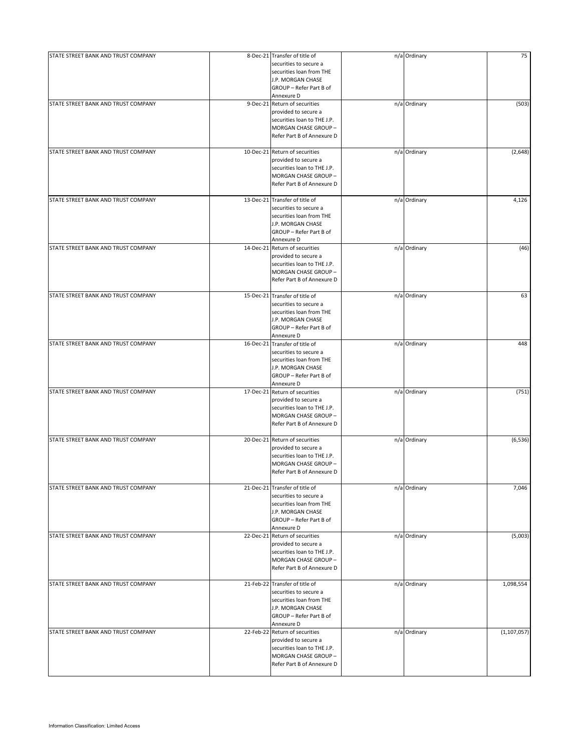| STATE STREET BANK AND TRUST COMPANY | 8-Dec-21 Transfer of title of<br>securities to secure a<br>securities loan from THE<br>J.P. MORGAN CHASE<br>GROUP - Refer Part B of<br>Annexure D  | n/a Ordinary | 75            |
|-------------------------------------|----------------------------------------------------------------------------------------------------------------------------------------------------|--------------|---------------|
| STATE STREET BANK AND TRUST COMPANY | 9-Dec-21 Return of securities<br>provided to secure a<br>securities loan to THE J.P.<br>MORGAN CHASE GROUP -<br>Refer Part B of Annexure D         | n/a Ordinary | (503)         |
| STATE STREET BANK AND TRUST COMPANY | 10-Dec-21 Return of securities<br>provided to secure a<br>securities loan to THE J.P.<br>MORGAN CHASE GROUP -<br>Refer Part B of Annexure D        | n/a Ordinary | (2,648)       |
| STATE STREET BANK AND TRUST COMPANY | 13-Dec-21 Transfer of title of<br>securities to secure a<br>securities loan from THE<br>J.P. MORGAN CHASE<br>GROUP - Refer Part B of<br>Annexure D | n/a Ordinary | 4,126         |
| STATE STREET BANK AND TRUST COMPANY | 14-Dec-21 Return of securities<br>provided to secure a<br>securities loan to THE J.P.<br>MORGAN CHASE GROUP -<br>Refer Part B of Annexure D        | n/a Ordinary | (46)          |
| STATE STREET BANK AND TRUST COMPANY | 15-Dec-21 Transfer of title of<br>securities to secure a<br>securities loan from THE<br>J.P. MORGAN CHASE<br>GROUP - Refer Part B of<br>Annexure D | n/a Ordinary | 63            |
| STATE STREET BANK AND TRUST COMPANY | 16-Dec-21 Transfer of title of<br>securities to secure a<br>securities loan from THE<br>J.P. MORGAN CHASE<br>GROUP - Refer Part B of<br>Annexure D | n/a Ordinary | 448           |
| STATE STREET BANK AND TRUST COMPANY | 17-Dec-21 Return of securities<br>provided to secure a<br>securities loan to THE J.P.<br>MORGAN CHASE GROUP -<br>Refer Part B of Annexure D        | n/a Ordinary | (751)         |
| STATE STREET BANK AND TRUST COMPANY | 20-Dec-21 Return of securities<br>provided to secure a<br>securities loan to THE J.P.<br>MORGAN CHASE GROUP -<br>Refer Part B of Annexure D        | n/a Ordinary | (6, 536)      |
| STATE STREET BANK AND TRUST COMPANY | 21-Dec-21 Transfer of title of<br>securities to secure a<br>securities loan from THE<br>J.P. MORGAN CHASE<br>GROUP - Refer Part B of<br>Annexure D | n/a Ordinary | 7,046         |
| STATE STREET BANK AND TRUST COMPANY | 22-Dec-21 Return of securities<br>provided to secure a<br>securities loan to THE J.P.<br>MORGAN CHASE GROUP -<br>Refer Part B of Annexure D        | n/a Ordinary | (5,003)       |
| STATE STREET BANK AND TRUST COMPANY | 21-Feb-22 Transfer of title of<br>securities to secure a<br>securities loan from THE<br>J.P. MORGAN CHASE<br>GROUP - Refer Part B of<br>Annexure D | n/a Ordinary | 1,098,554     |
| STATE STREET BANK AND TRUST COMPANY | 22-Feb-22 Return of securities<br>provided to secure a<br>securities loan to THE J.P.<br>MORGAN CHASE GROUP -<br>Refer Part B of Annexure D        | n/a Ordinary | (1, 107, 057) |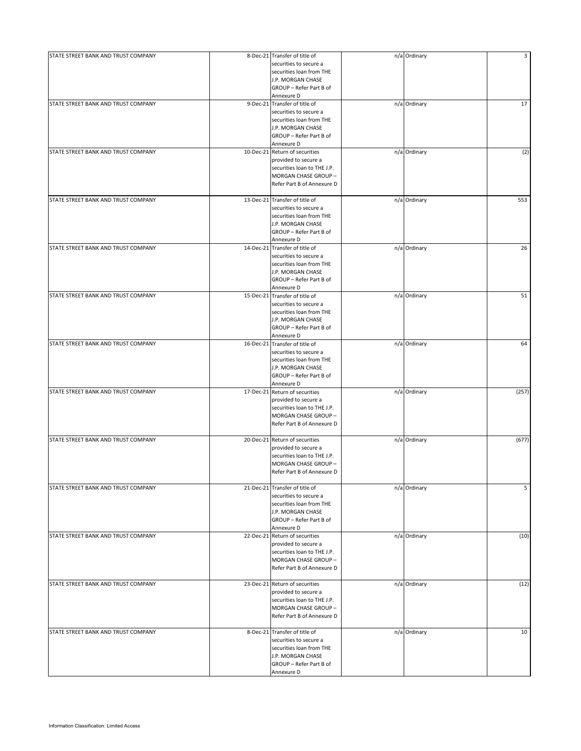| STATE STREET BANK AND TRUST COMPANY |           | 8-Dec-21 Transfer of title of<br>securities to secure a<br>securities loan from THE<br>J.P. MORGAN CHASE<br>GROUP - Refer Part B of                             | n/a Ordinary | 3     |
|-------------------------------------|-----------|-----------------------------------------------------------------------------------------------------------------------------------------------------------------|--------------|-------|
| STATE STREET BANK AND TRUST COMPANY |           | Annexure D<br>9-Dec-21 Transfer of title of<br>securities to secure a<br>securities loan from THE<br>J.P. MORGAN CHASE<br>GROUP - Refer Part B of<br>Annexure D | n/a Ordinary | 17    |
| STATE STREET BANK AND TRUST COMPANY |           | 10-Dec-21 Return of securities<br>provided to secure a<br>securities loan to THE J.P.<br>MORGAN CHASE GROUP -<br>Refer Part B of Annexure D                     | n/a Ordinary | (2)   |
| STATE STREET BANK AND TRUST COMPANY | 13-Dec-21 | Transfer of title of<br>securities to secure a<br>securities loan from THE<br>J.P. MORGAN CHASE<br>GROUP - Refer Part B of<br>Annexure D                        | n/a Ordinary | 553   |
| STATE STREET BANK AND TRUST COMPANY | 14-Dec-21 | Transfer of title of<br>securities to secure a<br>securities loan from THE<br>J.P. MORGAN CHASE<br>GROUP - Refer Part B of<br>Annexure D                        | n/a Ordinary | 26    |
| STATE STREET BANK AND TRUST COMPANY | 15-Dec-21 | Transfer of title of<br>securities to secure a<br>securities loan from THE<br>J.P. MORGAN CHASE<br>GROUP - Refer Part B of<br>Annexure D                        | n/a Ordinary | 51    |
| STATE STREET BANK AND TRUST COMPANY | 16-Dec-21 | Transfer of title of<br>securities to secure a<br>securities loan from THE<br>J.P. MORGAN CHASE<br>GROUP - Refer Part B of<br>Annexure D                        | n/a Ordinary | 64    |
| STATE STREET BANK AND TRUST COMPANY | 17-Dec-21 | Return of securities<br>provided to secure a<br>securities loan to THE J.P.<br>MORGAN CHASE GROUP -<br>Refer Part B of Annexure D                               | n/a Ordinary | (257) |
| STATE STREET BANK AND TRUST COMPANY |           | 20-Dec-21 Return of securities<br>provided to secure a<br>securities loan to THE J.P.<br>MORGAN CHASE GROUP -<br>Refer Part B of Annexure D                     | n/a Ordinary | (677) |
| STATE STREET BANK AND TRUST COMPANY |           | 21-Dec-21 Transfer of title of<br>securities to secure a<br>securities loan from THE<br>J.P. MORGAN CHASE<br>GROUP - Refer Part B of<br>Annexure D              | n/a Ordinary | 5     |
| STATE STREET BANK AND TRUST COMPANY |           | 22-Dec-21 Return of securities<br>provided to secure a<br>securities loan to THE J.P.<br>MORGAN CHASE GROUP -<br>Refer Part B of Annexure D                     | n/a Ordinary | (10)  |
| STATE STREET BANK AND TRUST COMPANY |           | 23-Dec-21 Return of securities<br>provided to secure a<br>securities loan to THE J.P.<br>MORGAN CHASE GROUP -<br>Refer Part B of Annexure D                     | n/a Ordinary | (12)  |
| STATE STREET BANK AND TRUST COMPANY |           | 8-Dec-21 Transfer of title of<br>securities to secure a<br>securities loan from THE<br>J.P. MORGAN CHASE<br>GROUP - Refer Part B of<br>Annexure D               | n/a Ordinary | 10    |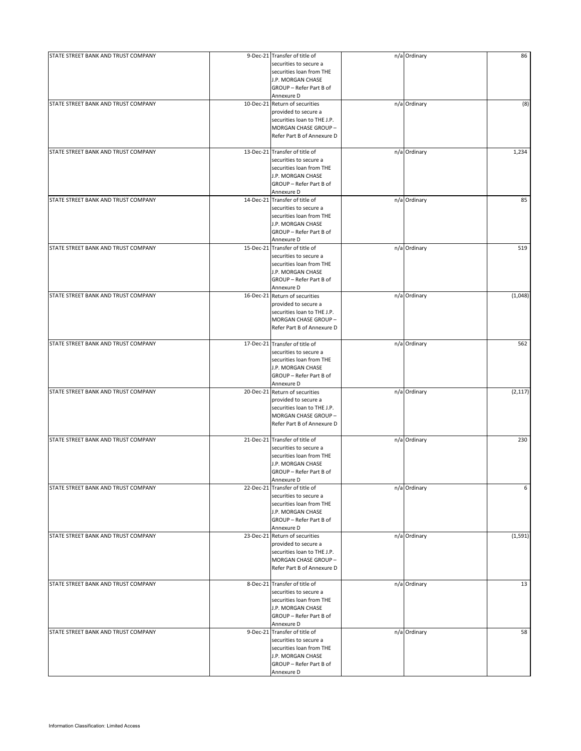| STATE STREET BANK AND TRUST COMPANY | 9-Dec-21 Transfer of title of<br>securities to secure a<br>securities loan from THE<br>J.P. MORGAN CHASE<br>GROUP - Refer Part B of<br>Annexure D  | n/a Ordinary | 86       |
|-------------------------------------|----------------------------------------------------------------------------------------------------------------------------------------------------|--------------|----------|
| STATE STREET BANK AND TRUST COMPANY | 10-Dec-21 Return of securities<br>provided to secure a<br>securities loan to THE J.P.<br>MORGAN CHASE GROUP -<br>Refer Part B of Annexure D        | n/a Ordinary | (8)      |
| STATE STREET BANK AND TRUST COMPANY | 13-Dec-21 Transfer of title of<br>securities to secure a<br>securities loan from THE<br>J.P. MORGAN CHASE<br>GROUP - Refer Part B of<br>Annexure D | n/a Ordinary | 1,234    |
| STATE STREET BANK AND TRUST COMPANY | 14-Dec-21 Transfer of title of<br>securities to secure a<br>securities loan from THE<br>J.P. MORGAN CHASE<br>GROUP - Refer Part B of<br>Annexure D | n/a Ordinary | 85       |
| STATE STREET BANK AND TRUST COMPANY | 15-Dec-21 Transfer of title of<br>securities to secure a<br>securities loan from THE<br>J.P. MORGAN CHASE<br>GROUP - Refer Part B of<br>Annexure D | n/a Ordinary | 519      |
| STATE STREET BANK AND TRUST COMPANY | 16-Dec-21 Return of securities<br>provided to secure a<br>securities loan to THE J.P.<br>MORGAN CHASE GROUP -<br>Refer Part B of Annexure D        | n/a Ordinary | (1,048)  |
| STATE STREET BANK AND TRUST COMPANY | 17-Dec-21 Transfer of title of<br>securities to secure a<br>securities loan from THE<br>J.P. MORGAN CHASE<br>GROUP - Refer Part B of<br>Annexure D | n/a Ordinary | 562      |
| STATE STREET BANK AND TRUST COMPANY | 20-Dec-21 Return of securities<br>provided to secure a<br>securities loan to THE J.P.<br>MORGAN CHASE GROUP -<br>Refer Part B of Annexure D        | n/a Ordinary | (2, 117) |
| STATE STREET BANK AND TRUST COMPANY | 21-Dec-21 Transfer of title of<br>securities to secure a<br>securities loan from THE<br>J.P. MORGAN CHASE<br>GROUP - Refer Part B of<br>Annexure D | n/a Ordinary | 230      |
| STATE STREET BANK AND TRUST COMPANY | 22-Dec-21 Transfer of title of<br>securities to secure a<br>securities loan from THE<br>J.P. MORGAN CHASE<br>GROUP - Refer Part B of<br>Annexure D | n/a Ordinary | 6        |
| STATE STREET BANK AND TRUST COMPANY | 23-Dec-21 Return of securities<br>provided to secure a<br>securities loan to THE J.P.<br>MORGAN CHASE GROUP -<br>Refer Part B of Annexure D        | n/a Ordinary | (1, 591) |
| STATE STREET BANK AND TRUST COMPANY | 8-Dec-21 Transfer of title of<br>securities to secure a<br>securities loan from THE<br>J.P. MORGAN CHASE<br>GROUP - Refer Part B of<br>Annexure D  | n/a Ordinary | 13       |
| STATE STREET BANK AND TRUST COMPANY | 9-Dec-21 Transfer of title of<br>securities to secure a<br>securities loan from THE<br>J.P. MORGAN CHASE<br>GROUP - Refer Part B of<br>Annexure D  | n/a Ordinary | 58       |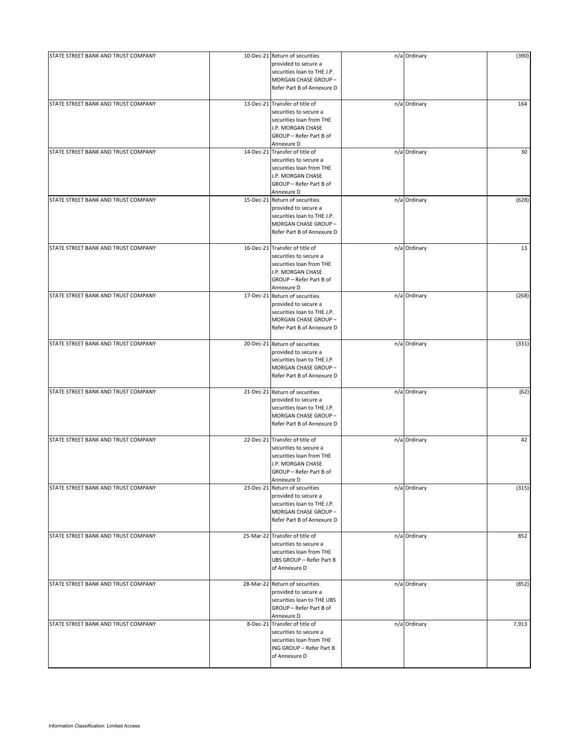| STATE STREET BANK AND TRUST COMPANY | 10-Dec-21 Return of securities<br>provided to secure a<br>securities loan to THE J.P.<br>MORGAN CHASE GROUP -<br>Refer Part B of Annexure D        | n/a Ordinary | (390) |
|-------------------------------------|----------------------------------------------------------------------------------------------------------------------------------------------------|--------------|-------|
| STATE STREET BANK AND TRUST COMPANY | 13-Dec-21 Transfer of title of<br>securities to secure a<br>securities loan from THE<br>J.P. MORGAN CHASE<br>GROUP - Refer Part B of<br>Annexure D | n/a Ordinary | 164   |
| STATE STREET BANK AND TRUST COMPANY | 14-Dec-21 Transfer of title of<br>securities to secure a<br>securities loan from THE<br>J.P. MORGAN CHASE<br>GROUP - Refer Part B of<br>Annexure D | n/a Ordinary | 30    |
| STATE STREET BANK AND TRUST COMPANY | 15-Dec-21 Return of securities<br>provided to secure a<br>securities loan to THE J.P.<br>MORGAN CHASE GROUP -<br>Refer Part B of Annexure D        | n/a Ordinary | (628) |
| STATE STREET BANK AND TRUST COMPANY | 16-Dec-21 Transfer of title of<br>securities to secure a<br>securities loan from THE<br>J.P. MORGAN CHASE<br>GROUP - Refer Part B of<br>Annexure D | n/a Ordinary | 13    |
| STATE STREET BANK AND TRUST COMPANY | 17-Dec-21 Return of securities<br>provided to secure a<br>securities loan to THE J.P.<br>MORGAN CHASE GROUP -<br>Refer Part B of Annexure D        | n/a Ordinary | (268) |
| STATE STREET BANK AND TRUST COMPANY | 20-Dec-21 Return of securities<br>provided to secure a<br>securities loan to THE J.P.<br>MORGAN CHASE GROUP-<br>Refer Part B of Annexure D         | n/a Ordinary | (331) |
| STATE STREET BANK AND TRUST COMPANY | 21-Dec-21 Return of securities<br>provided to secure a<br>securities loan to THE J.P.<br>MORGAN CHASE GROUP -<br>Refer Part B of Annexure D        | n/a Ordinary | (62)  |
| STATE STREET BANK AND TRUST COMPANY | 22-Dec-21 Transfer of title of<br>securities to secure a<br>securities loan from THE<br>J.P. MORGAN CHASE<br>GROUP - Refer Part B of<br>Annexure D | n/a Ordinary | 42    |
| STATE STREET BANK AND TRUST COMPANY | 23-Dec-21 Return of securities<br>provided to secure a<br>securities loan to THE J.P.<br>MORGAN CHASE GROUP -<br>Refer Part B of Annexure D        | n/a Ordinary | (315) |
| STATE STREET BANK AND TRUST COMPANY | 25-Mar-22 Transfer of title of<br>securities to secure a<br>securities loan from THE<br>UBS GROUP - Refer Part B<br>of Annexure D                  | n/a Ordinary | 852   |
| STATE STREET BANK AND TRUST COMPANY | 28-Mar-22 Return of securities<br>provided to secure a<br>securities loan to THE UBS<br>GROUP - Refer Part B of<br>Annexure D                      | n/a Ordinary | (852) |
| STATE STREET BANK AND TRUST COMPANY | 8-Dec-21 Transfer of title of<br>securities to secure a<br>securities loan from THE<br>ING GROUP - Refer Part B<br>of Annexure D                   | n/a Ordinary | 7,913 |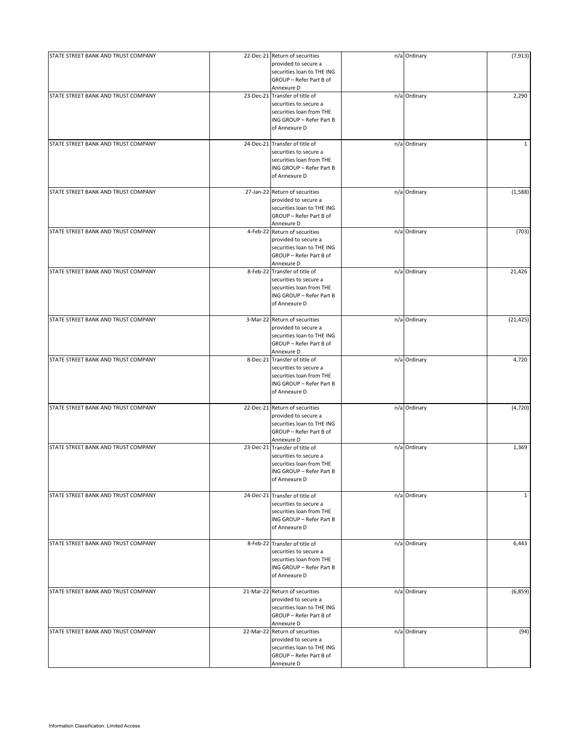| STATE STREET BANK AND TRUST COMPANY | 22-Dec-21 Return of securities<br>provided to secure a<br>securities loan to THE ING<br>GROUP - Refer Part B of                   | n/a Ordinary | (7, 913)     |
|-------------------------------------|-----------------------------------------------------------------------------------------------------------------------------------|--------------|--------------|
|                                     | Annexure D                                                                                                                        |              |              |
| STATE STREET BANK AND TRUST COMPANY | 23-Dec-21 Transfer of title of<br>securities to secure a<br>securities loan from THE<br>ING GROUP - Refer Part B<br>of Annexure D | n/a Ordinary | 2,290        |
| STATE STREET BANK AND TRUST COMPANY | 24-Dec-21 Transfer of title of<br>securities to secure a<br>securities loan from THE<br>ING GROUP - Refer Part B<br>of Annexure D | n/a Ordinary | $\mathbf{1}$ |
| STATE STREET BANK AND TRUST COMPANY | 27-Jan-22 Return of securities<br>provided to secure a<br>securities loan to THE ING<br>GROUP - Refer Part B of<br>Annexure D     | n/a Ordinary | (1,588)      |
| STATE STREET BANK AND TRUST COMPANY | 4-Feb-22 Return of securities<br>provided to secure a<br>securities loan to THE ING<br>GROUP - Refer Part B of<br>Annexure D      | n/a Ordinary | (703)        |
| STATE STREET BANK AND TRUST COMPANY | 8-Feb-22 Transfer of title of<br>securities to secure a<br>securities loan from THE<br>ING GROUP - Refer Part B<br>of Annexure D  | n/a Ordinary | 21,426       |
| STATE STREET BANK AND TRUST COMPANY | 3-Mar-22 Return of securities<br>provided to secure a<br>securities loan to THE ING<br>GROUP - Refer Part B of<br>Annexure D      | n/a Ordinary | (21, 425)    |
| STATE STREET BANK AND TRUST COMPANY | 8-Dec-21 Transfer of title of<br>securities to secure a<br>securities loan from THE<br>ING GROUP - Refer Part B<br>of Annexure D  | n/a Ordinary | 4,720        |
| STATE STREET BANK AND TRUST COMPANY | 22-Dec-21 Return of securities<br>provided to secure a<br>securities loan to THE ING<br>GROUP - Refer Part B of<br>Annexure D     | n/a Ordinary | (4, 720)     |
| STATE STREET BANK AND TRUST COMPANY | 23-Dec-21 Transfer of title of<br>securities to secure a<br>securities loan from THE<br>ING GROUP - Refer Part B<br>of Annexure D | n/a Ordinary | 1,369        |
| STATE STREET BANK AND TRUST COMPANY | 24-Dec-21 Transfer of title of<br>securities to secure a<br>securities loan from THE<br>ING GROUP - Refer Part B<br>of Annexure D | n/a Ordinary | $\mathbf{1}$ |
| STATE STREET BANK AND TRUST COMPANY | 8-Feb-22 Transfer of title of<br>securities to secure a<br>securities loan from THE<br>ING GROUP - Refer Part B<br>of Annexure D  | n/a Ordinary | 6,443        |
| STATE STREET BANK AND TRUST COMPANY | 21-Mar-22 Return of securities<br>provided to secure a<br>securities loan to THE ING<br>GROUP - Refer Part B of<br>Annexure D     | n/a Ordinary | (6,859)      |
| STATE STREET BANK AND TRUST COMPANY | 22-Mar-22 Return of securities<br>provided to secure a<br>securities loan to THE ING<br>GROUP - Refer Part B of<br>Annexure D     | n/a Ordinary | (94)         |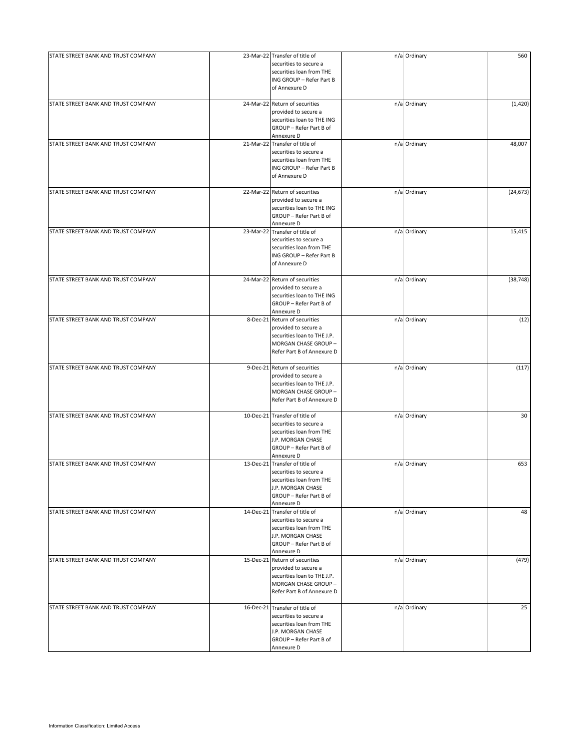| STATE STREET BANK AND TRUST COMPANY | 23-Mar-22 Transfer of title of | n/a Ordinary | 560       |
|-------------------------------------|--------------------------------|--------------|-----------|
|                                     | securities to secure a         |              |           |
|                                     |                                |              |           |
|                                     | securities loan from THE       |              |           |
|                                     | ING GROUP - Refer Part B       |              |           |
|                                     | of Annexure D                  |              |           |
|                                     |                                |              |           |
| STATE STREET BANK AND TRUST COMPANY | 24-Mar-22 Return of securities | n/a Ordinary | (1,420)   |
|                                     | provided to secure a           |              |           |
|                                     |                                |              |           |
|                                     | securities loan to THE ING     |              |           |
|                                     | GROUP - Refer Part B of        |              |           |
|                                     | Annexure D                     |              |           |
| STATE STREET BANK AND TRUST COMPANY | 21-Mar-22 Transfer of title of | n/a Ordinary | 48,007    |
|                                     |                                |              |           |
|                                     | securities to secure a         |              |           |
|                                     | securities loan from THE       |              |           |
|                                     | ING GROUP - Refer Part B       |              |           |
|                                     | of Annexure D                  |              |           |
|                                     |                                |              |           |
| STATE STREET BANK AND TRUST COMPANY | 22-Mar-22 Return of securities | n/a Ordinary | (24, 673) |
|                                     | provided to secure a           |              |           |
|                                     | securities loan to THE ING     |              |           |
|                                     |                                |              |           |
|                                     | GROUP - Refer Part B of        |              |           |
|                                     | Annexure D                     |              |           |
| STATE STREET BANK AND TRUST COMPANY | 23-Mar-22 Transfer of title of | n/a Ordinary | 15,415    |
|                                     | securities to secure a         |              |           |
|                                     |                                |              |           |
|                                     | securities loan from THE       |              |           |
|                                     | ING GROUP - Refer Part B       |              |           |
|                                     | of Annexure D                  |              |           |
|                                     |                                |              |           |
| STATE STREET BANK AND TRUST COMPANY | 24-Mar-22 Return of securities | n/a Ordinary | (38, 748) |
|                                     | provided to secure a           |              |           |
|                                     | securities loan to THE ING     |              |           |
|                                     |                                |              |           |
|                                     | GROUP - Refer Part B of        |              |           |
|                                     | Annexure D                     |              |           |
| STATE STREET BANK AND TRUST COMPANY | 8-Dec-21 Return of securities  | n/a Ordinary | (12)      |
|                                     |                                |              |           |
|                                     | provided to secure a           |              |           |
|                                     | securities loan to THE J.P.    |              |           |
|                                     | MORGAN CHASE GROUP -           |              |           |
|                                     | Refer Part B of Annexure D     |              |           |
|                                     |                                |              |           |
| STATE STREET BANK AND TRUST COMPANY | 9-Dec-21 Return of securities  | n/a Ordinary | (117)     |
|                                     | provided to secure a           |              |           |
|                                     | securities loan to THE J.P.    |              |           |
|                                     |                                |              |           |
|                                     | MORGAN CHASE GROUP -           |              |           |
|                                     | Refer Part B of Annexure D     |              |           |
|                                     |                                |              |           |
| STATE STREET BANK AND TRUST COMPANY | 10-Dec-21 Transfer of title of | n/a Ordinary | 30        |
|                                     | securities to secure a         |              |           |
|                                     | securities loan from THE       |              |           |
|                                     | J.P. MORGAN CHASE              |              |           |
|                                     |                                |              |           |
|                                     | GROUP - Refer Part B of        |              |           |
|                                     | Annexure D                     |              |           |
| STATE STREET BANK AND TRUST COMPANY | 13-Dec-21 Transfer of title of | n/a Ordinary | 653       |
|                                     | securities to secure a         |              |           |
|                                     | securities loan from THE       |              |           |
|                                     | J.P. MORGAN CHASE              |              |           |
|                                     |                                |              |           |
|                                     | GROUP - Refer Part B of        |              |           |
|                                     | Annexure D                     |              |           |
| STATE STREET BANK AND TRUST COMPANY | 14-Dec-21 Transfer of title of | n/a Ordinary | 48        |
|                                     | securities to secure a         |              |           |
|                                     | securities loan from THE       |              |           |
|                                     | J.P. MORGAN CHASE              |              |           |
|                                     |                                |              |           |
|                                     | GROUP - Refer Part B of        |              |           |
|                                     | Annexure D                     |              |           |
| STATE STREET BANK AND TRUST COMPANY | 15-Dec-21 Return of securities | n/a Ordinary | (479)     |
|                                     | provided to secure a           |              |           |
|                                     | securities loan to THE J.P.    |              |           |
|                                     |                                |              |           |
|                                     | MORGAN CHASE GROUP -           |              |           |
|                                     | Refer Part B of Annexure D     |              |           |
|                                     |                                |              |           |
| STATE STREET BANK AND TRUST COMPANY | 16-Dec-21 Transfer of title of | n/a Ordinary | 25        |
|                                     | securities to secure a         |              |           |
|                                     | securities loan from THE       |              |           |
|                                     | J.P. MORGAN CHASE              |              |           |
|                                     | GROUP - Refer Part B of        |              |           |
|                                     |                                |              |           |
|                                     | Annexure D                     |              |           |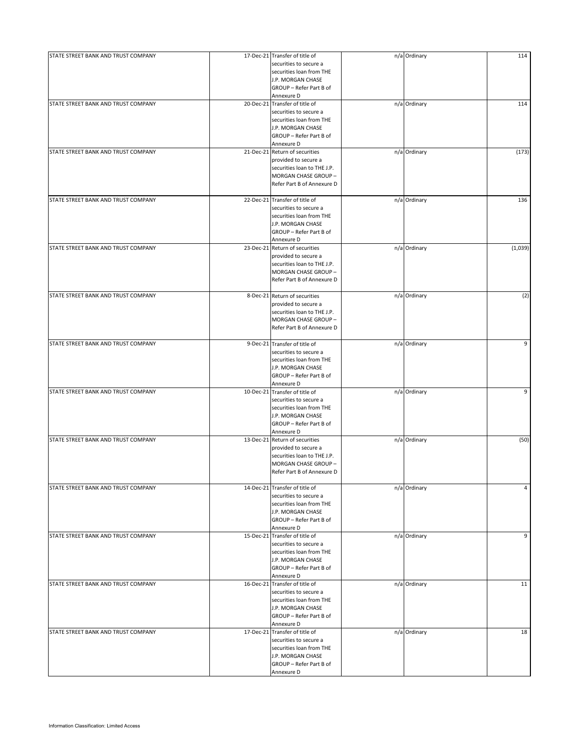| STATE STREET BANK AND TRUST COMPANY | 17-Dec-21 Transfer of title of<br>securities to secure a<br>securities loan from THE<br>J.P. MORGAN CHASE<br>GROUP - Refer Part B of<br>Annexure D | n/a Ordinary | 114     |
|-------------------------------------|----------------------------------------------------------------------------------------------------------------------------------------------------|--------------|---------|
| STATE STREET BANK AND TRUST COMPANY | 20-Dec-21 Transfer of title of<br>securities to secure a<br>securities loan from THE<br>J.P. MORGAN CHASE<br>GROUP - Refer Part B of<br>Annexure D | n/a Ordinary | 114     |
| STATE STREET BANK AND TRUST COMPANY | 21-Dec-21 Return of securities<br>provided to secure a<br>securities loan to THE J.P.<br>MORGAN CHASE GROUP -<br>Refer Part B of Annexure D        | n/a Ordinary | (173)   |
| STATE STREET BANK AND TRUST COMPANY | 22-Dec-21 Transfer of title of<br>securities to secure a<br>securities loan from THE<br>J.P. MORGAN CHASE<br>GROUP - Refer Part B of<br>Annexure D | n/a Ordinary | 136     |
| STATE STREET BANK AND TRUST COMPANY | 23-Dec-21 Return of securities<br>provided to secure a<br>securities loan to THE J.P.<br>MORGAN CHASE GROUP -<br>Refer Part B of Annexure D        | n/a Ordinary | (1,039) |
| STATE STREET BANK AND TRUST COMPANY | 8-Dec-21 Return of securities<br>provided to secure a<br>securities loan to THE J.P.<br>MORGAN CHASE GROUP -<br>Refer Part B of Annexure D         | n/a Ordinary | (2)     |
| STATE STREET BANK AND TRUST COMPANY | 9-Dec-21 Transfer of title of<br>securities to secure a<br>securities loan from THE<br>J.P. MORGAN CHASE<br>GROUP - Refer Part B of<br>Annexure D  | n/a Ordinary | 9       |
| STATE STREET BANK AND TRUST COMPANY | 10-Dec-21 Transfer of title of<br>securities to secure a<br>securities loan from THE<br>J.P. MORGAN CHASE<br>GROUP - Refer Part B of<br>Annexure D | n/a Ordinary | 9       |
| STATE STREET BANK AND TRUST COMPANY | 13-Dec-21 Return of securities<br>provided to secure a<br>securities loan to THE J.P.<br>MORGAN CHASE GROUP -<br>Refer Part B of Annexure D        | n/a Ordinary | (50)    |
| STATE STREET BANK AND TRUST COMPANY | 14-Dec-21 Transfer of title of<br>securities to secure a<br>securities loan from THE<br>J.P. MORGAN CHASE<br>GROUP - Refer Part B of<br>Annexure D | n/a Ordinary | 4       |
| STATE STREET BANK AND TRUST COMPANY | 15-Dec-21 Transfer of title of<br>securities to secure a<br>securities loan from THE<br>J.P. MORGAN CHASE<br>GROUP - Refer Part B of<br>Annexure D | n/a Ordinary | 9       |
| STATE STREET BANK AND TRUST COMPANY | 16-Dec-21 Transfer of title of<br>securities to secure a<br>securities loan from THE<br>J.P. MORGAN CHASE<br>GROUP - Refer Part B of<br>Annexure D | n/a Ordinary | 11      |
| STATE STREET BANK AND TRUST COMPANY | 17-Dec-21 Transfer of title of<br>securities to secure a<br>securities loan from THE<br>J.P. MORGAN CHASE<br>GROUP - Refer Part B of<br>Annexure D | n/a Ordinary | 18      |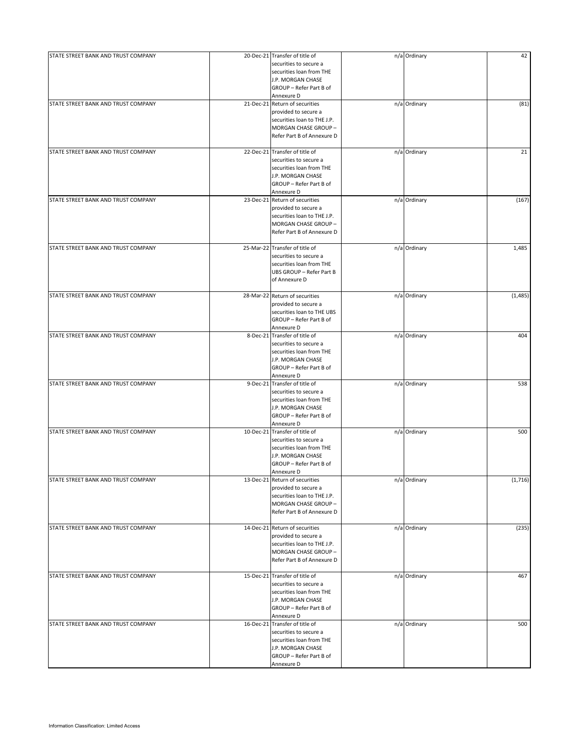| STATE STREET BANK AND TRUST COMPANY |           | 20-Dec-21 Transfer of title of                         | n/a Ordinary | 42      |
|-------------------------------------|-----------|--------------------------------------------------------|--------------|---------|
|                                     |           | securities to secure a                                 |              |         |
|                                     |           | securities loan from THE                               |              |         |
|                                     |           | J.P. MORGAN CHASE                                      |              |         |
|                                     |           | GROUP - Refer Part B of                                |              |         |
|                                     |           | Annexure D                                             |              |         |
| STATE STREET BANK AND TRUST COMPANY |           | 21-Dec-21 Return of securities                         | n/a Ordinary | (81)    |
|                                     |           | provided to secure a                                   |              |         |
|                                     |           | securities loan to THE J.P.                            |              |         |
|                                     |           | MORGAN CHASE GROUP -                                   |              |         |
|                                     |           | Refer Part B of Annexure D                             |              |         |
|                                     |           |                                                        |              |         |
| STATE STREET BANK AND TRUST COMPANY |           | 22-Dec-21 Transfer of title of                         | n/a Ordinary | 21      |
|                                     |           | securities to secure a                                 |              |         |
|                                     |           | securities loan from THE                               |              |         |
|                                     |           | J.P. MORGAN CHASE                                      |              |         |
|                                     |           | GROUP - Refer Part B of                                |              |         |
|                                     |           | Annexure D                                             |              |         |
| STATE STREET BANK AND TRUST COMPANY |           | 23-Dec-21 Return of securities                         | n/a Ordinary | (167)   |
|                                     |           | provided to secure a                                   |              |         |
|                                     |           | securities loan to THE J.P.                            |              |         |
|                                     |           | MORGAN CHASE GROUP -                                   |              |         |
|                                     |           | Refer Part B of Annexure D                             |              |         |
|                                     |           |                                                        |              |         |
| STATE STREET BANK AND TRUST COMPANY |           | 25-Mar-22 Transfer of title of                         | n/a Ordinary | 1,485   |
|                                     |           | securities to secure a                                 |              |         |
|                                     |           | securities loan from THE                               |              |         |
|                                     |           | UBS GROUP - Refer Part B                               |              |         |
|                                     |           | of Annexure D                                          |              |         |
|                                     |           |                                                        |              |         |
| STATE STREET BANK AND TRUST COMPANY |           | 28-Mar-22 Return of securities<br>provided to secure a | n/a Ordinary | (1,485) |
|                                     |           |                                                        |              |         |
|                                     |           | securities loan to THE UBS                             |              |         |
|                                     |           | GROUP - Refer Part B of                                |              |         |
| STATE STREET BANK AND TRUST COMPANY | 8-Dec-21  | Annexure D<br>Transfer of title of                     | n/a Ordinary | 404     |
|                                     |           | securities to secure a                                 |              |         |
|                                     |           | securities loan from THE                               |              |         |
|                                     |           |                                                        |              |         |
|                                     |           | J.P. MORGAN CHASE<br>GROUP - Refer Part B of           |              |         |
|                                     |           | Annexure D                                             |              |         |
| STATE STREET BANK AND TRUST COMPANY | 9-Dec-21  | Transfer of title of                                   | n/a Ordinary | 538     |
|                                     |           | securities to secure a                                 |              |         |
|                                     |           | securities loan from THE                               |              |         |
|                                     |           | J.P. MORGAN CHASE                                      |              |         |
|                                     |           | GROUP - Refer Part B of                                |              |         |
|                                     |           | Annexure D                                             |              |         |
| STATE STREET BANK AND TRUST COMPANY |           | 10-Dec-21 Transfer of title of                         | n/a Ordinary | 500     |
|                                     |           | securities to secure a                                 |              |         |
|                                     |           | securities loan from THE                               |              |         |
|                                     |           | J.P. MORGAN CHASE                                      |              |         |
|                                     |           | GROUP - Refer Part B of                                |              |         |
|                                     |           | Annexure D                                             |              |         |
| STATE STREET BANK AND TRUST COMPANY |           | 13-Dec-21 Return of securities                         | n/a Ordinary | (1,716) |
|                                     |           | provided to secure a                                   |              |         |
|                                     |           | securities loan to THE J.P.                            |              |         |
|                                     |           | MORGAN CHASE GROUP -                                   |              |         |
|                                     |           | Refer Part B of Annexure D                             |              |         |
|                                     |           |                                                        |              |         |
| STATE STREET BANK AND TRUST COMPANY |           | 14-Dec-21 Return of securities                         | n/a Ordinary | (235)   |
|                                     |           | provided to secure a                                   |              |         |
|                                     |           | securities loan to THE J.P.                            |              |         |
|                                     |           | MORGAN CHASE GROUP -                                   |              |         |
|                                     |           | Refer Part B of Annexure D                             |              |         |
|                                     |           |                                                        |              |         |
| STATE STREET BANK AND TRUST COMPANY |           | 15-Dec-21 Transfer of title of                         | n/a Ordinary | 467     |
|                                     |           | securities to secure a                                 |              |         |
|                                     |           | securities loan from THE<br>J.P. MORGAN CHASE          |              |         |
|                                     |           |                                                        |              |         |
|                                     |           | GROUP - Refer Part B of<br>Annexure D                  |              |         |
| STATE STREET BANK AND TRUST COMPANY | 16-Dec-21 | Transfer of title of                                   | n/a Ordinary | 500     |
|                                     |           | securities to secure a                                 |              |         |
|                                     |           | securities loan from THE                               |              |         |
|                                     |           | J.P. MORGAN CHASE                                      |              |         |
|                                     |           | GROUP - Refer Part B of                                |              |         |
|                                     |           | Annexure D                                             |              |         |
|                                     |           |                                                        |              |         |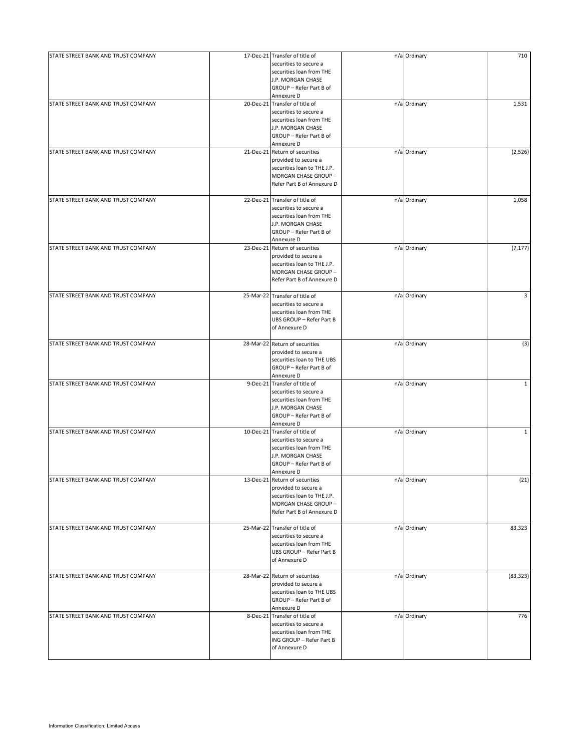| STATE STREET BANK AND TRUST COMPANY | 17-Dec-21 Transfer of title of<br>securities to secure a<br>securities loan from THE<br>J.P. MORGAN CHASE<br>GROUP - Refer Part B of<br>Annexure D | n/a Ordinary | 710          |
|-------------------------------------|----------------------------------------------------------------------------------------------------------------------------------------------------|--------------|--------------|
| STATE STREET BANK AND TRUST COMPANY | 20-Dec-21 Transfer of title of<br>securities to secure a<br>securities loan from THE<br>J.P. MORGAN CHASE<br>GROUP - Refer Part B of<br>Annexure D | n/a Ordinary | 1,531        |
| STATE STREET BANK AND TRUST COMPANY | 21-Dec-21 Return of securities<br>provided to secure a<br>securities loan to THE J.P.<br>MORGAN CHASE GROUP -<br>Refer Part B of Annexure D        | n/a Ordinary | (2,526)      |
| STATE STREET BANK AND TRUST COMPANY | 22-Dec-21 Transfer of title of<br>securities to secure a<br>securities loan from THE<br>J.P. MORGAN CHASE<br>GROUP - Refer Part B of<br>Annexure D | n/a Ordinary | 1,058        |
| STATE STREET BANK AND TRUST COMPANY | 23-Dec-21 Return of securities<br>provided to secure a<br>securities loan to THE J.P.<br>MORGAN CHASE GROUP -<br>Refer Part B of Annexure D        | n/a Ordinary | (7, 177)     |
| STATE STREET BANK AND TRUST COMPANY | 25-Mar-22 Transfer of title of<br>securities to secure a<br>securities loan from THE<br>UBS GROUP - Refer Part B<br>of Annexure D                  | n/a Ordinary | 3            |
| STATE STREET BANK AND TRUST COMPANY | 28-Mar-22 Return of securities<br>provided to secure a<br>securities loan to THE UBS<br>GROUP - Refer Part B of<br>Annexure D                      | n/a Ordinary | (3)          |
| STATE STREET BANK AND TRUST COMPANY | 9-Dec-21 Transfer of title of<br>securities to secure a<br>securities loan from THE<br>J.P. MORGAN CHASE<br>GROUP - Refer Part B of<br>Annexure D  | n/a Ordinary | $\mathbf{1}$ |
| STATE STREET BANK AND TRUST COMPANY | 10-Dec-21 Transfer of title of<br>securities to secure a<br>securities loan from THE<br>J.P. MORGAN CHASE<br>GROUP - Refer Part B of<br>Annexure D | n/a Ordinary | $\mathbf{1}$ |
| STATE STREET BANK AND TRUST COMPANY | 13-Dec-21 Return of securities<br>provided to secure a<br>securities loan to THE J.P.<br>MORGAN CHASE GROUP -<br>Refer Part B of Annexure D        | n/a Ordinary | (21)         |
| STATE STREET BANK AND TRUST COMPANY | 25-Mar-22 Transfer of title of<br>securities to secure a<br>securities loan from THE<br>UBS GROUP - Refer Part B<br>of Annexure D                  | n/a Ordinary | 83,323       |
| STATE STREET BANK AND TRUST COMPANY | 28-Mar-22 Return of securities<br>provided to secure a<br>securities loan to THE UBS<br>GROUP - Refer Part B of<br>Annexure D                      | n/a Ordinary | (83, 323)    |
| STATE STREET BANK AND TRUST COMPANY | 8-Dec-21 Transfer of title of<br>securities to secure a<br>securities loan from THE<br>ING GROUP - Refer Part B<br>of Annexure D                   | n/a Ordinary | 776          |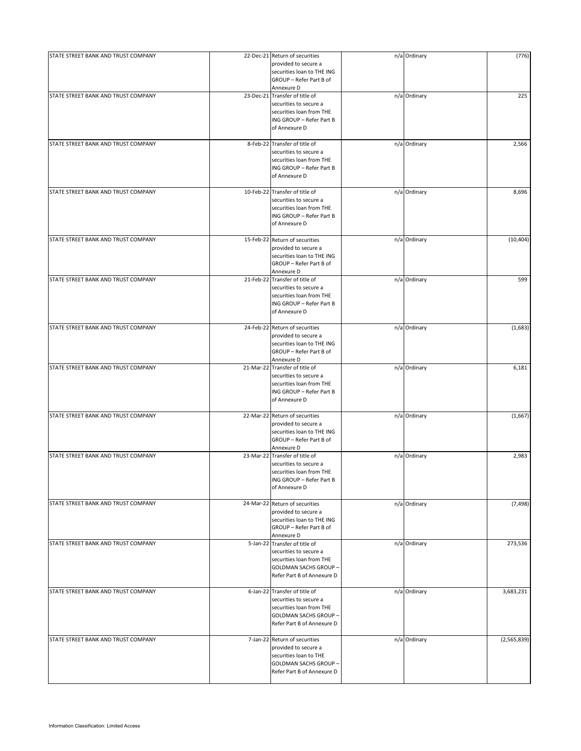| STATE STREET BANK AND TRUST COMPANY |           | 22-Dec-21 Return of securities | n/a Ordinary | (776)       |
|-------------------------------------|-----------|--------------------------------|--------------|-------------|
|                                     |           | provided to secure a           |              |             |
|                                     |           | securities loan to THE ING     |              |             |
|                                     |           |                                |              |             |
|                                     |           | GROUP - Refer Part B of        |              |             |
|                                     |           | Annexure D                     |              |             |
| STATE STREET BANK AND TRUST COMPANY |           | 23-Dec-21 Transfer of title of | n/a Ordinary | 225         |
|                                     |           | securities to secure a         |              |             |
|                                     |           | securities loan from THE       |              |             |
|                                     |           | ING GROUP - Refer Part B       |              |             |
|                                     |           | of Annexure D                  |              |             |
|                                     |           |                                |              |             |
| STATE STREET BANK AND TRUST COMPANY |           | 8-Feb-22 Transfer of title of  | n/a Ordinary | 2,566       |
|                                     |           | securities to secure a         |              |             |
|                                     |           | securities loan from THE       |              |             |
|                                     |           | ING GROUP - Refer Part B       |              |             |
|                                     |           | of Annexure D                  |              |             |
|                                     |           |                                |              |             |
| STATE STREET BANK AND TRUST COMPANY |           | 10-Feb-22 Transfer of title of | n/a Ordinary | 8,696       |
|                                     |           | securities to secure a         |              |             |
|                                     |           | securities loan from THE       |              |             |
|                                     |           | ING GROUP - Refer Part B       |              |             |
|                                     |           | of Annexure D                  |              |             |
|                                     |           |                                |              |             |
| STATE STREET BANK AND TRUST COMPANY |           | 15-Feb-22 Return of securities | n/a Ordinary | (10, 404)   |
|                                     |           | provided to secure a           |              |             |
|                                     |           | securities loan to THE ING     |              |             |
|                                     |           |                                |              |             |
|                                     |           | GROUP - Refer Part B of        |              |             |
|                                     |           | Annexure D                     |              |             |
| STATE STREET BANK AND TRUST COMPANY |           | 21-Feb-22 Transfer of title of | n/a Ordinary | 599         |
|                                     |           | securities to secure a         |              |             |
|                                     |           | securities loan from THE       |              |             |
|                                     |           | ING GROUP - Refer Part B       |              |             |
|                                     |           | of Annexure D                  |              |             |
|                                     |           |                                |              |             |
| STATE STREET BANK AND TRUST COMPANY | 24-Feb-22 | Return of securities           | n/a Ordinary | (1,683)     |
|                                     |           | provided to secure a           |              |             |
|                                     |           | securities loan to THE ING     |              |             |
|                                     |           | GROUP - Refer Part B of        |              |             |
|                                     |           | Annexure D                     |              |             |
| STATE STREET BANK AND TRUST COMPANY | 21-Mar-22 | Transfer of title of           | n/a Ordinary | 6,181       |
|                                     |           | securities to secure a         |              |             |
|                                     |           |                                |              |             |
|                                     |           | securities loan from THE       |              |             |
|                                     |           | ING GROUP - Refer Part B       |              |             |
|                                     |           | of Annexure D                  |              |             |
|                                     |           |                                |              |             |
| STATE STREET BANK AND TRUST COMPANY | 22-Mar-22 | Return of securities           | n/a Ordinary | (1,667)     |
|                                     |           | provided to secure a           |              |             |
|                                     |           | securities loan to THE ING     |              |             |
|                                     |           | GROUP - Refer Part B of        |              |             |
|                                     |           | Annexure D                     |              |             |
| STATE STREET BANK AND TRUST COMPANY | 23-Mar-22 | Transfer of title of           | n/a Ordinary | 2,983       |
|                                     |           | securities to secure a         |              |             |
|                                     |           | securities loan from THE       |              |             |
|                                     |           | ING GROUP - Refer Part B       |              |             |
|                                     |           | of Annexure D                  |              |             |
|                                     |           |                                |              |             |
| STATE STREET BANK AND TRUST COMPANY |           | 24-Mar-22 Return of securities | n/a Ordinary | (7, 498)    |
|                                     |           | provided to secure a           |              |             |
|                                     |           | securities loan to THE ING     |              |             |
|                                     |           |                                |              |             |
|                                     |           | GROUP - Refer Part B of        |              |             |
|                                     |           | Annexure D                     |              |             |
| STATE STREET BANK AND TRUST COMPANY | 5-Jan-22  | Transfer of title of           | n/a Ordinary | 273,536     |
|                                     |           | securities to secure a         |              |             |
|                                     |           | securities loan from THE       |              |             |
|                                     |           | <b>GOLDMAN SACHS GROUP -</b>   |              |             |
|                                     |           | Refer Part B of Annexure D     |              |             |
|                                     |           |                                |              |             |
| STATE STREET BANK AND TRUST COMPANY |           | 6-Jan-22 Transfer of title of  | n/a Ordinary | 3,683,231   |
|                                     |           | securities to secure a         |              |             |
|                                     |           | securities loan from THE       |              |             |
|                                     |           | <b>GOLDMAN SACHS GROUP -</b>   |              |             |
|                                     |           | Refer Part B of Annexure D     |              |             |
|                                     |           |                                |              |             |
| STATE STREET BANK AND TRUST COMPANY |           | 7-Jan-22 Return of securities  | n/a Ordinary | (2,565,839) |
|                                     |           | provided to secure a           |              |             |
|                                     |           | securities loan to THE         |              |             |
|                                     |           |                                |              |             |
|                                     |           | GOLDMAN SACHS GROUP -          |              |             |
|                                     |           | Refer Part B of Annexure D     |              |             |
|                                     |           |                                |              |             |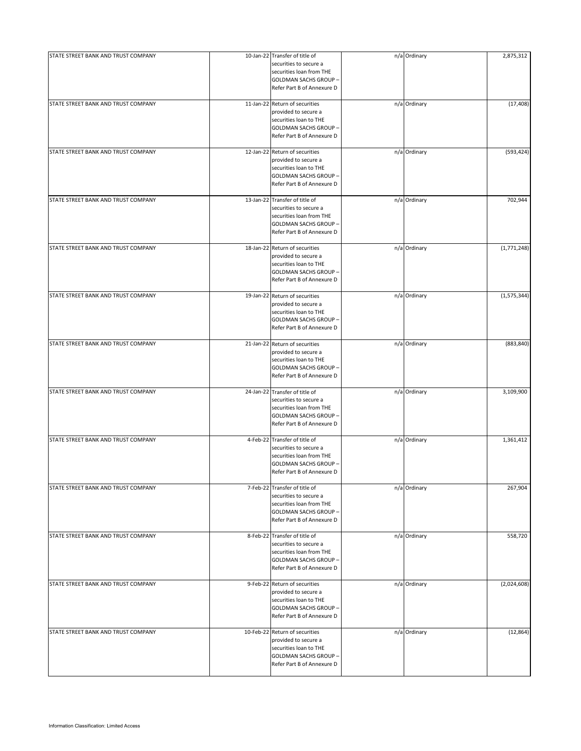| STATE STREET BANK AND TRUST COMPANY | 10-Jan-22 Transfer of title of                                                                                                                     | n/a Ordinary | 2,875,312   |
|-------------------------------------|----------------------------------------------------------------------------------------------------------------------------------------------------|--------------|-------------|
|                                     | securities to secure a<br>securities loan from THE<br>GOLDMAN SACHS GROUP -<br>Refer Part B of Annexure D                                          |              |             |
| STATE STREET BANK AND TRUST COMPANY | 11-Jan-22 Return of securities<br>provided to secure a<br>securities loan to THE<br>GOLDMAN SACHS GROUP -<br>Refer Part B of Annexure D            | n/a Ordinary | (17, 408)   |
| STATE STREET BANK AND TRUST COMPANY | 12-Jan-22 Return of securities<br>provided to secure a<br>securities loan to THE<br>GOLDMAN SACHS GROUP -<br>Refer Part B of Annexure D            | n/a Ordinary | (593, 424)  |
| STATE STREET BANK AND TRUST COMPANY | 13-Jan-22 Transfer of title of<br>securities to secure a<br>securities loan from THE<br>GOLDMAN SACHS GROUP -<br>Refer Part B of Annexure D        | n/a Ordinary | 702,944     |
| STATE STREET BANK AND TRUST COMPANY | 18-Jan-22 Return of securities<br>provided to secure a<br>securities loan to THE<br>GOLDMAN SACHS GROUP -<br>Refer Part B of Annexure D            | n/a Ordinary | (1,771,248) |
| STATE STREET BANK AND TRUST COMPANY | 19-Jan-22 Return of securities<br>provided to secure a<br>securities loan to THE<br>GOLDMAN SACHS GROUP -<br>Refer Part B of Annexure D            | n/a Ordinary | (1,575,344) |
| STATE STREET BANK AND TRUST COMPANY | 21-Jan-22 Return of securities<br>provided to secure a<br>securities loan to THE<br>GOLDMAN SACHS GROUP-<br>Refer Part B of Annexure D             | n/a Ordinary | (883, 840)  |
| STATE STREET BANK AND TRUST COMPANY | 24-Jan-22 Transfer of title of<br>securities to secure a<br>securities loan from THE<br><b>GOLDMAN SACHS GROUP -</b><br>Refer Part B of Annexure D | n/a Ordinary | 3,109,900   |
| STATE STREET BANK AND TRUST COMPANY | 4-Feb-22 Transfer of title of<br>securities to secure a<br>securities loan from THE<br>GOLDMAN SACHS GROUP-<br>Refer Part B of Annexure D          | n/a Ordinary | 1,361,412   |
| STATE STREET BANK AND TRUST COMPANY | 7-Feb-22 Transfer of title of<br>securities to secure a<br>securities loan from THE<br><b>GOLDMAN SACHS GROUP -</b><br>Refer Part B of Annexure D  | n/a Ordinary | 267,904     |
| STATE STREET BANK AND TRUST COMPANY | 8-Feb-22 Transfer of title of<br>securities to secure a<br>securities loan from THE<br><b>GOLDMAN SACHS GROUP -</b><br>Refer Part B of Annexure D  | n/a Ordinary | 558,720     |
| STATE STREET BANK AND TRUST COMPANY | 9-Feb-22 Return of securities<br>provided to secure a<br>securities loan to THE<br><b>GOLDMAN SACHS GROUP -</b><br>Refer Part B of Annexure D      | n/a Ordinary | (2,024,608) |
| STATE STREET BANK AND TRUST COMPANY | 10-Feb-22 Return of securities<br>provided to secure a<br>securities loan to THE<br>GOLDMAN SACHS GROUP -<br>Refer Part B of Annexure D            | n/a Ordinary | (12, 864)   |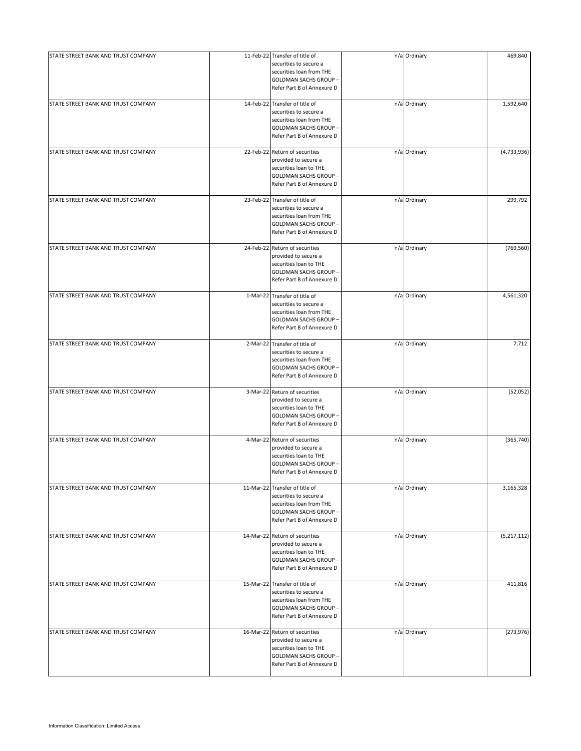| STATE STREET BANK AND TRUST COMPANY | 11-Feb-22 Transfer of title of                                                                                                                     | n/a Ordinary | 469,840     |
|-------------------------------------|----------------------------------------------------------------------------------------------------------------------------------------------------|--------------|-------------|
|                                     | securities to secure a<br>securities loan from THE<br><b>GOLDMAN SACHS GROUP -</b><br>Refer Part B of Annexure D                                   |              |             |
| STATE STREET BANK AND TRUST COMPANY | 14-Feb-22 Transfer of title of<br>securities to secure a<br>securities loan from THE<br><b>GOLDMAN SACHS GROUP -</b><br>Refer Part B of Annexure D | n/a Ordinary | 1,592,640   |
| STATE STREET BANK AND TRUST COMPANY | 22-Feb-22 Return of securities<br>provided to secure a<br>securities loan to THE<br>GOLDMAN SACHS GROUP -<br>Refer Part B of Annexure D            | n/a Ordinary | (4,733,936) |
| STATE STREET BANK AND TRUST COMPANY | 23-Feb-22 Transfer of title of<br>securities to secure a<br>securities loan from THE<br>GOLDMAN SACHS GROUP -<br>Refer Part B of Annexure D        | n/a Ordinary | 299,792     |
| STATE STREET BANK AND TRUST COMPANY | 24-Feb-22 Return of securities<br>provided to secure a<br>securities loan to THE<br><b>GOLDMAN SACHS GROUP -</b><br>Refer Part B of Annexure D     | n/a Ordinary | (769, 560)  |
| STATE STREET BANK AND TRUST COMPANY | 1-Mar-22 Transfer of title of<br>securities to secure a<br>securities loan from THE<br>GOLDMAN SACHS GROUP -<br>Refer Part B of Annexure D         | n/a Ordinary | 4,561,320   |
| STATE STREET BANK AND TRUST COMPANY | 2-Mar-22 Transfer of title of<br>securities to secure a<br>securities loan from THE<br>GOLDMAN SACHS GROUP -<br>Refer Part B of Annexure D         | n/a Ordinary | 7,712       |
| STATE STREET BANK AND TRUST COMPANY | 3-Mar-22 Return of securities<br>provided to secure a<br>securities loan to THE<br><b>GOLDMAN SACHS GROUP -</b><br>Refer Part B of Annexure D      | n/a Ordinary | (52,052)    |
| STATE STREET BANK AND TRUST COMPANY | 4-Mar-22 Return of securities<br>provided to secure a<br>securities loan to THE<br><b>GOLDMAN SACHS GROUP -</b><br>Refer Part B of Annexure D      | n/a Ordinary | (365, 740)  |
| STATE STREET BANK AND TRUST COMPANY | 11-Mar-22 Transfer of title of<br>securities to secure a<br>securities loan from THE<br><b>GOLDMAN SACHS GROUP -</b><br>Refer Part B of Annexure D | n/a Ordinary | 3,165,328   |
| STATE STREET BANK AND TRUST COMPANY | 14-Mar-22 Return of securities<br>provided to secure a<br>securities loan to THE<br>GOLDMAN SACHS GROUP -<br>Refer Part B of Annexure D            | n/a Ordinary | (5,217,112) |
| STATE STREET BANK AND TRUST COMPANY | 15-Mar-22 Transfer of title of<br>securities to secure a<br>securities loan from THE<br>GOLDMAN SACHS GROUP -<br>Refer Part B of Annexure D        | n/a Ordinary | 411,816     |
| STATE STREET BANK AND TRUST COMPANY | 16-Mar-22 Return of securities<br>provided to secure a<br>securities loan to THE<br><b>GOLDMAN SACHS GROUP -</b><br>Refer Part B of Annexure D     | n/a Ordinary | (273, 976)  |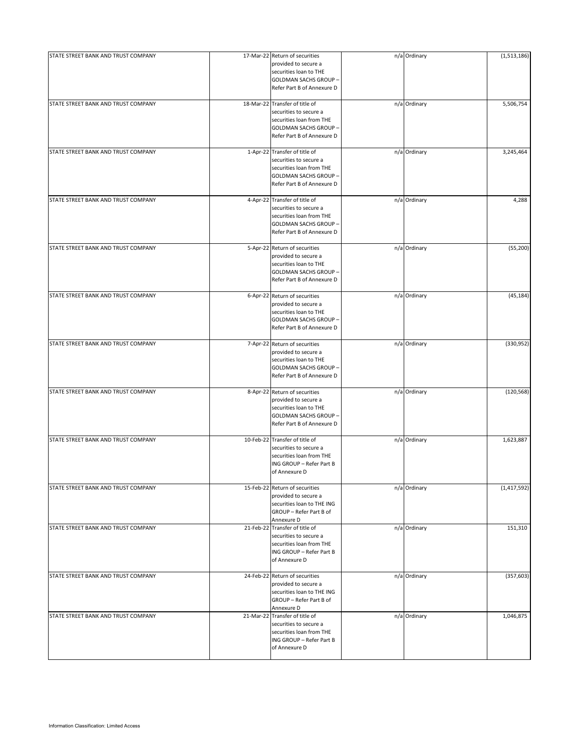| STATE STREET BANK AND TRUST COMPANY | 17-Mar-22 Return of securities<br>provided to secure a<br>securities loan to THE<br>GOLDMAN SACHS GROUP -<br>Refer Part B of Annexure D            | n/a Ordinary | (1,513,186)   |
|-------------------------------------|----------------------------------------------------------------------------------------------------------------------------------------------------|--------------|---------------|
| STATE STREET BANK AND TRUST COMPANY | 18-Mar-22 Transfer of title of<br>securities to secure a<br>securities loan from THE<br><b>GOLDMAN SACHS GROUP -</b><br>Refer Part B of Annexure D | n/a Ordinary | 5,506,754     |
| STATE STREET BANK AND TRUST COMPANY | 1-Apr-22 Transfer of title of<br>securities to secure a<br>securities loan from THE<br>GOLDMAN SACHS GROUP -<br>Refer Part B of Annexure D         | n/a Ordinary | 3,245,464     |
| STATE STREET BANK AND TRUST COMPANY | 4-Apr-22 Transfer of title of<br>securities to secure a<br>securities loan from THE<br>GOLDMAN SACHS GROUP-<br>Refer Part B of Annexure D          | n/a Ordinary | 4,288         |
| STATE STREET BANK AND TRUST COMPANY | 5-Apr-22 Return of securities<br>provided to secure a<br>securities loan to THE<br>GOLDMAN SACHS GROUP -<br>Refer Part B of Annexure D             | n/a Ordinary | (55, 200)     |
| STATE STREET BANK AND TRUST COMPANY | 6-Apr-22 Return of securities<br>provided to secure a<br>securities loan to THE<br>GOLDMAN SACHS GROUP -<br>Refer Part B of Annexure D             | n/a Ordinary | (45, 184)     |
| STATE STREET BANK AND TRUST COMPANY | 7-Apr-22 Return of securities<br>provided to secure a<br>securities loan to THE<br>GOLDMAN SACHS GROUP -<br>Refer Part B of Annexure D             | n/a Ordinary | (330, 952)    |
| STATE STREET BANK AND TRUST COMPANY | 8-Apr-22 Return of securities<br>provided to secure a<br>securities loan to THE<br>GOLDMAN SACHS GROUP -<br>Refer Part B of Annexure D             | n/a Ordinary | (120, 568)    |
| STATE STREET BANK AND TRUST COMPANY | 10-Feb-22 Transfer of title of<br>securities to secure a<br>securities loan from THE<br>ING GROUP - Refer Part B<br>of Annexure D                  | n/a Ordinary | 1,623,887     |
| STATE STREET BANK AND TRUST COMPANY | 15-Feb-22 Return of securities<br>provided to secure a<br>securities loan to THE ING<br>GROUP - Refer Part B of<br>Annexure D                      | n/a Ordinary | (1, 417, 592) |
| STATE STREET BANK AND TRUST COMPANY | 21-Feb-22 Transfer of title of<br>securities to secure a<br>securities loan from THE<br>ING GROUP - Refer Part B<br>of Annexure D                  | n/a Ordinary | 151,310       |
| STATE STREET BANK AND TRUST COMPANY | 24-Feb-22 Return of securities<br>provided to secure a<br>securities loan to THE ING<br>GROUP - Refer Part B of<br>Annexure D                      | n/a Ordinary | (357, 603)    |
| STATE STREET BANK AND TRUST COMPANY | 21-Mar-22 Transfer of title of<br>securities to secure a<br>securities loan from THE<br>ING GROUP - Refer Part B<br>of Annexure D                  | n/a Ordinary | 1,046,875     |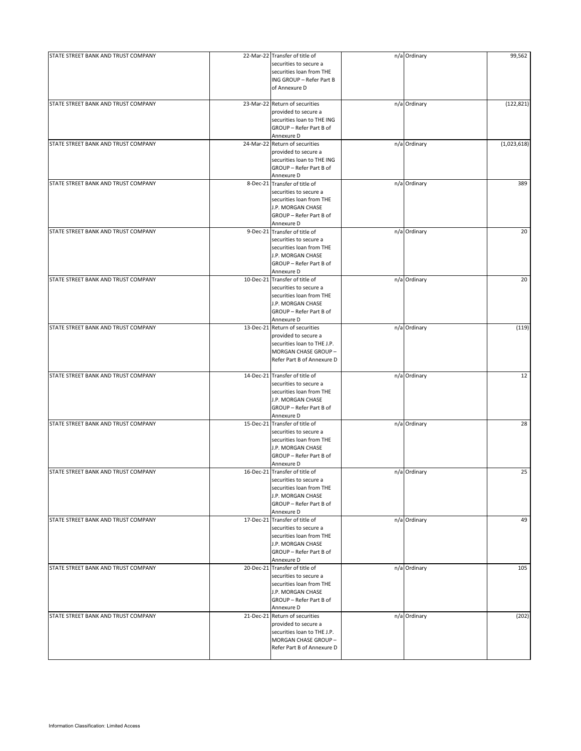| STATE STREET BANK AND TRUST COMPANY | 22-Mar-22 Transfer of title of                | n/a Ordinary | 99,562      |
|-------------------------------------|-----------------------------------------------|--------------|-------------|
|                                     | securities to secure a                        |              |             |
|                                     | securities loan from THE                      |              |             |
|                                     | ING GROUP - Refer Part B                      |              |             |
|                                     | of Annexure D                                 |              |             |
|                                     |                                               |              |             |
| STATE STREET BANK AND TRUST COMPANY | 23-Mar-22 Return of securities                | n/a Ordinary | (122, 821)  |
|                                     | provided to secure a                          |              |             |
|                                     | securities loan to THE ING                    |              |             |
|                                     | GROUP - Refer Part B of                       |              |             |
|                                     | Annexure D                                    |              |             |
| STATE STREET BANK AND TRUST COMPANY | 24-Mar-22 Return of securities                | n/a Ordinary | (1,023,618) |
|                                     | provided to secure a                          |              |             |
|                                     | securities loan to THE ING                    |              |             |
|                                     | GROUP - Refer Part B of                       |              |             |
|                                     | Annexure D                                    |              |             |
| STATE STREET BANK AND TRUST COMPANY | 8-Dec-21 Transfer of title of                 | n/a Ordinary | 389         |
|                                     | securities to secure a                        |              |             |
|                                     | securities loan from THE                      |              |             |
|                                     | J.P. MORGAN CHASE                             |              |             |
|                                     | GROUP - Refer Part B of                       |              |             |
|                                     | Annexure D                                    |              |             |
| STATE STREET BANK AND TRUST COMPANY | 9-Dec-21 Transfer of title of                 | n/a Ordinary | 20          |
|                                     | securities to secure a                        |              |             |
|                                     | securities loan from THE                      |              |             |
|                                     | J.P. MORGAN CHASE                             |              |             |
|                                     | GROUP - Refer Part B of                       |              |             |
|                                     | Annexure D                                    |              |             |
| STATE STREET BANK AND TRUST COMPANY | 10-Dec-21 Transfer of title of                | n/a Ordinary | 20          |
|                                     | securities to secure a                        |              |             |
|                                     | securities loan from THE                      |              |             |
|                                     | J.P. MORGAN CHASE                             |              |             |
|                                     | GROUP - Refer Part B of                       |              |             |
|                                     |                                               |              |             |
|                                     | Annexure D                                    |              |             |
| STATE STREET BANK AND TRUST COMPANY | 13-Dec-21 Return of securities                | n/a Ordinary | (119)       |
|                                     | provided to secure a                          |              |             |
|                                     | securities loan to THE J.P.                   |              |             |
|                                     | MORGAN CHASE GROUP -                          |              |             |
|                                     | Refer Part B of Annexure D                    |              |             |
|                                     |                                               |              |             |
| STATE STREET BANK AND TRUST COMPANY | 14-Dec-21 Transfer of title of                | n/a Ordinary | 12          |
|                                     | securities to secure a                        |              |             |
|                                     | securities loan from THE                      |              |             |
|                                     | J.P. MORGAN CHASE                             |              |             |
|                                     | GROUP - Refer Part B of                       |              |             |
|                                     | Annexure D                                    |              |             |
| STATE STREET BANK AND TRUST COMPANY | 15-Dec-21 Transfer of title of                | n/a Ordinary | 28          |
|                                     | securities to secure a                        |              |             |
|                                     | securities loan from THE                      |              |             |
|                                     | J.P. MORGAN CHASE                             |              |             |
|                                     | GROUP - Refer Part B of                       |              |             |
|                                     | Annexure D                                    |              |             |
| STATE STREET BANK AND TRUST COMPANY | 16-Dec-21 Transfer of title of                | n/a Ordinary | 25          |
|                                     | securities to secure a                        |              |             |
|                                     | securities loan from THE                      |              |             |
|                                     | J.P. MORGAN CHASE                             |              |             |
|                                     | GROUP - Refer Part B of                       |              |             |
|                                     | Annexure D                                    |              |             |
| STATE STREET BANK AND TRUST COMPANY | 17-Dec-21 Transfer of title of                | n/a Ordinary | 49          |
|                                     | securities to secure a                        |              |             |
|                                     |                                               |              |             |
|                                     | securities loan from THE<br>J.P. MORGAN CHASE |              |             |
|                                     |                                               |              |             |
|                                     | GROUP - Refer Part B of                       |              |             |
|                                     | Annexure D                                    |              |             |
| STATE STREET BANK AND TRUST COMPANY | 20-Dec-21 Transfer of title of                | n/a Ordinary | 105         |
|                                     | securities to secure a                        |              |             |
|                                     | securities loan from THE                      |              |             |
|                                     | J.P. MORGAN CHASE                             |              |             |
|                                     | GROUP - Refer Part B of                       |              |             |
|                                     | Annexure D                                    |              |             |
| STATE STREET BANK AND TRUST COMPANY | 21-Dec-21 Return of securities                | n/a Ordinary | (202)       |
|                                     | provided to secure a                          |              |             |
|                                     | securities loan to THE J.P.                   |              |             |
|                                     | MORGAN CHASE GROUP -                          |              |             |
|                                     | Refer Part B of Annexure D                    |              |             |
|                                     |                                               |              |             |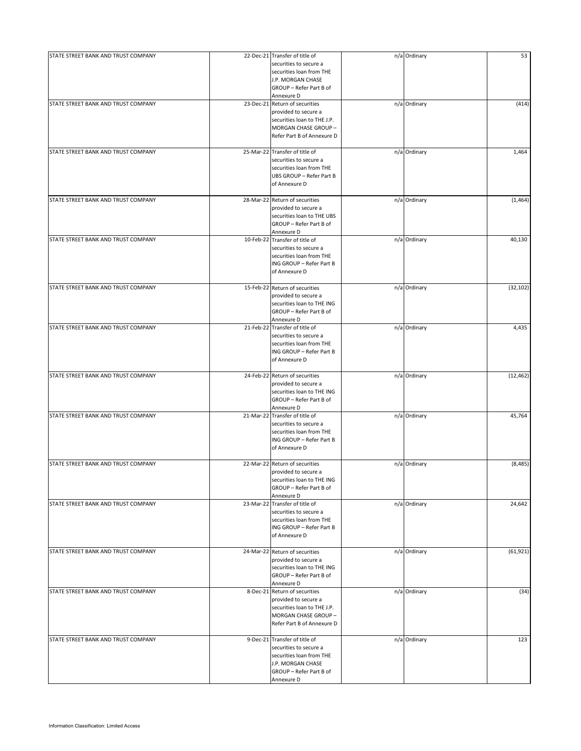| STATE STREET BANK AND TRUST COMPANY | 22-Dec-21 Transfer of title of<br>securities to secure a<br>securities loan from THE<br>J.P. MORGAN CHASE<br>GROUP - Refer Part B of<br>Annexure D | n/a Ordinary | 53        |
|-------------------------------------|----------------------------------------------------------------------------------------------------------------------------------------------------|--------------|-----------|
| STATE STREET BANK AND TRUST COMPANY | 23-Dec-21 Return of securities<br>provided to secure a<br>securities loan to THE J.P.<br>MORGAN CHASE GROUP -<br>Refer Part B of Annexure D        | n/a Ordinary | (414)     |
| STATE STREET BANK AND TRUST COMPANY | 25-Mar-22 Transfer of title of<br>securities to secure a<br>securities loan from THE<br>UBS GROUP - Refer Part B<br>of Annexure D                  | n/a Ordinary | 1,464     |
| STATE STREET BANK AND TRUST COMPANY | 28-Mar-22 Return of securities<br>provided to secure a<br>securities loan to THE UBS<br>GROUP - Refer Part B of<br>Annexure D                      | n/a Ordinary | (1,464)   |
| STATE STREET BANK AND TRUST COMPANY | 10-Feb-22 Transfer of title of<br>securities to secure a<br>securities loan from THE<br>ING GROUP - Refer Part B<br>of Annexure D                  | n/a Ordinary | 40,130    |
| STATE STREET BANK AND TRUST COMPANY | 15-Feb-22 Return of securities<br>provided to secure a<br>securities loan to THE ING<br>GROUP - Refer Part B of<br>Annexure D                      | n/a Ordinary | (32, 102) |
| STATE STREET BANK AND TRUST COMPANY | 21-Feb-22 Transfer of title of<br>securities to secure a<br>securities loan from THE<br>ING GROUP - Refer Part B<br>of Annexure D                  | n/a Ordinary | 4,435     |
| STATE STREET BANK AND TRUST COMPANY | 24-Feb-22 Return of securities<br>provided to secure a<br>securities loan to THE ING<br>GROUP - Refer Part B of<br>Annexure D                      | n/a Ordinary | (12, 462) |
| STATE STREET BANK AND TRUST COMPANY | 21-Mar-22 Transfer of title of<br>securities to secure a<br>securities loan from THE<br>ING GROUP - Refer Part B<br>of Annexure D                  | n/a Ordinary | 45,764    |
| STATE STREET BANK AND TRUST COMPANY | 22-Mar-22 Return of securities<br>provided to secure a<br>securities loan to THE ING<br>GROUP - Refer Part B of<br>Annexure D                      | n/a Ordinary | (8, 485)  |
| STATE STREET BANK AND TRUST COMPANY | 23-Mar-22 Transfer of title of<br>securities to secure a<br>securities loan from THE<br>ING GROUP - Refer Part B<br>of Annexure D                  | n/a Ordinary | 24,642    |
| STATE STREET BANK AND TRUST COMPANY | 24-Mar-22 Return of securities<br>provided to secure a<br>securities loan to THE ING<br>GROUP - Refer Part B of<br>Annexure D                      | n/a Ordinary | (61, 921) |
| STATE STREET BANK AND TRUST COMPANY | 8-Dec-21 Return of securities<br>provided to secure a<br>securities loan to THE J.P.<br>MORGAN CHASE GROUP -<br>Refer Part B of Annexure D         | n/a Ordinary | (34)      |
| STATE STREET BANK AND TRUST COMPANY | 9-Dec-21 Transfer of title of<br>securities to secure a<br>securities loan from THE<br>J.P. MORGAN CHASE<br>GROUP - Refer Part B of<br>Annexure D  | n/a Ordinary | 123       |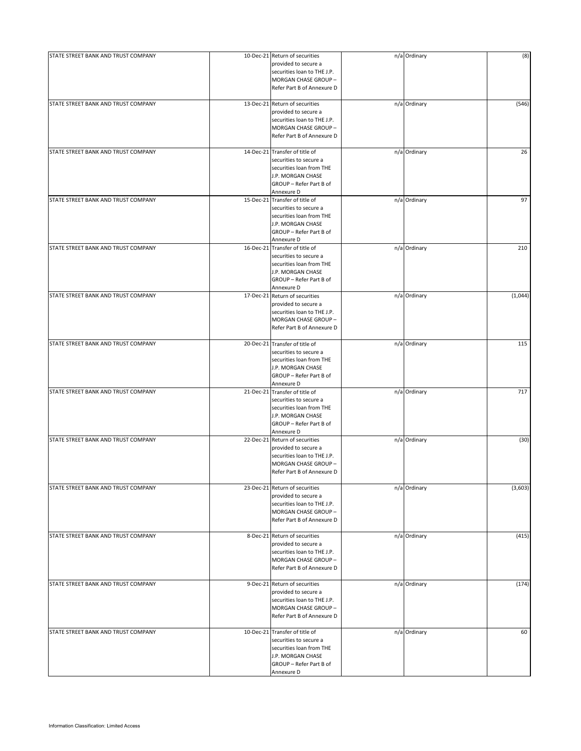| STATE STREET BANK AND TRUST COMPANY | 10-Dec-21 Return of securities<br>provided to secure a<br>securities loan to THE J.P.<br>MORGAN CHASE GROUP -<br>Refer Part B of Annexure D        | n/a Ordinary | (8)     |
|-------------------------------------|----------------------------------------------------------------------------------------------------------------------------------------------------|--------------|---------|
| STATE STREET BANK AND TRUST COMPANY | 13-Dec-21 Return of securities<br>provided to secure a<br>securities loan to THE J.P.<br>MORGAN CHASE GROUP -<br>Refer Part B of Annexure D        | n/a Ordinary | (546)   |
| STATE STREET BANK AND TRUST COMPANY | 14-Dec-21 Transfer of title of<br>securities to secure a<br>securities loan from THE<br>J.P. MORGAN CHASE<br>GROUP - Refer Part B of<br>Annexure D | n/a Ordinary | 26      |
| STATE STREET BANK AND TRUST COMPANY | 15-Dec-21 Transfer of title of<br>securities to secure a<br>securities loan from THE<br>J.P. MORGAN CHASE<br>GROUP - Refer Part B of<br>Annexure D | n/a Ordinary | 97      |
| STATE STREET BANK AND TRUST COMPANY | 16-Dec-21 Transfer of title of<br>securities to secure a<br>securities loan from THE<br>J.P. MORGAN CHASE<br>GROUP - Refer Part B of<br>Annexure D | n/a Ordinary | 210     |
| STATE STREET BANK AND TRUST COMPANY | 17-Dec-21 Return of securities<br>provided to secure a<br>securities loan to THE J.P.<br>MORGAN CHASE GROUP -<br>Refer Part B of Annexure D        | n/a Ordinary | (1,044) |
| STATE STREET BANK AND TRUST COMPANY | 20-Dec-21 Transfer of title of<br>securities to secure a<br>securities loan from THE<br>J.P. MORGAN CHASE<br>GROUP - Refer Part B of<br>Annexure D | n/a Ordinary | 115     |
| STATE STREET BANK AND TRUST COMPANY | 21-Dec-21 Transfer of title of<br>securities to secure a<br>securities loan from THE<br>J.P. MORGAN CHASE<br>GROUP - Refer Part B of<br>Annexure D | n/a Ordinary | 717     |
| STATE STREET BANK AND TRUST COMPANY | 22-Dec-21 Return of securities<br>provided to secure a<br>securities loan to THE J.P.<br>MORGAN CHASE GROUP -<br>Refer Part B of Annexure D        | n/a Ordinary | (30)    |
| STATE STREET BANK AND TRUST COMPANY | 23-Dec-21 Return of securities<br>provided to secure a<br>securities loan to THE J.P.<br>MORGAN CHASE GROUP -<br>Refer Part B of Annexure D        | n/a Ordinary | (3,603) |
| STATE STREET BANK AND TRUST COMPANY | 8-Dec-21 Return of securities<br>provided to secure a<br>securities loan to THE J.P.<br>MORGAN CHASE GROUP -<br>Refer Part B of Annexure D         | n/a Ordinary | (415)   |
| STATE STREET BANK AND TRUST COMPANY | 9-Dec-21 Return of securities<br>provided to secure a<br>securities loan to THE J.P.<br>MORGAN CHASE GROUP -<br>Refer Part B of Annexure D         | n/a Ordinary | (174)   |
| STATE STREET BANK AND TRUST COMPANY | 10-Dec-21 Transfer of title of<br>securities to secure a<br>securities loan from THE<br>J.P. MORGAN CHASE<br>GROUP - Refer Part B of<br>Annexure D | n/a Ordinary | 60      |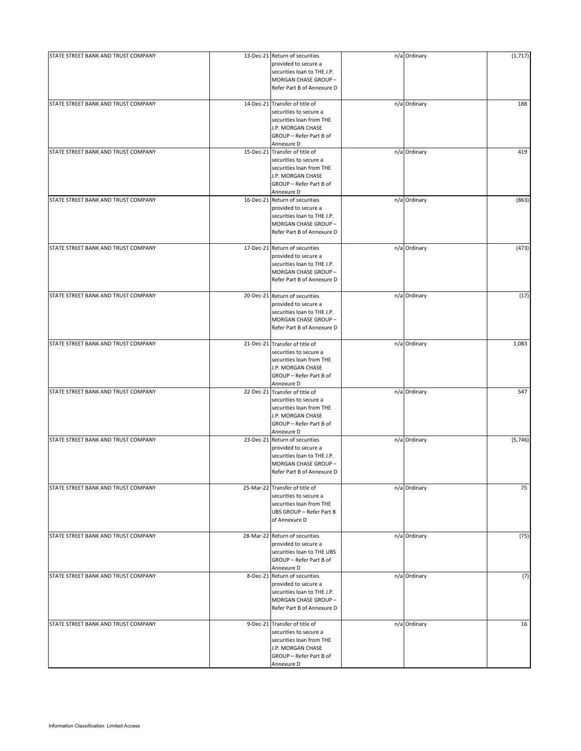| STATE STREET BANK AND TRUST COMPANY | 13-Dec-21 Return of securities<br>provided to secure a<br>securities loan to THE J.P.<br>MORGAN CHASE GROUP-<br>Refer Part B of Annexure D         | n/a Ordinary | (1,717) |
|-------------------------------------|----------------------------------------------------------------------------------------------------------------------------------------------------|--------------|---------|
| STATE STREET BANK AND TRUST COMPANY | 14-Dec-21 Transfer of title of<br>securities to secure a<br>securities loan from THE<br>J.P. MORGAN CHASE<br>GROUP - Refer Part B of<br>Annexure D | n/a Ordinary | 188     |
| STATE STREET BANK AND TRUST COMPANY | 15-Dec-21 Transfer of title of<br>securities to secure a<br>securities loan from THE<br>J.P. MORGAN CHASE<br>GROUP - Refer Part B of<br>Annexure D | n/a Ordinary | 419     |
| STATE STREET BANK AND TRUST COMPANY | 16-Dec-21 Return of securities<br>provided to secure a<br>securities loan to THE J.P.<br>MORGAN CHASE GROUP -<br>Refer Part B of Annexure D        | n/a Ordinary | (863)   |
| STATE STREET BANK AND TRUST COMPANY | 17-Dec-21 Return of securities<br>provided to secure a<br>securities loan to THE J.P.<br>MORGAN CHASE GROUP -<br>Refer Part B of Annexure D        | n/a Ordinary | (473)   |
| STATE STREET BANK AND TRUST COMPANY | 20-Dec-21 Return of securities<br>provided to secure a<br>securities loan to THE J.P.<br>MORGAN CHASE GROUP -<br>Refer Part B of Annexure D        | n/a Ordinary | (17)    |
| STATE STREET BANK AND TRUST COMPANY | 21-Dec-21 Transfer of title of<br>securities to secure a<br>securities loan from THE<br>J.P. MORGAN CHASE<br>GROUP - Refer Part B of<br>Annexure D | n/a Ordinary | 1,083   |
| STATE STREET BANK AND TRUST COMPANY | 22-Dec-21 Transfer of title of<br>securities to secure a<br>securities loan from THE<br>J.P. MORGAN CHASE<br>GROUP - Refer Part B of<br>Annexure D | n/a Ordinary | 547     |
| STATE STREET BANK AND TRUST COMPANY | 23-Dec-21 Return of securities<br>provided to secure a<br>securities loan to THE J.P.<br>MORGAN CHASE GROUP -<br>Refer Part B of Annexure D        | n/a Ordinary | (5,746) |
| STATE STREET BANK AND TRUST COMPANY | 25-Mar-22 Transfer of title of<br>securities to secure a<br>securities loan from THE<br>UBS GROUP - Refer Part B<br>of Annexure D                  | n/a Ordinary | 75      |
| STATE STREET BANK AND TRUST COMPANY | 28-Mar-22 Return of securities<br>provided to secure a<br>securities loan to THE UBS<br>GROUP - Refer Part B of<br>Annexure D                      | n/a Ordinary | (75)    |
| STATE STREET BANK AND TRUST COMPANY | 8-Dec-21 Return of securities<br>provided to secure a<br>securities loan to THE J.P.<br>MORGAN CHASE GROUP -<br>Refer Part B of Annexure D         | n/a Ordinary | (7)     |
| STATE STREET BANK AND TRUST COMPANY | 9-Dec-21 Transfer of title of<br>securities to secure a<br>securities loan from THE<br>J.P. MORGAN CHASE<br>GROUP - Refer Part B of<br>Annexure D  | n/a Ordinary | 16      |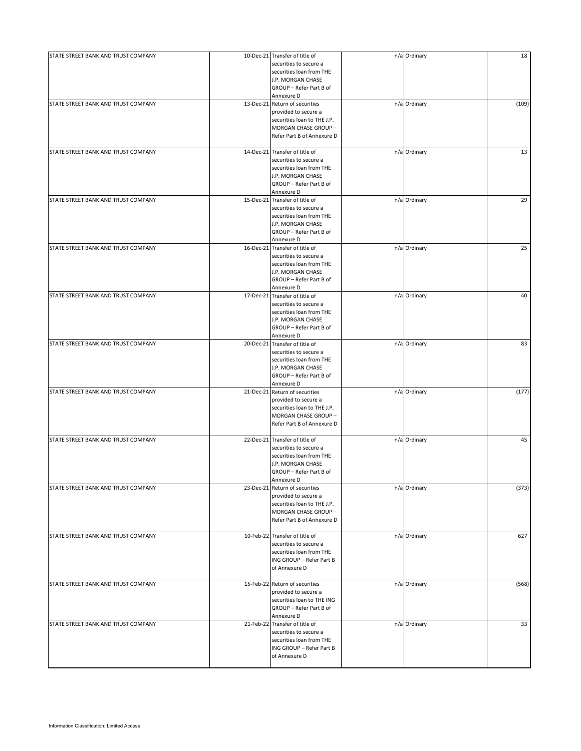| STATE STREET BANK AND TRUST COMPANY | 10-Dec-21 Transfer of title of | n/a Ordinary | 18    |
|-------------------------------------|--------------------------------|--------------|-------|
|                                     | securities to secure a         |              |       |
|                                     | securities loan from THE       |              |       |
|                                     | J.P. MORGAN CHASE              |              |       |
|                                     | GROUP - Refer Part B of        |              |       |
|                                     | Annexure D                     |              |       |
| STATE STREET BANK AND TRUST COMPANY | 13-Dec-21 Return of securities | n/a Ordinary | (109) |
|                                     | provided to secure a           |              |       |
|                                     | securities loan to THE J.P.    |              |       |
|                                     | MORGAN CHASE GROUP -           |              |       |
|                                     | Refer Part B of Annexure D     |              |       |
|                                     |                                |              |       |
| STATE STREET BANK AND TRUST COMPANY | 14-Dec-21 Transfer of title of | n/a Ordinary | 13    |
|                                     | securities to secure a         |              |       |
|                                     | securities loan from THE       |              |       |
|                                     | J.P. MORGAN CHASE              |              |       |
|                                     | GROUP - Refer Part B of        |              |       |
|                                     | Annexure D                     |              |       |
| STATE STREET BANK AND TRUST COMPANY | 15-Dec-21 Transfer of title of | n/a Ordinary | 29    |
|                                     | securities to secure a         |              |       |
|                                     | securities loan from THE       |              |       |
|                                     | J.P. MORGAN CHASE              |              |       |
|                                     | GROUP - Refer Part B of        |              |       |
|                                     | Annexure D                     |              |       |
| STATE STREET BANK AND TRUST COMPANY | 16-Dec-21 Transfer of title of | n/a Ordinary | 25    |
|                                     | securities to secure a         |              |       |
|                                     | securities loan from THE       |              |       |
|                                     | J.P. MORGAN CHASE              |              |       |
|                                     | GROUP - Refer Part B of        |              |       |
|                                     | Annexure D                     |              |       |
| STATE STREET BANK AND TRUST COMPANY | 17-Dec-21 Transfer of title of | n/a Ordinary | 40    |
|                                     | securities to secure a         |              |       |
|                                     | securities loan from THE       |              |       |
|                                     | J.P. MORGAN CHASE              |              |       |
|                                     | GROUP - Refer Part B of        |              |       |
|                                     | Annexure D                     |              |       |
| STATE STREET BANK AND TRUST COMPANY | 20-Dec-21 Transfer of title of | n/a Ordinary | 83    |
|                                     | securities to secure a         |              |       |
|                                     | securities loan from THE       |              |       |
|                                     | J.P. MORGAN CHASE              |              |       |
|                                     | GROUP - Refer Part B of        |              |       |
|                                     | Annexure D                     |              |       |
| STATE STREET BANK AND TRUST COMPANY | 21-Dec-21 Return of securities | n/a Ordinary | (177) |
|                                     | provided to secure a           |              |       |
|                                     | securities loan to THE J.P.    |              |       |
|                                     | MORGAN CHASE GROUP -           |              |       |
|                                     | Refer Part B of Annexure D     |              |       |
|                                     |                                |              |       |
| STATE STREET BANK AND TRUST COMPANY | 22-Dec-21 Transfer of title of | n/a Ordinary | 45    |
|                                     | securities to secure a         |              |       |
|                                     | securities loan from THE       |              |       |
|                                     | J.P. MORGAN CHASE              |              |       |
|                                     | GROUP - Refer Part B of        |              |       |
|                                     | Annexure D                     |              |       |
| STATE STREET BANK AND TRUST COMPANY | 23-Dec-21 Return of securities | n/a Ordinary | (373) |
|                                     | provided to secure a           |              |       |
|                                     | securities loan to THE J.P.    |              |       |
|                                     | MORGAN CHASE GROUP -           |              |       |
|                                     | Refer Part B of Annexure D     |              |       |
|                                     |                                |              |       |
| STATE STREET BANK AND TRUST COMPANY | 10-Feb-22 Transfer of title of | n/a Ordinary | 627   |
|                                     | securities to secure a         |              |       |
|                                     | securities loan from THE       |              |       |
|                                     | ING GROUP - Refer Part B       |              |       |
|                                     | of Annexure D                  |              |       |
|                                     |                                |              |       |
| STATE STREET BANK AND TRUST COMPANY | 15-Feb-22 Return of securities | n/a Ordinary | (568) |
|                                     | provided to secure a           |              |       |
|                                     | securities loan to THE ING     |              |       |
|                                     | GROUP - Refer Part B of        |              |       |
|                                     | Annexure D                     |              |       |
| STATE STREET BANK AND TRUST COMPANY | 21-Feb-22 Transfer of title of | n/a Ordinary | 33    |
|                                     | securities to secure a         |              |       |
|                                     | securities loan from THE       |              |       |
|                                     | ING GROUP - Refer Part B       |              |       |
|                                     | of Annexure D                  |              |       |
|                                     |                                |              |       |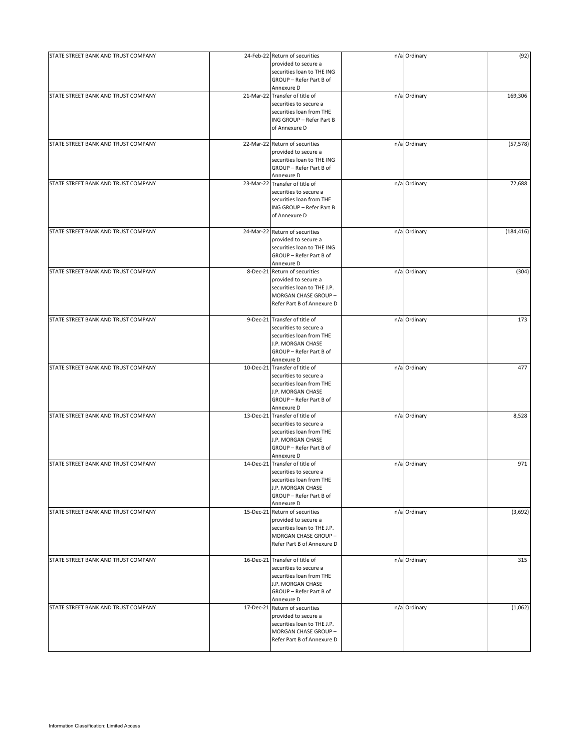| STATE STREET BANK AND TRUST COMPANY | 24-Feb-22 Return of securities<br>provided to secure a<br>securities loan to THE ING<br>GROUP - Refer Part B of                                                  | n/a Ordinary | (92)       |
|-------------------------------------|------------------------------------------------------------------------------------------------------------------------------------------------------------------|--------------|------------|
| STATE STREET BANK AND TRUST COMPANY | Annexure D<br>21-Mar-22 Transfer of title of<br>securities to secure a<br>securities loan from THE<br>ING GROUP - Refer Part B<br>of Annexure D                  | n/a Ordinary | 169,306    |
| STATE STREET BANK AND TRUST COMPANY | 22-Mar-22 Return of securities<br>provided to secure a<br>securities loan to THE ING<br>GROUP - Refer Part B of<br>Annexure D                                    | n/a Ordinary | (57, 578)  |
| STATE STREET BANK AND TRUST COMPANY | 23-Mar-22 Transfer of title of<br>securities to secure a<br>securities loan from THE<br>ING GROUP - Refer Part B<br>of Annexure D                                | n/a Ordinary | 72,688     |
| STATE STREET BANK AND TRUST COMPANY | 24-Mar-22 Return of securities<br>provided to secure a<br>securities loan to THE ING<br>GROUP - Refer Part B of<br>Annexure D                                    | n/a Ordinary | (184, 416) |
| STATE STREET BANK AND TRUST COMPANY | 8-Dec-21 Return of securities<br>provided to secure a<br>securities loan to THE J.P.<br>MORGAN CHASE GROUP -<br>Refer Part B of Annexure D                       | n/a Ordinary | (304)      |
| STATE STREET BANK AND TRUST COMPANY | 9-Dec-21 Transfer of title of<br>securities to secure a<br>securities loan from THE<br>J.P. MORGAN CHASE<br>GROUP - Refer Part B of                              | n/a Ordinary | 173        |
| STATE STREET BANK AND TRUST COMPANY | Annexure D<br>10-Dec-21 Transfer of title of<br>securities to secure a<br>securities loan from THE<br>J.P. MORGAN CHASE<br>GROUP - Refer Part B of<br>Annexure D | n/a Ordinary | 477        |
| STATE STREET BANK AND TRUST COMPANY | 13-Dec-21 Transfer of title of<br>securities to secure a<br>securities loan from THE<br>J.P. MORGAN CHASE<br>GROUP - Refer Part B of<br>Annexure D               | n/a Ordinary | 8,528      |
| STATE STREET BANK AND TRUST COMPANY | 14-Dec-21 Transfer of title of<br>securities to secure a<br>securities loan from THE<br>J.P. MORGAN CHASE<br>GROUP - Refer Part B of<br>Annexure D               | n/a Ordinary | 971        |
| STATE STREET BANK AND TRUST COMPANY | 15-Dec-21 Return of securities<br>provided to secure a<br>securities loan to THE J.P.<br>MORGAN CHASE GROUP -<br>Refer Part B of Annexure D                      | n/a Ordinary | (3,692)    |
| STATE STREET BANK AND TRUST COMPANY | 16-Dec-21 Transfer of title of<br>securities to secure a<br>securities loan from THE<br>J.P. MORGAN CHASE<br>GROUP - Refer Part B of<br>Annexure D               | n/a Ordinary | 315        |
| STATE STREET BANK AND TRUST COMPANY | 17-Dec-21 Return of securities<br>provided to secure a<br>securities loan to THE J.P.<br>MORGAN CHASE GROUP -<br>Refer Part B of Annexure D                      | n/a Ordinary | (1,062)    |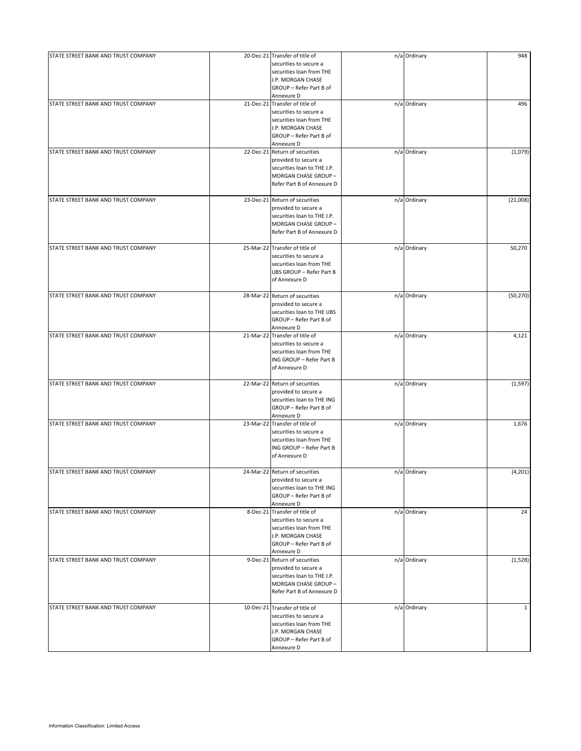| STATE STREET BANK AND TRUST COMPANY | 20-Dec-21 Transfer of title of<br>securities to secure a<br>securities loan from THE<br>J.P. MORGAN CHASE<br>GROUP - Refer Part B of<br>Annexure D | n/a Ordinary | 948          |
|-------------------------------------|----------------------------------------------------------------------------------------------------------------------------------------------------|--------------|--------------|
| STATE STREET BANK AND TRUST COMPANY | 21-Dec-21 Transfer of title of<br>securities to secure a<br>securities loan from THE<br>J.P. MORGAN CHASE<br>GROUP - Refer Part B of<br>Annexure D | n/a Ordinary | 496          |
| STATE STREET BANK AND TRUST COMPANY | 22-Dec-21 Return of securities<br>provided to secure a<br>securities loan to THE J.P.<br>MORGAN CHASE GROUP -<br>Refer Part B of Annexure D        | n/a Ordinary | (1,079)      |
| STATE STREET BANK AND TRUST COMPANY | 23-Dec-21 Return of securities<br>provided to secure a<br>securities loan to THE J.P.<br>MORGAN CHASE GROUP -<br>Refer Part B of Annexure D        | n/a Ordinary | (21,008)     |
| STATE STREET BANK AND TRUST COMPANY | 25-Mar-22 Transfer of title of<br>securities to secure a<br>securities loan from THE<br>UBS GROUP - Refer Part B<br>of Annexure D                  | n/a Ordinary | 50,270       |
| STATE STREET BANK AND TRUST COMPANY | 28-Mar-22 Return of securities<br>provided to secure a<br>securities loan to THE UBS<br>GROUP - Refer Part B of<br>Annexure D                      | n/a Ordinary | (50, 270)    |
| STATE STREET BANK AND TRUST COMPANY | 21-Mar-22 Transfer of title of<br>securities to secure a<br>securities loan from THE<br>ING GROUP - Refer Part B<br>of Annexure D                  | n/a Ordinary | 4,121        |
| STATE STREET BANK AND TRUST COMPANY | 22-Mar-22 Return of securities<br>provided to secure a<br>securities loan to THE ING<br>GROUP - Refer Part B of<br>Annexure D                      | n/a Ordinary | (1, 597)     |
| STATE STREET BANK AND TRUST COMPANY | 23-Mar-22 Transfer of title of<br>securities to secure a<br>securities loan from THE<br>ING GROUP - Refer Part B<br>of Annexure D                  | n/a Ordinary | 1,676        |
| STATE STREET BANK AND TRUST COMPANY | 24-Mar-22 Return of securities<br>provided to secure a<br>securities loan to THE ING<br>GROUP - Refer Part B of<br>Annexure D                      | n/a Ordinary | (4, 201)     |
| STATE STREET BANK AND TRUST COMPANY | 8-Dec-21 Transfer of title of<br>securities to secure a<br>securities loan from THE<br>J.P. MORGAN CHASE<br>GROUP - Refer Part B of<br>Annexure D  | n/a Ordinary | 24           |
| STATE STREET BANK AND TRUST COMPANY | 9-Dec-21 Return of securities<br>provided to secure a<br>securities loan to THE J.P.<br>MORGAN CHASE GROUP -<br>Refer Part B of Annexure D         | n/a Ordinary | (1,528)      |
| STATE STREET BANK AND TRUST COMPANY | 10-Dec-21 Transfer of title of<br>securities to secure a<br>securities loan from THE<br>J.P. MORGAN CHASE<br>GROUP - Refer Part B of<br>Annexure D | n/a Ordinary | $\mathbf{1}$ |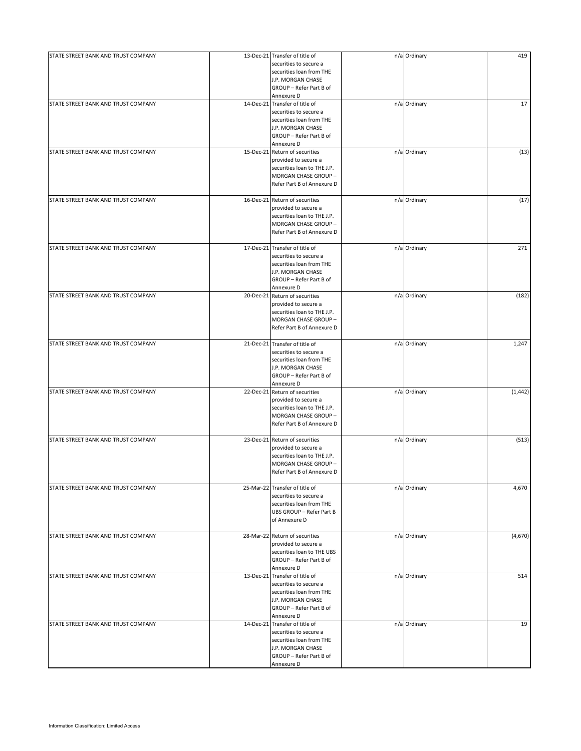| STATE STREET BANK AND TRUST COMPANY | 13-Dec-21 Transfer of title of<br>securities to secure a<br>securities loan from THE<br>J.P. MORGAN CHASE<br>GROUP - Refer Part B of                             | n/a Ordinary | 419      |
|-------------------------------------|------------------------------------------------------------------------------------------------------------------------------------------------------------------|--------------|----------|
| STATE STREET BANK AND TRUST COMPANY | Annexure D<br>14-Dec-21 Transfer of title of<br>securities to secure a<br>securities loan from THE<br>J.P. MORGAN CHASE<br>GROUP - Refer Part B of<br>Annexure D | n/a Ordinary | 17       |
| STATE STREET BANK AND TRUST COMPANY | 15-Dec-21 Return of securities<br>provided to secure a<br>securities loan to THE J.P.<br>MORGAN CHASE GROUP -<br>Refer Part B of Annexure D                      | n/a Ordinary | (13)     |
| STATE STREET BANK AND TRUST COMPANY | 16-Dec-21 Return of securities<br>provided to secure a<br>securities loan to THE J.P.<br>MORGAN CHASE GROUP -<br>Refer Part B of Annexure D                      | n/a Ordinary | (17)     |
| STATE STREET BANK AND TRUST COMPANY | 17-Dec-21 Transfer of title of<br>securities to secure a<br>securities loan from THE<br>J.P. MORGAN CHASE<br>GROUP - Refer Part B of<br>Annexure D               | n/a Ordinary | 271      |
| STATE STREET BANK AND TRUST COMPANY | 20-Dec-21 Return of securities<br>provided to secure a<br>securities loan to THE J.P.<br>MORGAN CHASE GROUP -<br>Refer Part B of Annexure D                      | n/a Ordinary | (182)    |
| STATE STREET BANK AND TRUST COMPANY | 21-Dec-21 Transfer of title of<br>securities to secure a<br>securities loan from THE<br>J.P. MORGAN CHASE<br>GROUP - Refer Part B of<br>Annexure D               | n/a Ordinary | 1,247    |
| STATE STREET BANK AND TRUST COMPANY | 22-Dec-21 Return of securities<br>provided to secure a<br>securities loan to THE J.P.<br>MORGAN CHASE GROUP -<br>Refer Part B of Annexure D                      | n/a Ordinary | (1, 442) |
| STATE STREET BANK AND TRUST COMPANY | 23-Dec-21 Return of securities<br>provided to secure a<br>securities loan to THE J.P.<br>MORGAN CHASE GROUP -<br>Refer Part B of Annexure D                      | n/a Ordinary | (513)    |
| STATE STREET BANK AND TRUST COMPANY | 25-Mar-22 Transfer of title of<br>securities to secure a<br>securities loan from THE<br>UBS GROUP - Refer Part B<br>of Annexure D                                | n/a Ordinary | 4,670    |
| STATE STREET BANK AND TRUST COMPANY | 28-Mar-22 Return of securities<br>provided to secure a<br>securities loan to THE UBS<br>GROUP - Refer Part B of<br>Annexure D                                    | n/a Ordinary | (4,670)  |
| STATE STREET BANK AND TRUST COMPANY | 13-Dec-21 Transfer of title of<br>securities to secure a<br>securities loan from THE<br>J.P. MORGAN CHASE<br>GROUP - Refer Part B of<br>Annexure D               | n/a Ordinary | 514      |
| STATE STREET BANK AND TRUST COMPANY | 14-Dec-21 Transfer of title of<br>securities to secure a<br>securities loan from THE<br>J.P. MORGAN CHASE<br>GROUP - Refer Part B of<br>Annexure D               | n/a Ordinary | 19       |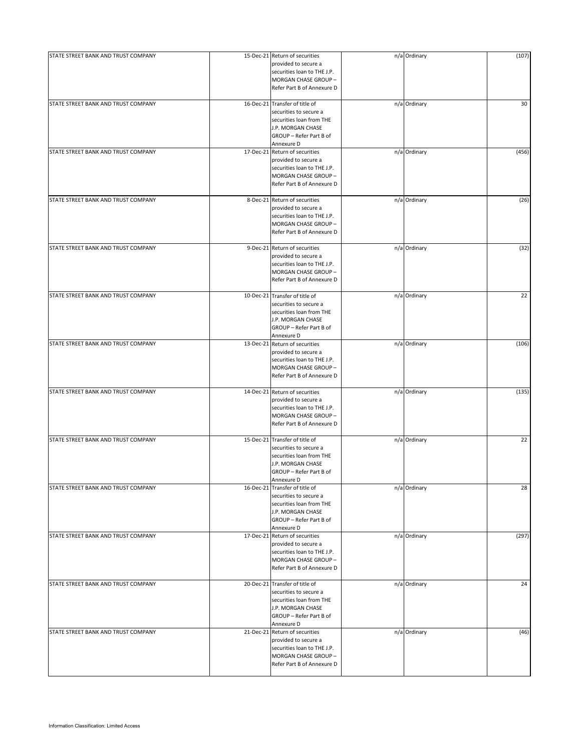| STATE STREET BANK AND TRUST COMPANY | 15-Dec-21 Return of securities<br>provided to secure a<br>securities loan to THE J.P.<br>MORGAN CHASE GROUP -<br>Refer Part B of Annexure D        | n/a Ordinary | (107) |
|-------------------------------------|----------------------------------------------------------------------------------------------------------------------------------------------------|--------------|-------|
| STATE STREET BANK AND TRUST COMPANY | 16-Dec-21 Transfer of title of<br>securities to secure a<br>securities loan from THE<br>J.P. MORGAN CHASE<br>GROUP - Refer Part B of<br>Annexure D | n/a Ordinary | 30    |
| STATE STREET BANK AND TRUST COMPANY | 17-Dec-21 Return of securities<br>provided to secure a<br>securities loan to THE J.P.<br>MORGAN CHASE GROUP -<br>Refer Part B of Annexure D        | n/a Ordinary | (456) |
| STATE STREET BANK AND TRUST COMPANY | 8-Dec-21 Return of securities<br>provided to secure a<br>securities loan to THE J.P.<br>MORGAN CHASE GROUP -<br>Refer Part B of Annexure D         | n/a Ordinary | (26)  |
| STATE STREET BANK AND TRUST COMPANY | 9-Dec-21 Return of securities<br>provided to secure a<br>securities loan to THE J.P.<br>MORGAN CHASE GROUP -<br>Refer Part B of Annexure D         | n/a Ordinary | (32)  |
| STATE STREET BANK AND TRUST COMPANY | 10-Dec-21 Transfer of title of<br>securities to secure a<br>securities loan from THE<br>J.P. MORGAN CHASE<br>GROUP - Refer Part B of<br>Annexure D | n/a Ordinary | 22    |
| STATE STREET BANK AND TRUST COMPANY | 13-Dec-21 Return of securities<br>provided to secure a<br>securities loan to THE J.P.<br>MORGAN CHASE GROUP-<br>Refer Part B of Annexure D         | n/a Ordinary | (106) |
| STATE STREET BANK AND TRUST COMPANY | 14-Dec-21 Return of securities<br>provided to secure a<br>securities loan to THE J.P.<br>MORGAN CHASE GROUP -<br>Refer Part B of Annexure D        | n/a Ordinary | (135) |
| STATE STREET BANK AND TRUST COMPANY | 15-Dec-21 Transfer of title of<br>securities to secure a<br>securities loan from THE<br>J.P. MORGAN CHASE<br>GROUP - Refer Part B of<br>Annexure D | n/a Ordinary | 22    |
| STATE STREET BANK AND TRUST COMPANY | 16-Dec-21 Transfer of title of<br>securities to secure a<br>securities loan from THE<br>J.P. MORGAN CHASE<br>GROUP - Refer Part B of<br>Annexure D | n/a Ordinary | 28    |
| STATE STREET BANK AND TRUST COMPANY | 17-Dec-21 Return of securities<br>provided to secure a<br>securities loan to THE J.P.<br>MORGAN CHASE GROUP -<br>Refer Part B of Annexure D        | n/a Ordinary | (297) |
| STATE STREET BANK AND TRUST COMPANY | 20-Dec-21 Transfer of title of<br>securities to secure a<br>securities loan from THE<br>J.P. MORGAN CHASE<br>GROUP - Refer Part B of<br>Annexure D | n/a Ordinary | 24    |
| STATE STREET BANK AND TRUST COMPANY | 21-Dec-21 Return of securities<br>provided to secure a<br>securities loan to THE J.P.<br>MORGAN CHASE GROUP -<br>Refer Part B of Annexure D        | n/a Ordinary | (46)  |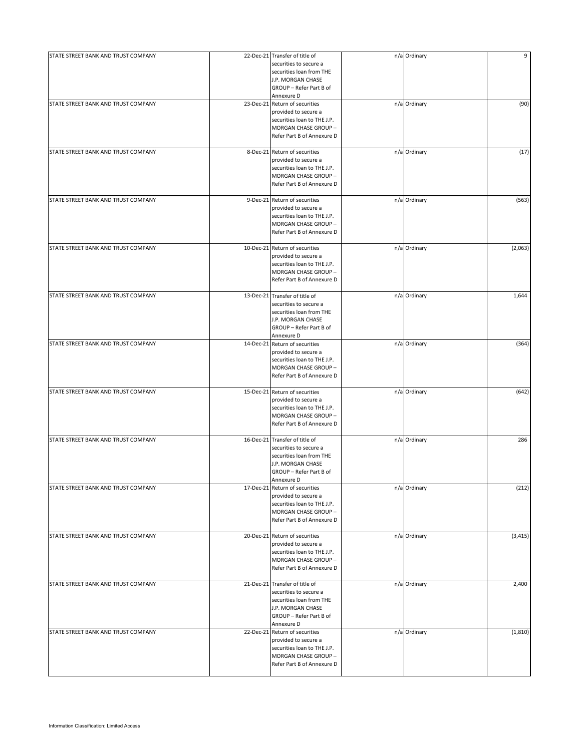| STATE STREET BANK AND TRUST COMPANY | 22-Dec-21 Transfer of title of               | n/a Ordinary | 9        |
|-------------------------------------|----------------------------------------------|--------------|----------|
|                                     | securities to secure a                       |              |          |
|                                     | securities loan from THE                     |              |          |
|                                     | J.P. MORGAN CHASE                            |              |          |
|                                     | GROUP - Refer Part B of                      |              |          |
|                                     | Annexure D                                   |              |          |
| STATE STREET BANK AND TRUST COMPANY | 23-Dec-21 Return of securities               | n/a Ordinary | (90)     |
|                                     | provided to secure a                         |              |          |
|                                     | securities loan to THE J.P.                  |              |          |
|                                     | MORGAN CHASE GROUP -                         |              |          |
|                                     | Refer Part B of Annexure D                   |              |          |
|                                     |                                              |              |          |
| STATE STREET BANK AND TRUST COMPANY | 8-Dec-21 Return of securities                | n/a Ordinary | (17)     |
|                                     | provided to secure a                         |              |          |
|                                     | securities loan to THE J.P.                  |              |          |
|                                     | MORGAN CHASE GROUP -                         |              |          |
|                                     | Refer Part B of Annexure D                   |              |          |
|                                     |                                              |              |          |
| STATE STREET BANK AND TRUST COMPANY | 9-Dec-21 Return of securities                | n/a Ordinary | (563)    |
|                                     | provided to secure a                         |              |          |
|                                     | securities loan to THE J.P.                  |              |          |
|                                     | MORGAN CHASE GROUP -                         |              |          |
|                                     | Refer Part B of Annexure D                   |              |          |
|                                     |                                              |              |          |
| STATE STREET BANK AND TRUST COMPANY | 10-Dec-21 Return of securities               | n/a Ordinary | (2,063)  |
|                                     | provided to secure a                         |              |          |
|                                     | securities loan to THE J.P.                  |              |          |
|                                     | MORGAN CHASE GROUP -                         |              |          |
|                                     |                                              |              |          |
|                                     | Refer Part B of Annexure D                   |              |          |
|                                     |                                              |              |          |
| STATE STREET BANK AND TRUST COMPANY | 13-Dec-21 Transfer of title of               | n/a Ordinary | 1,644    |
|                                     | securities to secure a                       |              |          |
|                                     | securities loan from THE                     |              |          |
|                                     | J.P. MORGAN CHASE                            |              |          |
|                                     | GROUP - Refer Part B of                      |              |          |
|                                     | Annexure D                                   |              |          |
| STATE STREET BANK AND TRUST COMPANY | 14-Dec-21 Return of securities               | n/a Ordinary | (364)    |
|                                     | provided to secure a                         |              |          |
|                                     | securities loan to THE J.P.                  |              |          |
|                                     | MORGAN CHASE GROUP-                          |              |          |
|                                     | Refer Part B of Annexure D                   |              |          |
|                                     |                                              |              |          |
| STATE STREET BANK AND TRUST COMPANY | 15-Dec-21 Return of securities               | n/a Ordinary | (642)    |
|                                     | provided to secure a                         |              |          |
|                                     | securities loan to THE J.P.                  |              |          |
|                                     | MORGAN CHASE GROUP -                         |              |          |
|                                     | Refer Part B of Annexure D                   |              |          |
|                                     |                                              |              |          |
| STATE STREET BANK AND TRUST COMPANY | 16-Dec-21 Transfer of title of               | n/a Ordinary | 286      |
|                                     | securities to secure a                       |              |          |
|                                     | securities loan from THE                     |              |          |
|                                     | J.P. MORGAN CHASE                            |              |          |
|                                     | GROUP - Refer Part B of                      |              |          |
|                                     | Annexure D                                   |              |          |
| STATE STREET BANK AND TRUST COMPANY | 17-Dec-21 Return of securities               | n/a Ordinary | (212)    |
|                                     | provided to secure a                         |              |          |
|                                     | securities loan to THE J.P.                  |              |          |
|                                     | MORGAN CHASE GROUP -                         |              |          |
|                                     | Refer Part B of Annexure D                   |              |          |
|                                     |                                              |              |          |
| STATE STREET BANK AND TRUST COMPANY | 20-Dec-21 Return of securities               | n/a Ordinary | (3, 415) |
|                                     | provided to secure a                         |              |          |
|                                     | securities loan to THE J.P.                  |              |          |
|                                     | MORGAN CHASE GROUP -                         |              |          |
|                                     | Refer Part B of Annexure D                   |              |          |
|                                     |                                              |              |          |
| STATE STREET BANK AND TRUST COMPANY | 21-Dec-21 Transfer of title of               | n/a Ordinary | 2,400    |
|                                     | securities to secure a                       |              |          |
|                                     |                                              |              |          |
|                                     | securities loan from THE                     |              |          |
|                                     | J.P. MORGAN CHASE                            |              |          |
|                                     | GROUP - Refer Part B of                      |              |          |
| STATE STREET BANK AND TRUST COMPANY | Annexure D<br>22-Dec-21 Return of securities |              |          |
|                                     |                                              | n/a Ordinary | (1, 810) |
|                                     | provided to secure a                         |              |          |
|                                     | securities loan to THE J.P.                  |              |          |
|                                     | MORGAN CHASE GROUP -                         |              |          |
|                                     | Refer Part B of Annexure D                   |              |          |
|                                     |                                              |              |          |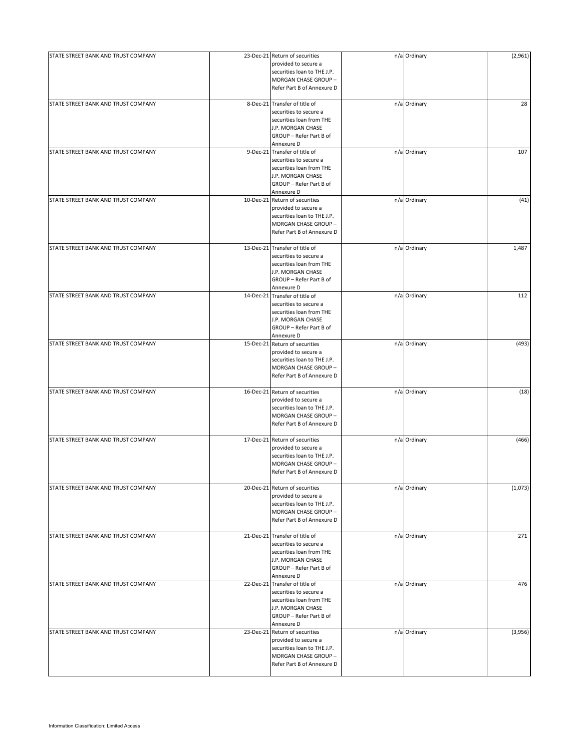| STATE STREET BANK AND TRUST COMPANY | 23-Dec-21 Return of securities | n/a Ordinary | (2,961) |
|-------------------------------------|--------------------------------|--------------|---------|
|                                     | provided to secure a           |              |         |
|                                     | securities loan to THE J.P.    |              |         |
|                                     | MORGAN CHASE GROUP -           |              |         |
|                                     | Refer Part B of Annexure D     |              |         |
|                                     |                                |              |         |
| STATE STREET BANK AND TRUST COMPANY | 8-Dec-21 Transfer of title of  | n/a Ordinary | 28      |
|                                     | securities to secure a         |              |         |
|                                     | securities loan from THE       |              |         |
|                                     |                                |              |         |
|                                     | J.P. MORGAN CHASE              |              |         |
|                                     | GROUP - Refer Part B of        |              |         |
|                                     | Annexure D                     |              |         |
| STATE STREET BANK AND TRUST COMPANY | 9-Dec-21 Transfer of title of  | n/a Ordinary | 107     |
|                                     | securities to secure a         |              |         |
|                                     | securities loan from THE       |              |         |
|                                     | J.P. MORGAN CHASE              |              |         |
|                                     | GROUP - Refer Part B of        |              |         |
|                                     | Annexure D                     |              |         |
|                                     |                                |              |         |
| STATE STREET BANK AND TRUST COMPANY | 10-Dec-21 Return of securities | n/a Ordinary | (41)    |
|                                     | provided to secure a           |              |         |
|                                     | securities loan to THE J.P.    |              |         |
|                                     | MORGAN CHASE GROUP -           |              |         |
|                                     | Refer Part B of Annexure D     |              |         |
|                                     |                                |              |         |
| STATE STREET BANK AND TRUST COMPANY | 13-Dec-21 Transfer of title of | n/a Ordinary | 1,487   |
|                                     | securities to secure a         |              |         |
|                                     |                                |              |         |
|                                     | securities loan from THE       |              |         |
|                                     | J.P. MORGAN CHASE              |              |         |
|                                     | GROUP - Refer Part B of        |              |         |
|                                     | Annexure D                     |              |         |
| STATE STREET BANK AND TRUST COMPANY | 14-Dec-21 Transfer of title of | n/a Ordinary | 112     |
|                                     | securities to secure a         |              |         |
|                                     |                                |              |         |
|                                     | securities loan from THE       |              |         |
|                                     | J.P. MORGAN CHASE              |              |         |
|                                     | GROUP - Refer Part B of        |              |         |
|                                     | Annexure D                     |              |         |
| STATE STREET BANK AND TRUST COMPANY | 15-Dec-21 Return of securities | n/a Ordinary | (493)   |
|                                     | provided to secure a           |              |         |
|                                     | securities loan to THE J.P.    |              |         |
|                                     |                                |              |         |
|                                     | MORGAN CHASE GROUP-            |              |         |
|                                     | Refer Part B of Annexure D     |              |         |
|                                     |                                |              |         |
| STATE STREET BANK AND TRUST COMPANY | 16-Dec-21 Return of securities | n/a Ordinary | (18)    |
|                                     | provided to secure a           |              |         |
|                                     | securities loan to THE J.P.    |              |         |
|                                     | MORGAN CHASE GROUP -           |              |         |
|                                     | Refer Part B of Annexure D     |              |         |
|                                     |                                |              |         |
| STATE STREET BANK AND TRUST COMPANY | 17-Dec-21 Return of securities | n/a Ordinary | (466)   |
|                                     | provided to secure a           |              |         |
|                                     |                                |              |         |
|                                     | securities loan to THE J.P.    |              |         |
|                                     | MORGAN CHASE GROUP -           |              |         |
|                                     | Refer Part B of Annexure D     |              |         |
|                                     |                                |              |         |
| STATE STREET BANK AND TRUST COMPANY | 20-Dec-21 Return of securities | n/a Ordinary | (1,073) |
|                                     | provided to secure a           |              |         |
|                                     | securities loan to THE J.P.    |              |         |
|                                     | MORGAN CHASE GROUP -           |              |         |
|                                     | Refer Part B of Annexure D     |              |         |
|                                     |                                |              |         |
| STATE STREET BANK AND TRUST COMPANY | 21-Dec-21 Transfer of title of | n/a Ordinary | 271     |
|                                     | securities to secure a         |              |         |
|                                     |                                |              |         |
|                                     | securities loan from THE       |              |         |
|                                     | J.P. MORGAN CHASE              |              |         |
|                                     | GROUP - Refer Part B of        |              |         |
|                                     | Annexure D                     |              |         |
| STATE STREET BANK AND TRUST COMPANY | 22-Dec-21 Transfer of title of | n/a Ordinary | 476     |
|                                     | securities to secure a         |              |         |
|                                     | securities loan from THE       |              |         |
|                                     |                                |              |         |
|                                     | J.P. MORGAN CHASE              |              |         |
|                                     | GROUP - Refer Part B of        |              |         |
|                                     | Annexure D                     |              |         |
| STATE STREET BANK AND TRUST COMPANY | 23-Dec-21 Return of securities | n/a Ordinary | (3,956) |
|                                     | provided to secure a           |              |         |
|                                     | securities loan to THE J.P.    |              |         |
|                                     |                                |              |         |
|                                     | MORGAN CHASE GROUP -           |              |         |
|                                     | Refer Part B of Annexure D     |              |         |
|                                     |                                |              |         |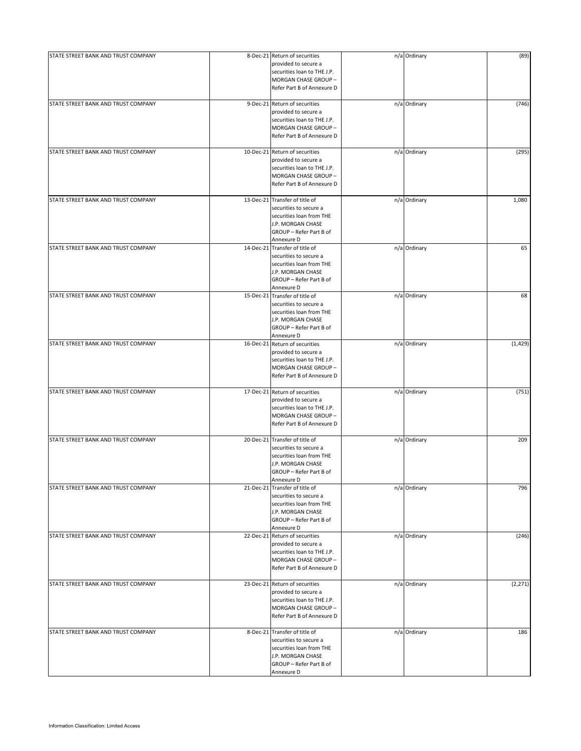| STATE STREET BANK AND TRUST COMPANY | 8-Dec-21 Return of securities<br>provided to secure a<br>securities loan to THE J.P.<br>MORGAN CHASE GROUP -<br>Refer Part B of Annexure D         | n/a Ordinary | (89)     |
|-------------------------------------|----------------------------------------------------------------------------------------------------------------------------------------------------|--------------|----------|
| STATE STREET BANK AND TRUST COMPANY | 9-Dec-21 Return of securities<br>provided to secure a<br>securities loan to THE J.P.<br>MORGAN CHASE GROUP -<br>Refer Part B of Annexure D         | n/a Ordinary | (746)    |
| STATE STREET BANK AND TRUST COMPANY | 10-Dec-21 Return of securities<br>provided to secure a<br>securities loan to THE J.P.<br>MORGAN CHASE GROUP -<br>Refer Part B of Annexure D        | n/a Ordinary | (295)    |
| STATE STREET BANK AND TRUST COMPANY | 13-Dec-21 Transfer of title of<br>securities to secure a<br>securities loan from THE<br>J.P. MORGAN CHASE<br>GROUP - Refer Part B of<br>Annexure D | n/a Ordinary | 1,080    |
| STATE STREET BANK AND TRUST COMPANY | 14-Dec-21 Transfer of title of<br>securities to secure a<br>securities loan from THE<br>J.P. MORGAN CHASE<br>GROUP - Refer Part B of<br>Annexure D | n/a Ordinary | 65       |
| STATE STREET BANK AND TRUST COMPANY | 15-Dec-21 Transfer of title of<br>securities to secure a<br>securities loan from THE<br>J.P. MORGAN CHASE<br>GROUP - Refer Part B of<br>Annexure D | n/a Ordinary | 68       |
| STATE STREET BANK AND TRUST COMPANY | 16-Dec-21 Return of securities<br>provided to secure a<br>securities loan to THE J.P.<br>MORGAN CHASE GROUP -<br>Refer Part B of Annexure D        | n/a Ordinary | (1, 429) |
| STATE STREET BANK AND TRUST COMPANY | 17-Dec-21 Return of securities<br>provided to secure a<br>securities loan to THE J.P.<br>MORGAN CHASE GROUP -<br>Refer Part B of Annexure D        | n/a Ordinary | (751)    |
| STATE STREET BANK AND TRUST COMPANY | 20-Dec-21 Transfer of title of<br>securities to secure a<br>securities loan from THE<br>J.P. MORGAN CHASE<br>GROUP - Refer Part B of<br>Annexure D | n/a Ordinary | 209      |
| STATE STREET BANK AND TRUST COMPANY | 21-Dec-21 Transfer of title of<br>securities to secure a<br>securities loan from THE<br>J.P. MORGAN CHASE<br>GROUP - Refer Part B of<br>Annexure D | n/a Ordinary | 796      |
| STATE STREET BANK AND TRUST COMPANY | 22-Dec-21 Return of securities<br>provided to secure a<br>securities loan to THE J.P.<br>MORGAN CHASE GROUP -<br>Refer Part B of Annexure D        | n/a Ordinary | (246)    |
| STATE STREET BANK AND TRUST COMPANY | 23-Dec-21 Return of securities<br>provided to secure a<br>securities loan to THE J.P.<br>MORGAN CHASE GROUP -<br>Refer Part B of Annexure D        | n/a Ordinary | (2, 271) |
| STATE STREET BANK AND TRUST COMPANY | 8-Dec-21 Transfer of title of<br>securities to secure a<br>securities loan from THE<br>J.P. MORGAN CHASE<br>GROUP - Refer Part B of<br>Annexure D  | n/a Ordinary | 186      |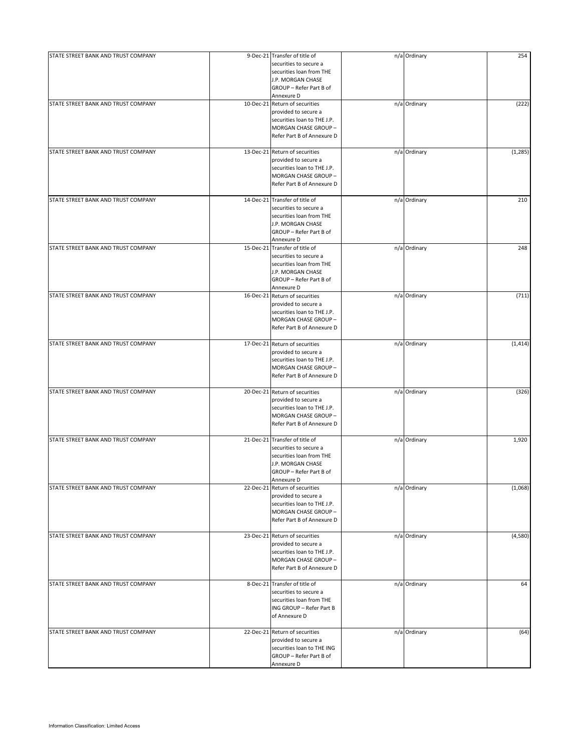| STATE STREET BANK AND TRUST COMPANY | 9-Dec-21 Transfer of title of<br>securities to secure a<br>securities loan from THE<br>J.P. MORGAN CHASE<br>GROUP - Refer Part B of                       | n/a Ordinary | 254      |
|-------------------------------------|-----------------------------------------------------------------------------------------------------------------------------------------------------------|--------------|----------|
| STATE STREET BANK AND TRUST COMPANY | Annexure D<br>10-Dec-21 Return of securities<br>provided to secure a<br>securities loan to THE J.P.<br>MORGAN CHASE GROUP -<br>Refer Part B of Annexure D | n/a Ordinary | (222)    |
| STATE STREET BANK AND TRUST COMPANY | 13-Dec-21 Return of securities<br>provided to secure a<br>securities loan to THE J.P.<br>MORGAN CHASE GROUP -<br>Refer Part B of Annexure D               | n/a Ordinary | (1, 285) |
| STATE STREET BANK AND TRUST COMPANY | 14-Dec-21 Transfer of title of<br>securities to secure a<br>securities loan from THE<br>J.P. MORGAN CHASE<br>GROUP - Refer Part B of<br>Annexure D        | n/a Ordinary | 210      |
| STATE STREET BANK AND TRUST COMPANY | 15-Dec-21 Transfer of title of<br>securities to secure a<br>securities loan from THE<br>J.P. MORGAN CHASE<br>GROUP - Refer Part B of<br>Annexure D        | n/a Ordinary | 248      |
| STATE STREET BANK AND TRUST COMPANY | 16-Dec-21 Return of securities<br>provided to secure a<br>securities loan to THE J.P.<br>MORGAN CHASE GROUP -<br>Refer Part B of Annexure D               | n/a Ordinary | (711)    |
| STATE STREET BANK AND TRUST COMPANY | 17-Dec-21 Return of securities<br>provided to secure a<br>securities loan to THE J.P.<br>MORGAN CHASE GROUP-<br>Refer Part B of Annexure D                | n/a Ordinary | (1, 414) |
| STATE STREET BANK AND TRUST COMPANY | 20-Dec-21 Return of securities<br>provided to secure a<br>securities loan to THE J.P.<br>MORGAN CHASE GROUP -<br>Refer Part B of Annexure D               | n/a Ordinary | (326)    |
| STATE STREET BANK AND TRUST COMPANY | 21-Dec-21 Transfer of title of<br>securities to secure a<br>securities loan from THE<br>J.P. MORGAN CHASE<br>GROUP - Refer Part B of<br>Annexure D        | n/a Ordinary | 1,920    |
| STATE STREET BANK AND TRUST COMPANY | 22-Dec-21 Return of securities<br>provided to secure a<br>securities loan to THE J.P.<br>MORGAN CHASE GROUP -<br>Refer Part B of Annexure D               | n/a Ordinary | (1,068)  |
| STATE STREET BANK AND TRUST COMPANY | 23-Dec-21 Return of securities<br>provided to secure a<br>securities loan to THE J.P.<br>MORGAN CHASE GROUP -<br>Refer Part B of Annexure D               | n/a Ordinary | (4,580)  |
| STATE STREET BANK AND TRUST COMPANY | 8-Dec-21 Transfer of title of<br>securities to secure a<br>securities loan from THE<br>ING GROUP - Refer Part B<br>of Annexure D                          | n/a Ordinary | 64       |
| STATE STREET BANK AND TRUST COMPANY | 22-Dec-21 Return of securities<br>provided to secure a<br>securities loan to THE ING<br>GROUP - Refer Part B of<br>Annexure D                             | n/a Ordinary | (64)     |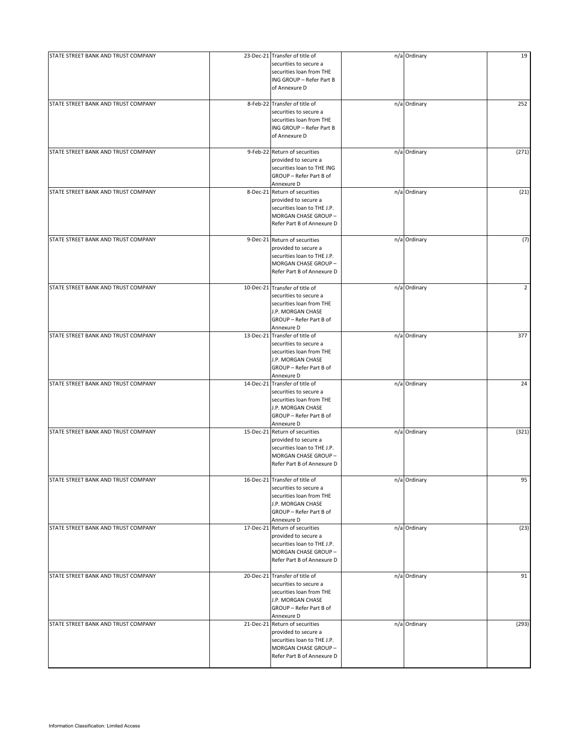| STATE STREET BANK AND TRUST COMPANY | 23-Dec-21 Transfer of title of<br>securities to secure a                                                                                           | n/a Ordinary | 19             |
|-------------------------------------|----------------------------------------------------------------------------------------------------------------------------------------------------|--------------|----------------|
|                                     | securities loan from THE<br>ING GROUP - Refer Part B<br>of Annexure D                                                                              |              |                |
| STATE STREET BANK AND TRUST COMPANY | 8-Feb-22 Transfer of title of<br>securities to secure a<br>securities loan from THE<br>ING GROUP - Refer Part B<br>of Annexure D                   | n/a Ordinary | 252            |
| STATE STREET BANK AND TRUST COMPANY | 9-Feb-22 Return of securities<br>provided to secure a<br>securities loan to THE ING<br>GROUP - Refer Part B of<br>Annexure D                       | n/a Ordinary | (271)          |
| STATE STREET BANK AND TRUST COMPANY | 8-Dec-21 Return of securities<br>provided to secure a<br>securities loan to THE J.P.<br>MORGAN CHASE GROUP -<br>Refer Part B of Annexure D         | n/a Ordinary | (21)           |
| STATE STREET BANK AND TRUST COMPANY | 9-Dec-21 Return of securities<br>provided to secure a<br>securities loan to THE J.P.<br>MORGAN CHASE GROUP -<br>Refer Part B of Annexure D         | n/a Ordinary | (7)            |
| STATE STREET BANK AND TRUST COMPANY | 10-Dec-21 Transfer of title of<br>securities to secure a<br>securities loan from THE<br>J.P. MORGAN CHASE<br>GROUP - Refer Part B of<br>Annexure D | n/a Ordinary | $\overline{2}$ |
| STATE STREET BANK AND TRUST COMPANY | 13-Dec-21 Transfer of title of<br>securities to secure a<br>securities loan from THE<br>J.P. MORGAN CHASE<br>GROUP - Refer Part B of<br>Annexure D | n/a Ordinary | 377            |
| STATE STREET BANK AND TRUST COMPANY | 14-Dec-21 Transfer of title of<br>securities to secure a<br>securities loan from THE<br>J.P. MORGAN CHASE<br>GROUP - Refer Part B of<br>Annexure D | n/a Ordinary | 24             |
| STATE STREET BANK AND TRUST COMPANY | 15-Dec-21 Return of securities<br>provided to secure a<br>securities loan to THE J.P.<br>MORGAN CHASE GROUP -<br>Refer Part B of Annexure D        | n/a Ordinary | (321)          |
| STATE STREET BANK AND TRUST COMPANY | 16-Dec-21 Transfer of title of<br>securities to secure a<br>securities loan from THE<br>J.P. MORGAN CHASE<br>GROUP - Refer Part B of<br>Annexure D | n/a Ordinary | 95             |
| STATE STREET BANK AND TRUST COMPANY | 17-Dec-21 Return of securities<br>provided to secure a<br>securities loan to THE J.P.<br>MORGAN CHASE GROUP -<br>Refer Part B of Annexure D        | n/a Ordinary | (23)           |
| STATE STREET BANK AND TRUST COMPANY | 20-Dec-21 Transfer of title of<br>securities to secure a<br>securities loan from THE<br>J.P. MORGAN CHASE<br>GROUP - Refer Part B of<br>Annexure D | n/a Ordinary | 91             |
| STATE STREET BANK AND TRUST COMPANY | 21-Dec-21 Return of securities<br>provided to secure a<br>securities loan to THE J.P.<br>MORGAN CHASE GROUP -<br>Refer Part B of Annexure D        | n/a Ordinary | (293)          |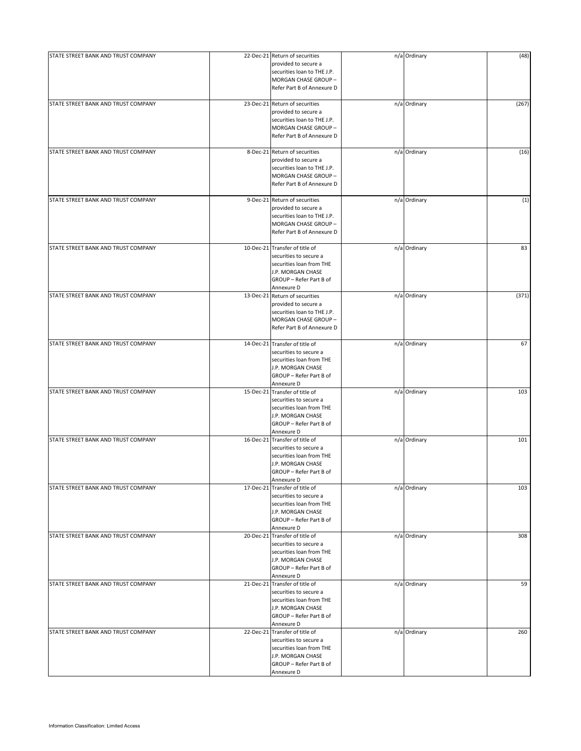| STATE STREET BANK AND TRUST COMPANY | 22-Dec-21 Return of securities<br>provided to secure a<br>securities loan to THE J.P.<br>MORGAN CHASE GROUP -<br>Refer Part B of Annexure D        | n/a Ordinary | (48)  |
|-------------------------------------|----------------------------------------------------------------------------------------------------------------------------------------------------|--------------|-------|
| STATE STREET BANK AND TRUST COMPANY | 23-Dec-21 Return of securities<br>provided to secure a<br>securities loan to THE J.P.<br>MORGAN CHASE GROUP-<br>Refer Part B of Annexure D         | n/a Ordinary | (267) |
| STATE STREET BANK AND TRUST COMPANY | 8-Dec-21 Return of securities<br>provided to secure a<br>securities loan to THE J.P.<br>MORGAN CHASE GROUP-<br>Refer Part B of Annexure D          | n/a Ordinary | (16)  |
| STATE STREET BANK AND TRUST COMPANY | 9-Dec-21 Return of securities<br>provided to secure a<br>securities loan to THE J.P.<br>MORGAN CHASE GROUP -<br>Refer Part B of Annexure D         | n/a Ordinary | (1)   |
| STATE STREET BANK AND TRUST COMPANY | 10-Dec-21 Transfer of title of<br>securities to secure a<br>securities loan from THE<br>J.P. MORGAN CHASE<br>GROUP - Refer Part B of<br>Annexure D | n/a Ordinary | 83    |
| STATE STREET BANK AND TRUST COMPANY | 13-Dec-21 Return of securities<br>provided to secure a<br>securities loan to THE J.P.<br>MORGAN CHASE GROUP -<br>Refer Part B of Annexure D        | n/a Ordinary | (371) |
| STATE STREET BANK AND TRUST COMPANY | 14-Dec-21 Transfer of title of<br>securities to secure a<br>securities loan from THE<br>J.P. MORGAN CHASE<br>GROUP - Refer Part B of<br>Annexure D | n/a Ordinary | 67    |
| STATE STREET BANK AND TRUST COMPANY | 15-Dec-21 Transfer of title of<br>securities to secure a<br>securities loan from THE<br>J.P. MORGAN CHASE<br>GROUP - Refer Part B of<br>Annexure D | n/a Ordinary | 103   |
| STATE STREET BANK AND TRUST COMPANY | 16-Dec-21 Transfer of title of<br>securities to secure a<br>securities loan from THE<br>J.P. MORGAN CHASE<br>GROUP - Refer Part B of<br>Annexure D | n/a Ordinary | 101   |
| STATE STREET BANK AND TRUST COMPANY | 17-Dec-21 Transfer of title of<br>securities to secure a<br>securities loan from THE<br>J.P. MORGAN CHASE<br>GROUP - Refer Part B of<br>Annexure D | n/a Ordinary | 103   |
| STATE STREET BANK AND TRUST COMPANY | 20-Dec-21 Transfer of title of<br>securities to secure a<br>securities loan from THE<br>J.P. MORGAN CHASE<br>GROUP - Refer Part B of<br>Annexure D | n/a Ordinary | 308   |
| STATE STREET BANK AND TRUST COMPANY | 21-Dec-21 Transfer of title of<br>securities to secure a<br>securities loan from THE<br>J.P. MORGAN CHASE<br>GROUP - Refer Part B of<br>Annexure D | n/a Ordinary | 59    |
| STATE STREET BANK AND TRUST COMPANY | 22-Dec-21 Transfer of title of<br>securities to secure a<br>securities loan from THE<br>J.P. MORGAN CHASE<br>GROUP - Refer Part B of<br>Annexure D | n/a Ordinary | 260   |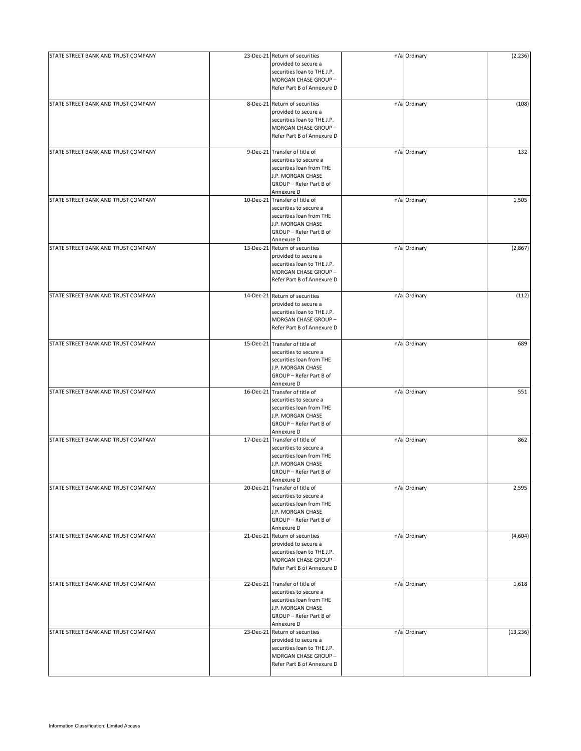| STATE STREET BANK AND TRUST COMPANY | 23-Dec-21 Return of securities<br>provided to secure a<br>securities loan to THE J.P.<br>MORGAN CHASE GROUP -<br>Refer Part B of Annexure D        | n/a Ordinary | (2, 236)  |
|-------------------------------------|----------------------------------------------------------------------------------------------------------------------------------------------------|--------------|-----------|
| STATE STREET BANK AND TRUST COMPANY | 8-Dec-21 Return of securities<br>provided to secure a<br>securities loan to THE J.P.<br>MORGAN CHASE GROUP -<br>Refer Part B of Annexure D         | n/a Ordinary | (108)     |
| STATE STREET BANK AND TRUST COMPANY | 9-Dec-21 Transfer of title of<br>securities to secure a<br>securities loan from THE<br>J.P. MORGAN CHASE<br>GROUP - Refer Part B of<br>Annexure D  | n/a Ordinary | 132       |
| STATE STREET BANK AND TRUST COMPANY | 10-Dec-21 Transfer of title of<br>securities to secure a<br>securities loan from THE<br>J.P. MORGAN CHASE<br>GROUP - Refer Part B of<br>Annexure D | n/a Ordinary | 1,505     |
| STATE STREET BANK AND TRUST COMPANY | 13-Dec-21 Return of securities<br>provided to secure a<br>securities loan to THE J.P.<br>MORGAN CHASE GROUP -<br>Refer Part B of Annexure D        | n/a Ordinary | (2,867)   |
| STATE STREET BANK AND TRUST COMPANY | 14-Dec-21 Return of securities<br>provided to secure a<br>securities loan to THE J.P.<br>MORGAN CHASE GROUP -<br>Refer Part B of Annexure D        | n/a Ordinary | (112)     |
| STATE STREET BANK AND TRUST COMPANY | 15-Dec-21 Transfer of title of<br>securities to secure a<br>securities loan from THE<br>J.P. MORGAN CHASE<br>GROUP - Refer Part B of<br>Annexure D | n/a Ordinary | 689       |
| STATE STREET BANK AND TRUST COMPANY | 16-Dec-21 Transfer of title of<br>securities to secure a<br>securities loan from THE<br>J.P. MORGAN CHASE<br>GROUP - Refer Part B of<br>Annexure D | n/a Ordinary | 551       |
| STATE STREET BANK AND TRUST COMPANY | 17-Dec-21 Transfer of title of<br>securities to secure a<br>securities loan from THE<br>J.P. MORGAN CHASE<br>GROUP - Refer Part B of<br>Annexure D | n/a Ordinary | 862       |
| STATE STREET BANK AND TRUST COMPANY | 20-Dec-21 Transfer of title of<br>securities to secure a<br>securities loan from THE<br>J.P. MORGAN CHASE<br>GROUP - Refer Part B of<br>Annexure D | n/a Ordinary | 2,595     |
| STATE STREET BANK AND TRUST COMPANY | 21-Dec-21 Return of securities<br>provided to secure a<br>securities loan to THE J.P.<br>MORGAN CHASE GROUP -<br>Refer Part B of Annexure D        | n/a Ordinary | (4,604)   |
| STATE STREET BANK AND TRUST COMPANY | 22-Dec-21 Transfer of title of<br>securities to secure a<br>securities loan from THE<br>J.P. MORGAN CHASE<br>GROUP - Refer Part B of<br>Annexure D | n/a Ordinary | 1,618     |
| STATE STREET BANK AND TRUST COMPANY | 23-Dec-21 Return of securities<br>provided to secure a<br>securities loan to THE J.P.<br>MORGAN CHASE GROUP -<br>Refer Part B of Annexure D        | n/a Ordinary | (13, 236) |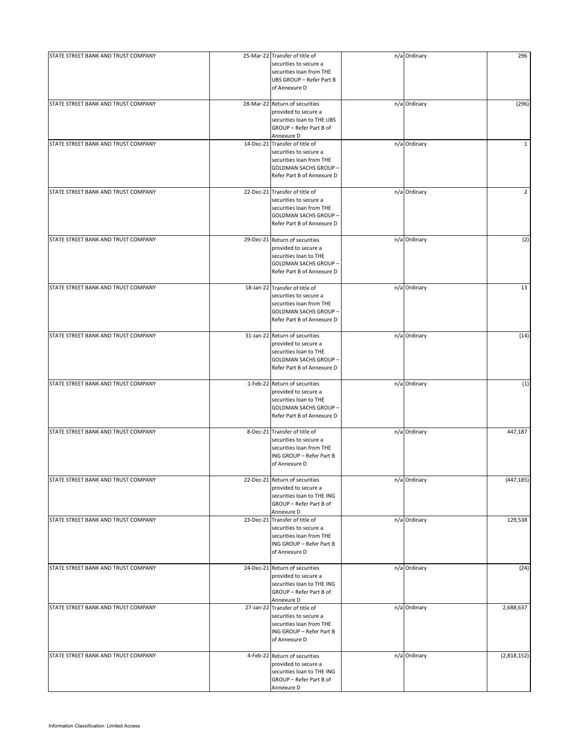| STATE STREET BANK AND TRUST COMPANY | 25-Mar-22 Transfer of title of<br>securities to secure a<br>securities loan from THE<br>UBS GROUP - Refer Part B<br>of Annexure D                  | n/a Ordinary | 296            |
|-------------------------------------|----------------------------------------------------------------------------------------------------------------------------------------------------|--------------|----------------|
| STATE STREET BANK AND TRUST COMPANY | 28-Mar-22 Return of securities<br>provided to secure a<br>securities loan to THE UBS<br>GROUP - Refer Part B of<br>Annexure D                      | n/a Ordinary | (296)          |
| STATE STREET BANK AND TRUST COMPANY | 14-Dec-21 Transfer of title of<br>securities to secure a<br>securities loan from THE<br><b>GOLDMAN SACHS GROUP -</b><br>Refer Part B of Annexure D | n/a Ordinary | $\mathbf{1}$   |
| STATE STREET BANK AND TRUST COMPANY | 22-Dec-21 Transfer of title of<br>securities to secure a<br>securities loan from THE<br><b>GOLDMAN SACHS GROUP -</b><br>Refer Part B of Annexure D | n/a Ordinary | $\overline{2}$ |
| STATE STREET BANK AND TRUST COMPANY | 29-Dec-21 Return of securities<br>provided to secure a<br>securities loan to THE<br><b>GOLDMAN SACHS GROUP -</b><br>Refer Part B of Annexure D     | n/a Ordinary | (2)            |
| STATE STREET BANK AND TRUST COMPANY | 18-Jan-22 Transfer of title of<br>securities to secure a<br>securities loan from THE<br><b>GOLDMAN SACHS GROUP -</b><br>Refer Part B of Annexure D | n/a Ordinary | 13             |
| STATE STREET BANK AND TRUST COMPANY | 31-Jan-22 Return of securities<br>provided to secure a<br>securities loan to THE<br><b>GOLDMAN SACHS GROUP -</b><br>Refer Part B of Annexure D     | n/a Ordinary | (14)           |
| STATE STREET BANK AND TRUST COMPANY | 1-Feb-22 Return of securities<br>provided to secure a<br>securities loan to THE<br>GOLDMAN SACHS GROUP -<br>Refer Part B of Annexure D             | n/a Ordinary | (1)            |
| STATE STREET BANK AND TRUST COMPANY | 8-Dec-21 Transfer of title of<br>securities to secure a<br>securities loan from THE<br>ING GROUP - Refer Part B<br>of Annexure D                   | n/a Ordinary | 447,187        |
| STATE STREET BANK AND TRUST COMPANY | 22-Dec-21 Return of securities<br>provided to secure a<br>securities loan to THE ING<br>GROUP - Refer Part B of<br>Annexure D                      | n/a Ordinary | (447, 185)     |
| STATE STREET BANK AND TRUST COMPANY | 23-Dec-21 Transfer of title of<br>securities to secure a<br>securities loan from THE<br>ING GROUP - Refer Part B<br>of Annexure D                  | n/a Ordinary | 129,538        |
| STATE STREET BANK AND TRUST COMPANY | 24-Dec-21 Return of securities<br>provided to secure a<br>securities loan to THE ING<br>GROUP - Refer Part B of<br>Annexure D                      | n/a Ordinary | (24)           |
| STATE STREET BANK AND TRUST COMPANY | 27-Jan-22 Transfer of title of<br>securities to secure a<br>securities loan from THE<br>ING GROUP - Refer Part B<br>of Annexure D                  | n/a Ordinary | 2,688,637      |
| STATE STREET BANK AND TRUST COMPANY | 4-Feb-22 Return of securities<br>provided to secure a<br>securities loan to THE ING<br>GROUP - Refer Part B of<br>Annexure D                       | n/a Ordinary | (2,818,152)    |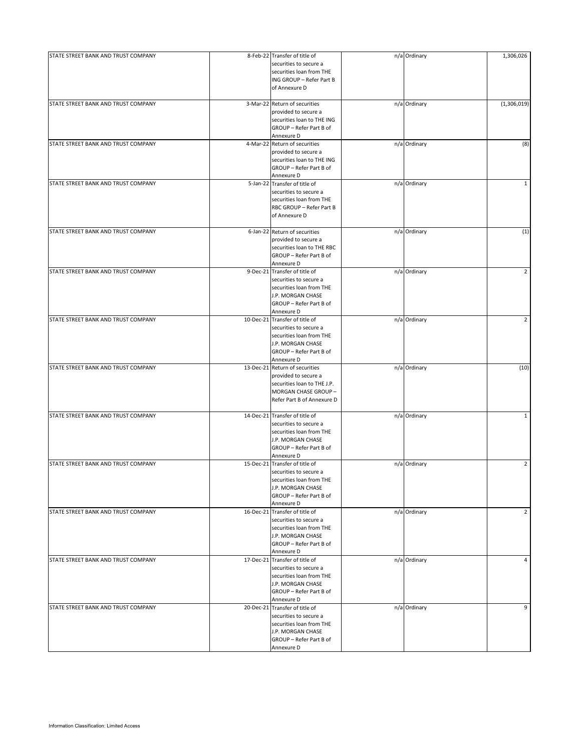| STATE STREET BANK AND TRUST COMPANY |           | 8-Feb-22 Transfer of title of  | n/a Ordinary | 1,306,026      |
|-------------------------------------|-----------|--------------------------------|--------------|----------------|
|                                     |           | securities to secure a         |              |                |
|                                     |           |                                |              |                |
|                                     |           | securities loan from THE       |              |                |
|                                     |           | ING GROUP - Refer Part B       |              |                |
|                                     |           | of Annexure D                  |              |                |
|                                     |           |                                |              |                |
| STATE STREET BANK AND TRUST COMPANY |           | 3-Mar-22 Return of securities  | n/a Ordinary | (1,306,019)    |
|                                     |           |                                |              |                |
|                                     |           | provided to secure a           |              |                |
|                                     |           | securities loan to THE ING     |              |                |
|                                     |           | GROUP - Refer Part B of        |              |                |
|                                     |           |                                |              |                |
|                                     |           | Annexure D                     |              |                |
| STATE STREET BANK AND TRUST COMPANY |           | 4-Mar-22 Return of securities  | n/a Ordinary | (8)            |
|                                     |           | provided to secure a           |              |                |
|                                     |           |                                |              |                |
|                                     |           | securities loan to THE ING     |              |                |
|                                     |           | GROUP - Refer Part B of        |              |                |
|                                     |           | Annexure D                     |              |                |
| STATE STREET BANK AND TRUST COMPANY |           | 5-Jan-22 Transfer of title of  | n/a Ordinary | $\mathbf{1}$   |
|                                     |           |                                |              |                |
|                                     |           | securities to secure a         |              |                |
|                                     |           | securities loan from THE       |              |                |
|                                     |           | RBC GROUP - Refer Part B       |              |                |
|                                     |           |                                |              |                |
|                                     |           | of Annexure D                  |              |                |
|                                     |           |                                |              |                |
| STATE STREET BANK AND TRUST COMPANY |           | 6-Jan-22 Return of securities  | n/a Ordinary | (1)            |
|                                     |           | provided to secure a           |              |                |
|                                     |           | securities loan to THE RBC     |              |                |
|                                     |           |                                |              |                |
|                                     |           | GROUP - Refer Part B of        |              |                |
|                                     |           | Annexure D                     |              |                |
|                                     |           |                                |              |                |
| STATE STREET BANK AND TRUST COMPANY |           | 9-Dec-21 Transfer of title of  | n/a Ordinary | $\overline{2}$ |
|                                     |           | securities to secure a         |              |                |
|                                     |           | securities loan from THE       |              |                |
|                                     |           | J.P. MORGAN CHASE              |              |                |
|                                     |           |                                |              |                |
|                                     |           | GROUP - Refer Part B of        |              |                |
|                                     |           | Annexure D                     |              |                |
| STATE STREET BANK AND TRUST COMPANY |           |                                |              |                |
|                                     |           | 10-Dec-21 Transfer of title of | n/a Ordinary | $\overline{2}$ |
|                                     |           | securities to secure a         |              |                |
|                                     |           | securities loan from THE       |              |                |
|                                     |           |                                |              |                |
|                                     |           | J.P. MORGAN CHASE              |              |                |
|                                     |           | GROUP - Refer Part B of        |              |                |
|                                     |           | Annexure D                     |              |                |
|                                     |           |                                |              |                |
| STATE STREET BANK AND TRUST COMPANY |           | 13-Dec-21 Return of securities | n/a Ordinary | (10)           |
|                                     |           | provided to secure a           |              |                |
|                                     |           | securities loan to THE J.P.    |              |                |
|                                     |           |                                |              |                |
|                                     |           | MORGAN CHASE GROUP -           |              |                |
|                                     |           | Refer Part B of Annexure D     |              |                |
|                                     |           |                                |              |                |
| STATE STREET BANK AND TRUST COMPANY |           | 14-Dec-21 Transfer of title of | n/a Ordinary | $\mathbf{1}$   |
|                                     |           | securities to secure a         |              |                |
|                                     |           | securities loan from THE       |              |                |
|                                     |           |                                |              |                |
|                                     |           | J.P. MORGAN CHASE              |              |                |
|                                     |           | GROUP - Refer Part B of        |              |                |
|                                     |           | Annexure D                     |              |                |
| STATE STREET BANK AND TRUST COMPANY | 15-Dec-21 |                                |              | $\overline{2}$ |
|                                     |           | Transfer of title of           | n/a Ordinary |                |
|                                     |           | securities to secure a         |              |                |
|                                     |           | securities loan from THE       |              |                |
|                                     |           | J.P. MORGAN CHASE              |              |                |
|                                     |           |                                |              |                |
|                                     |           | GROUP - Refer Part B of        |              |                |
|                                     |           | Annexure D                     |              |                |
| STATE STREET BANK AND TRUST COMPANY | 16-Dec-21 | Transfer of title of           | n/a Ordinary | $\overline{2}$ |
|                                     |           | securities to secure a         |              |                |
|                                     |           |                                |              |                |
|                                     |           | securities loan from THE       |              |                |
|                                     |           | J.P. MORGAN CHASE              |              |                |
|                                     |           | GROUP - Refer Part B of        |              |                |
|                                     |           |                                |              |                |
|                                     |           | Annexure D                     |              |                |
| STATE STREET BANK AND TRUST COMPANY | 17-Dec-21 | Transfer of title of           | n/a Ordinary | 4              |
|                                     |           | securities to secure a         |              |                |
|                                     |           |                                |              |                |
|                                     |           | securities loan from THE       |              |                |
|                                     |           | J.P. MORGAN CHASE              |              |                |
|                                     |           | GROUP - Refer Part B of        |              |                |
|                                     |           | Annexure D                     |              |                |
| STATE STREET BANK AND TRUST COMPANY |           | 20-Dec-21 Transfer of title of | n/a Ordinary | 9              |
|                                     |           |                                |              |                |
|                                     |           | securities to secure a         |              |                |
|                                     |           | securities loan from THE       |              |                |
|                                     |           | J.P. MORGAN CHASE              |              |                |
|                                     |           |                                |              |                |
|                                     |           | GROUP - Refer Part B of        |              |                |
|                                     |           | Annexure D                     |              |                |
|                                     |           |                                |              |                |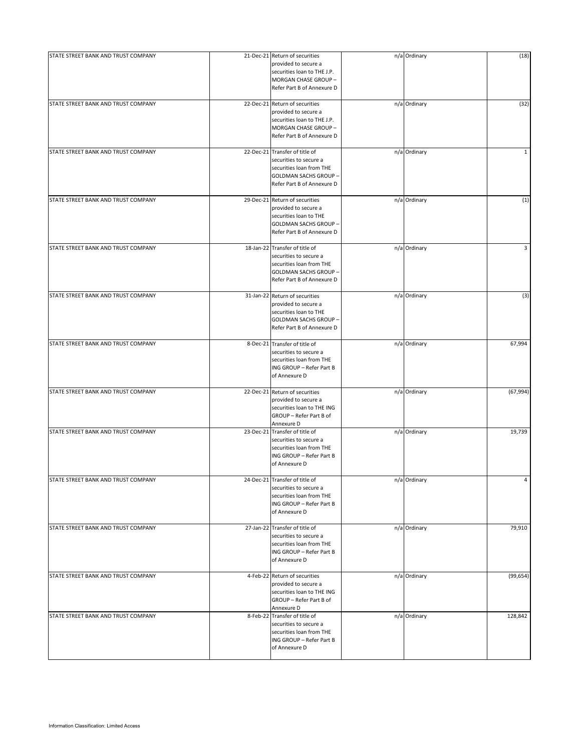| STATE STREET BANK AND TRUST COMPANY | 21-Dec-21 Return of securities<br>provided to secure a<br>securities loan to THE J.P.<br>MORGAN CHASE GROUP -<br>Refer Part B of Annexure D        | n/a Ordinary | (18)         |
|-------------------------------------|----------------------------------------------------------------------------------------------------------------------------------------------------|--------------|--------------|
| STATE STREET BANK AND TRUST COMPANY | 22-Dec-21 Return of securities<br>provided to secure a<br>securities loan to THE J.P.<br>MORGAN CHASE GROUP -<br>Refer Part B of Annexure D        | n/a Ordinary | (32)         |
| STATE STREET BANK AND TRUST COMPANY | 22-Dec-21 Transfer of title of<br>securities to secure a<br>securities loan from THE<br><b>GOLDMAN SACHS GROUP -</b><br>Refer Part B of Annexure D | n/a Ordinary | $\mathbf{1}$ |
| STATE STREET BANK AND TRUST COMPANY | 29-Dec-21 Return of securities<br>provided to secure a<br>securities loan to THE<br><b>GOLDMAN SACHS GROUP -</b><br>Refer Part B of Annexure D     | n/a Ordinary | (1)          |
| STATE STREET BANK AND TRUST COMPANY | 18-Jan-22 Transfer of title of<br>securities to secure a<br>securities loan from THE<br><b>GOLDMAN SACHS GROUP -</b><br>Refer Part B of Annexure D | n/a Ordinary | 3            |
| STATE STREET BANK AND TRUST COMPANY | 31-Jan-22 Return of securities<br>provided to secure a<br>securities loan to THE<br><b>GOLDMAN SACHS GROUP -</b><br>Refer Part B of Annexure D     | n/a Ordinary | (3)          |
| STATE STREET BANK AND TRUST COMPANY | 8-Dec-21 Transfer of title of<br>securities to secure a<br>securities loan from THE<br>ING GROUP - Refer Part B<br>of Annexure D                   | n/a Ordinary | 67,994       |
| STATE STREET BANK AND TRUST COMPANY | 22-Dec-21 Return of securities<br>provided to secure a<br>securities loan to THE ING<br>GROUP - Refer Part B of<br>Annexure D                      | n/a Ordinary | (67, 994)    |
| STATE STREET BANK AND TRUST COMPANY | 23-Dec-21 Transfer of title of<br>securities to secure a<br>securities loan from THE<br>ING GROUP - Refer Part B<br>of Annexure D                  | n/a Ordinary | 19,739       |
| STATE STREET BANK AND TRUST COMPANY | 24-Dec-21 Transfer of title of<br>securities to secure a<br>securities loan from THE<br>ING GROUP - Refer Part B<br>of Annexure D                  | n/a Ordinary | 4            |
| STATE STREET BANK AND TRUST COMPANY | 27-Jan-22 Transfer of title of<br>securities to secure a<br>securities loan from THE<br>ING GROUP - Refer Part B<br>of Annexure D                  | n/a Ordinary | 79,910       |
| STATE STREET BANK AND TRUST COMPANY | 4-Feb-22 Return of securities<br>provided to secure a<br>securities loan to THE ING<br>GROUP - Refer Part B of<br>Annexure D                       | n/a Ordinary | (99, 654)    |
| STATE STREET BANK AND TRUST COMPANY | 8-Feb-22 Transfer of title of<br>securities to secure a<br>securities loan from THE<br>ING GROUP - Refer Part B<br>of Annexure D                   | n/a Ordinary | 128,842      |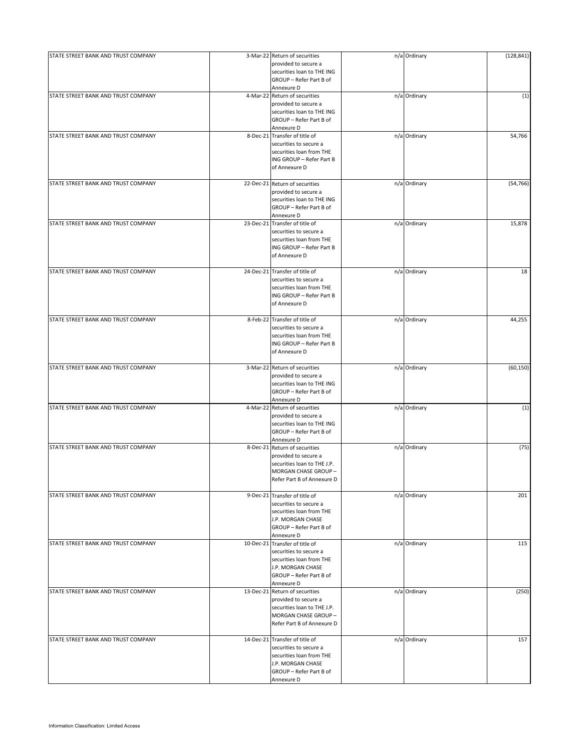| STATE STREET BANK AND TRUST COMPANY | 3-Mar-22 Return of securities<br>provided to secure a<br>securities loan to THE ING                                                                | n/a Ordinary | (128, 841) |
|-------------------------------------|----------------------------------------------------------------------------------------------------------------------------------------------------|--------------|------------|
|                                     | GROUP - Refer Part B of<br>Annexure D                                                                                                              |              |            |
| STATE STREET BANK AND TRUST COMPANY | 4-Mar-22 Return of securities<br>provided to secure a<br>securities loan to THE ING<br>GROUP - Refer Part B of                                     | n/a Ordinary | (1)        |
| STATE STREET BANK AND TRUST COMPANY | Annexure D<br>8-Dec-21 Transfer of title of                                                                                                        | n/a Ordinary | 54,766     |
|                                     | securities to secure a<br>securities loan from THE<br>ING GROUP - Refer Part B<br>of Annexure D                                                    |              |            |
| STATE STREET BANK AND TRUST COMPANY | 22-Dec-21 Return of securities<br>provided to secure a<br>securities loan to THE ING<br>GROUP - Refer Part B of<br>Annexure D                      | n/a Ordinary | (54, 766)  |
| STATE STREET BANK AND TRUST COMPANY | 23-Dec-21 Transfer of title of<br>securities to secure a<br>securities loan from THE<br>ING GROUP - Refer Part B<br>of Annexure D                  | n/a Ordinary | 15,878     |
| STATE STREET BANK AND TRUST COMPANY | 24-Dec-21 Transfer of title of<br>securities to secure a<br>securities loan from THE<br>ING GROUP - Refer Part B<br>of Annexure D                  | n/a Ordinary | 18         |
| STATE STREET BANK AND TRUST COMPANY | 8-Feb-22 Transfer of title of<br>securities to secure a<br>securities loan from THE<br>ING GROUP - Refer Part B<br>of Annexure D                   | n/a Ordinary | 44,255     |
| STATE STREET BANK AND TRUST COMPANY | 3-Mar-22 Return of securities<br>provided to secure a<br>securities loan to THE ING<br>GROUP - Refer Part B of<br>Annexure D                       | n/a Ordinary | (60, 150)  |
| STATE STREET BANK AND TRUST COMPANY | 4-Mar-22 Return of securities<br>provided to secure a<br>securities loan to THE ING<br>GROUP - Refer Part B of<br>Annexure D                       | n/a Ordinary | (1)        |
| STATE STREET BANK AND TRUST COMPANY | 8-Dec-21 Return of securities<br>provided to secure a<br>securities loan to THE J.P.<br>MORGAN CHASE GROUP -<br>Refer Part B of Annexure D         | n/a Ordinary | (75)       |
| STATE STREET BANK AND TRUST COMPANY | 9-Dec-21 Transfer of title of<br>securities to secure a<br>securities loan from THE<br>J.P. MORGAN CHASE<br>GROUP - Refer Part B of<br>Annexure D  | n/a Ordinary | 201        |
| STATE STREET BANK AND TRUST COMPANY | 10-Dec-21 Transfer of title of<br>securities to secure a<br>securities loan from THE<br>J.P. MORGAN CHASE<br>GROUP - Refer Part B of<br>Annexure D | n/a Ordinary | 115        |
| STATE STREET BANK AND TRUST COMPANY | 13-Dec-21 Return of securities<br>provided to secure a<br>securities loan to THE J.P.<br>MORGAN CHASE GROUP-<br>Refer Part B of Annexure D         | n/a Ordinary | (250)      |
| STATE STREET BANK AND TRUST COMPANY | 14-Dec-21 Transfer of title of<br>securities to secure a<br>securities loan from THE<br>J.P. MORGAN CHASE<br>GROUP - Refer Part B of<br>Annexure D | n/a Ordinary | 157        |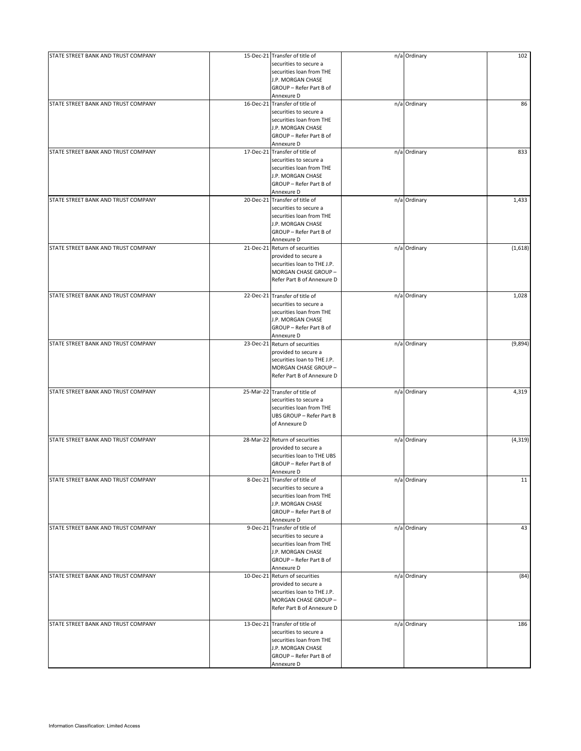| STATE STREET BANK AND TRUST COMPANY | 15-Dec-21 Transfer of title of<br>securities to secure a<br>securities loan from THE<br>J.P. MORGAN CHASE<br>GROUP - Refer Part B of                             | n/a Ordinary | 102      |
|-------------------------------------|------------------------------------------------------------------------------------------------------------------------------------------------------------------|--------------|----------|
| STATE STREET BANK AND TRUST COMPANY | Annexure D<br>16-Dec-21 Transfer of title of<br>securities to secure a<br>securities loan from THE<br>J.P. MORGAN CHASE<br>GROUP - Refer Part B of<br>Annexure D | n/a Ordinary | 86       |
| STATE STREET BANK AND TRUST COMPANY | 17-Dec-21 Transfer of title of<br>securities to secure a<br>securities loan from THE<br>J.P. MORGAN CHASE<br>GROUP - Refer Part B of<br>Annexure D               | n/a Ordinary | 833      |
| STATE STREET BANK AND TRUST COMPANY | 20-Dec-21 Transfer of title of<br>securities to secure a<br>securities loan from THE<br>J.P. MORGAN CHASE<br>GROUP - Refer Part B of<br>Annexure D               | n/a Ordinary | 1,433    |
| STATE STREET BANK AND TRUST COMPANY | 21-Dec-21 Return of securities<br>provided to secure a<br>securities loan to THE J.P.<br>MORGAN CHASE GROUP -<br>Refer Part B of Annexure D                      | n/a Ordinary | (1,618)  |
| STATE STREET BANK AND TRUST COMPANY | 22-Dec-21 Transfer of title of<br>securities to secure a<br>securities loan from THE<br>J.P. MORGAN CHASE<br>GROUP - Refer Part B of<br>Annexure D               | n/a Ordinary | 1,028    |
| STATE STREET BANK AND TRUST COMPANY | 23-Dec-21 Return of securities<br>provided to secure a<br>securities loan to THE J.P.<br>MORGAN CHASE GROUP -<br>Refer Part B of Annexure D                      | n/a Ordinary | (9,894)  |
| STATE STREET BANK AND TRUST COMPANY | 25-Mar-22 Transfer of title of<br>securities to secure a<br>securities loan from THE<br>UBS GROUP - Refer Part B<br>of Annexure D                                | n/a Ordinary | 4,319    |
| STATE STREET BANK AND TRUST COMPANY | 28-Mar-22 Return of securities<br>provided to secure a<br>securities loan to THE UBS<br>GROUP - Refer Part B of<br>Annexure D                                    | n/a Ordinary | (4, 319) |
| STATE STREET BANK AND TRUST COMPANY | 8-Dec-21 Transfer of title of<br>securities to secure a<br>securities loan from THE<br>J.P. MORGAN CHASE<br>GROUP - Refer Part B of<br>Annexure D                | n/a Ordinary | 11       |
| STATE STREET BANK AND TRUST COMPANY | 9-Dec-21 Transfer of title of<br>securities to secure a<br>securities loan from THE<br>J.P. MORGAN CHASE<br>GROUP - Refer Part B of<br>Annexure D                | n/a Ordinary | 43       |
| STATE STREET BANK AND TRUST COMPANY | 10-Dec-21 Return of securities<br>provided to secure a<br>securities loan to THE J.P.<br>MORGAN CHASE GROUP -<br>Refer Part B of Annexure D                      | n/a Ordinary | (84)     |
| STATE STREET BANK AND TRUST COMPANY | 13-Dec-21 Transfer of title of<br>securities to secure a<br>securities loan from THE<br>J.P. MORGAN CHASE<br>GROUP - Refer Part B of<br>Annexure D               | n/a Ordinary | 186      |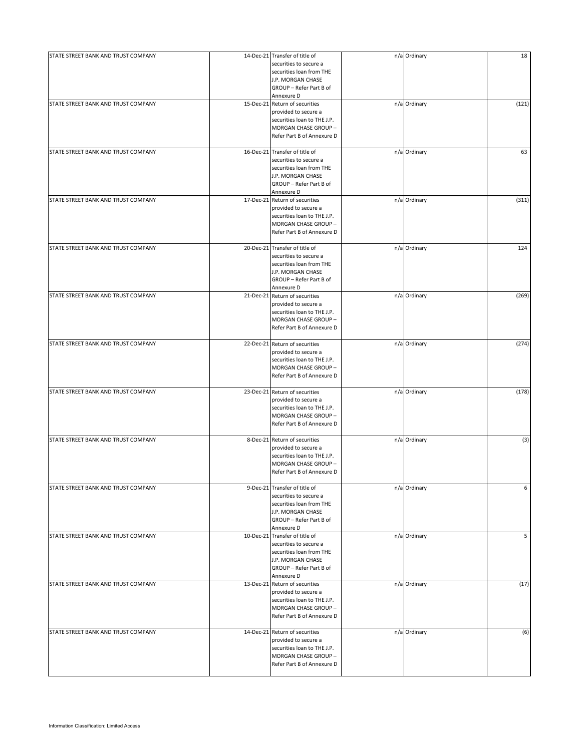| STATE STREET BANK AND TRUST COMPANY | 14-Dec-21 Transfer of title of<br>securities to secure a                                                                                           | n/a Ordinary | 18    |
|-------------------------------------|----------------------------------------------------------------------------------------------------------------------------------------------------|--------------|-------|
|                                     | securities loan from THE<br>J.P. MORGAN CHASE<br>GROUP - Refer Part B of<br>Annexure D                                                             |              |       |
| STATE STREET BANK AND TRUST COMPANY | 15-Dec-21 Return of securities<br>provided to secure a<br>securities loan to THE J.P.<br>MORGAN CHASE GROUP-<br>Refer Part B of Annexure D         | n/a Ordinary | (121) |
| STATE STREET BANK AND TRUST COMPANY | 16-Dec-21 Transfer of title of<br>securities to secure a<br>securities loan from THE<br>J.P. MORGAN CHASE<br>GROUP - Refer Part B of<br>Annexure D | n/a Ordinary | 63    |
| STATE STREET BANK AND TRUST COMPANY | 17-Dec-21 Return of securities<br>provided to secure a<br>securities loan to THE J.P.<br>MORGAN CHASE GROUP-<br>Refer Part B of Annexure D         | n/a Ordinary | (311) |
| STATE STREET BANK AND TRUST COMPANY | 20-Dec-21 Transfer of title of<br>securities to secure a<br>securities loan from THE<br>J.P. MORGAN CHASE<br>GROUP - Refer Part B of<br>Annexure D | n/a Ordinary | 124   |
| STATE STREET BANK AND TRUST COMPANY | 21-Dec-21 Return of securities<br>provided to secure a<br>securities loan to THE J.P.<br>MORGAN CHASE GROUP -<br>Refer Part B of Annexure D        | n/a Ordinary | (269) |
| STATE STREET BANK AND TRUST COMPANY | 22-Dec-21 Return of securities<br>provided to secure a<br>securities loan to THE J.P.<br>MORGAN CHASE GROUP -<br>Refer Part B of Annexure D        | n/a Ordinary | (274) |
| STATE STREET BANK AND TRUST COMPANY | 23-Dec-21 Return of securities<br>provided to secure a<br>securities loan to THE J.P.<br>MORGAN CHASE GROUP -<br>Refer Part B of Annexure D        | n/a Ordinary | (178) |
| STATE STREET BANK AND TRUST COMPANY | 8-Dec-21 Return of securities<br>provided to secure a<br>securities loan to THE J.P.<br>MORGAN CHASE GROUP -<br>Refer Part B of Annexure D         | n/a Ordinary | (3)   |
| STATE STREET BANK AND TRUST COMPANY | 9-Dec-21 Transfer of title of<br>securities to secure a<br>securities loan from THE<br>J.P. MORGAN CHASE<br>GROUP - Refer Part B of<br>Annexure D  | n/a Ordinary | 6     |
| STATE STREET BANK AND TRUST COMPANY | 10-Dec-21 Transfer of title of<br>securities to secure a<br>securities loan from THE<br>J.P. MORGAN CHASE<br>GROUP - Refer Part B of<br>Annexure D | n/a Ordinary | 5     |
| STATE STREET BANK AND TRUST COMPANY | 13-Dec-21 Return of securities<br>provided to secure a<br>securities loan to THE J.P.<br>MORGAN CHASE GROUP -<br>Refer Part B of Annexure D        | n/a Ordinary | (17)  |
| STATE STREET BANK AND TRUST COMPANY | 14-Dec-21 Return of securities<br>provided to secure a<br>securities loan to THE J.P.<br>MORGAN CHASE GROUP-<br>Refer Part B of Annexure D         | n/a Ordinary | (6)   |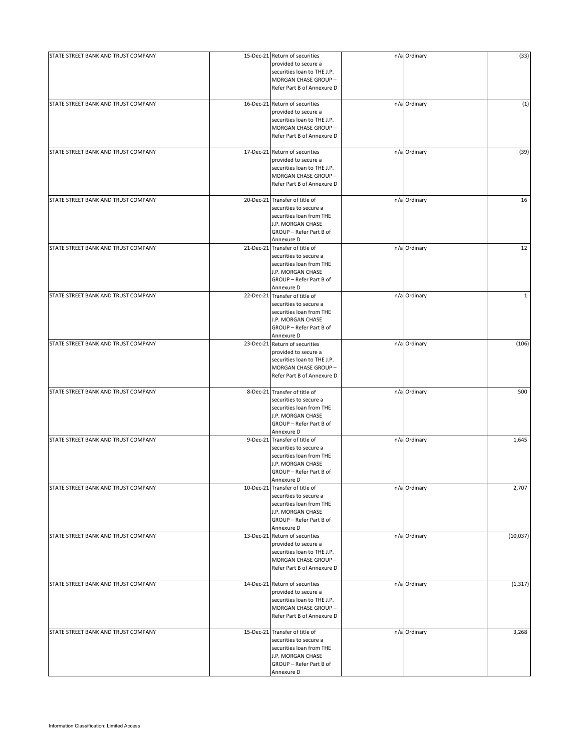| STATE STREET BANK AND TRUST COMPANY | 15-Dec-21 Return of securities<br>provided to secure a<br>securities loan to THE J.P.<br>MORGAN CHASE GROUP -<br>Refer Part B of Annexure D        | n/a Ordinary | (33)         |
|-------------------------------------|----------------------------------------------------------------------------------------------------------------------------------------------------|--------------|--------------|
| STATE STREET BANK AND TRUST COMPANY | 16-Dec-21 Return of securities<br>provided to secure a<br>securities loan to THE J.P.<br>MORGAN CHASE GROUP-<br>Refer Part B of Annexure D         | n/a Ordinary | (1)          |
| STATE STREET BANK AND TRUST COMPANY | 17-Dec-21 Return of securities<br>provided to secure a<br>securities loan to THE J.P.<br>MORGAN CHASE GROUP -<br>Refer Part B of Annexure D        | n/a Ordinary | (39)         |
| STATE STREET BANK AND TRUST COMPANY | 20-Dec-21 Transfer of title of<br>securities to secure a<br>securities loan from THE<br>J.P. MORGAN CHASE<br>GROUP - Refer Part B of<br>Annexure D | n/a Ordinary | 16           |
| STATE STREET BANK AND TRUST COMPANY | 21-Dec-21 Transfer of title of<br>securities to secure a<br>securities loan from THE<br>J.P. MORGAN CHASE<br>GROUP - Refer Part B of<br>Annexure D | n/a Ordinary | 12           |
| STATE STREET BANK AND TRUST COMPANY | 22-Dec-21 Transfer of title of<br>securities to secure a<br>securities loan from THE<br>J.P. MORGAN CHASE<br>GROUP - Refer Part B of<br>Annexure D | n/a Ordinary | $\mathbf{1}$ |
| STATE STREET BANK AND TRUST COMPANY | 23-Dec-21 Return of securities<br>provided to secure a<br>securities loan to THE J.P.<br>MORGAN CHASE GROUP -<br>Refer Part B of Annexure D        | n/a Ordinary | (106)        |
| STATE STREET BANK AND TRUST COMPANY | 8-Dec-21 Transfer of title of<br>securities to secure a<br>securities loan from THE<br>J.P. MORGAN CHASE<br>GROUP - Refer Part B of<br>Annexure D  | n/a Ordinary | 500          |
| STATE STREET BANK AND TRUST COMPANY | 9-Dec-21 Transfer of title of<br>securities to secure a<br>securities loan from THE<br>J.P. MORGAN CHASE<br>GROUP - Refer Part B of<br>Annexure D  | n/a Ordinary | 1,645        |
| STATE STREET BANK AND TRUST COMPANY | 10-Dec-21 Transfer of title of<br>securities to secure a<br>securities loan from THE<br>J.P. MORGAN CHASE<br>GROUP - Refer Part B of<br>Annexure D | n/a Ordinary | 2,707        |
| STATE STREET BANK AND TRUST COMPANY | 13-Dec-21 Return of securities<br>provided to secure a<br>securities loan to THE J.P.<br>MORGAN CHASE GROUP -<br>Refer Part B of Annexure D        | n/a Ordinary | (10,037)     |
| STATE STREET BANK AND TRUST COMPANY | 14-Dec-21 Return of securities<br>provided to secure a<br>securities loan to THE J.P.<br>MORGAN CHASE GROUP -<br>Refer Part B of Annexure D        | n/a Ordinary | (1, 317)     |
| STATE STREET BANK AND TRUST COMPANY | 15-Dec-21 Transfer of title of<br>securities to secure a<br>securities loan from THE<br>J.P. MORGAN CHASE<br>GROUP - Refer Part B of<br>Annexure D | n/a Ordinary | 3,268        |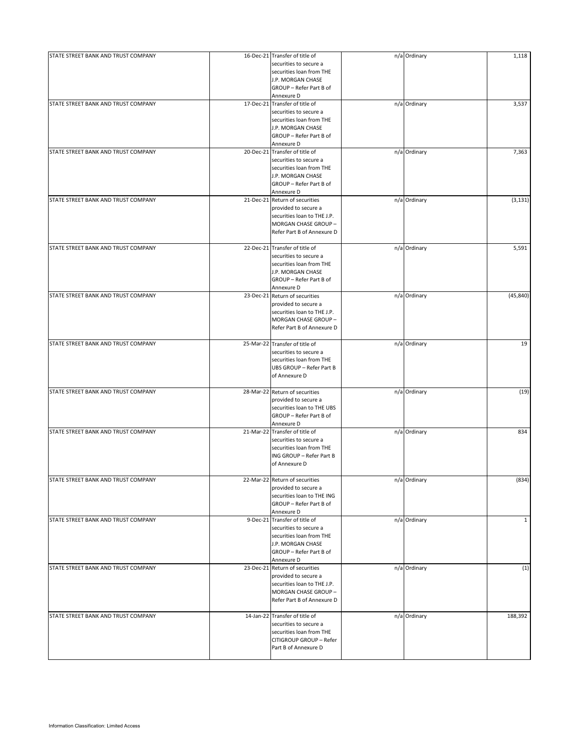| STATE STREET BANK AND TRUST COMPANY | 16-Dec-21 Transfer of title of                | n/a Ordinary | 1,118        |
|-------------------------------------|-----------------------------------------------|--------------|--------------|
|                                     |                                               |              |              |
|                                     | securities to secure a                        |              |              |
|                                     | securities loan from THE<br>J.P. MORGAN CHASE |              |              |
|                                     |                                               |              |              |
|                                     | GROUP - Refer Part B of<br>Annexure D         |              |              |
| STATE STREET BANK AND TRUST COMPANY | 17-Dec-21 Transfer of title of                | n/a Ordinary | 3,537        |
|                                     | securities to secure a                        |              |              |
|                                     |                                               |              |              |
|                                     | securities loan from THE                      |              |              |
|                                     | J.P. MORGAN CHASE                             |              |              |
|                                     | GROUP - Refer Part B of                       |              |              |
|                                     | Annexure D                                    |              |              |
| STATE STREET BANK AND TRUST COMPANY | 20-Dec-21 Transfer of title of                | n/a Ordinary | 7,363        |
|                                     | securities to secure a                        |              |              |
|                                     | securities loan from THE                      |              |              |
|                                     | J.P. MORGAN CHASE                             |              |              |
|                                     | GROUP - Refer Part B of                       |              |              |
|                                     | Annexure D                                    |              |              |
| STATE STREET BANK AND TRUST COMPANY | 21-Dec-21 Return of securities                | n/a Ordinary | (3, 131)     |
|                                     | provided to secure a                          |              |              |
|                                     | securities loan to THE J.P.                   |              |              |
|                                     | MORGAN CHASE GROUP -                          |              |              |
|                                     | Refer Part B of Annexure D                    |              |              |
|                                     |                                               |              |              |
| STATE STREET BANK AND TRUST COMPANY | 22-Dec-21 Transfer of title of                | n/a Ordinary | 5,591        |
|                                     | securities to secure a                        |              |              |
|                                     | securities loan from THE                      |              |              |
|                                     | J.P. MORGAN CHASE                             |              |              |
|                                     | GROUP - Refer Part B of                       |              |              |
|                                     | Annexure D                                    |              |              |
| STATE STREET BANK AND TRUST COMPANY | 23-Dec-21 Return of securities                | n/a Ordinary | (45, 840)    |
|                                     | provided to secure a                          |              |              |
|                                     |                                               |              |              |
|                                     | securities loan to THE J.P.                   |              |              |
|                                     | MORGAN CHASE GROUP -                          |              |              |
|                                     | Refer Part B of Annexure D                    |              |              |
|                                     |                                               |              |              |
| STATE STREET BANK AND TRUST COMPANY | 25-Mar-22 Transfer of title of                | n/a Ordinary | 19           |
|                                     | securities to secure a                        |              |              |
|                                     | securities loan from THE                      |              |              |
|                                     | UBS GROUP - Refer Part B                      |              |              |
|                                     | of Annexure D                                 |              |              |
|                                     |                                               |              |              |
| STATE STREET BANK AND TRUST COMPANY | 28-Mar-22 Return of securities                | n/a Ordinary | (19)         |
|                                     | provided to secure a                          |              |              |
|                                     | securities loan to THE UBS                    |              |              |
|                                     | GROUP - Refer Part B of                       |              |              |
|                                     | Annexure D                                    |              |              |
| STATE STREET BANK AND TRUST COMPANY | 21-Mar-22 Transfer of title of                | n/a Ordinary | 834          |
|                                     | securities to secure a                        |              |              |
|                                     | securities loan from THE                      |              |              |
|                                     | ING GROUP - Refer Part B                      |              |              |
|                                     | of Annexure D                                 |              |              |
|                                     |                                               |              |              |
| STATE STREET BANK AND TRUST COMPANY | 22-Mar-22 Return of securities                | n/a Ordinary | (834)        |
|                                     | provided to secure a                          |              |              |
|                                     | securities loan to THE ING                    |              |              |
|                                     | GROUP - Refer Part B of                       |              |              |
|                                     |                                               |              |              |
|                                     | Annexure D                                    |              |              |
| STATE STREET BANK AND TRUST COMPANY | 9-Dec-21 Transfer of title of                 | n/a Ordinary | $\mathbf{1}$ |
|                                     | securities to secure a                        |              |              |
|                                     | securities loan from THE                      |              |              |
|                                     | J.P. MORGAN CHASE                             |              |              |
|                                     | GROUP - Refer Part B of                       |              |              |
|                                     | Annexure D                                    |              |              |
| STATE STREET BANK AND TRUST COMPANY | 23-Dec-21 Return of securities                | n/a Ordinary | (1)          |
|                                     | provided to secure a                          |              |              |
|                                     | securities loan to THE J.P.                   |              |              |
|                                     | MORGAN CHASE GROUP -                          |              |              |
|                                     | Refer Part B of Annexure D                    |              |              |
|                                     |                                               |              |              |
| STATE STREET BANK AND TRUST COMPANY | 14-Jan-22 Transfer of title of                | n/a Ordinary | 188,392      |
|                                     | securities to secure a                        |              |              |
|                                     | securities loan from THE                      |              |              |
|                                     | CITIGROUP GROUP - Refer                       |              |              |
|                                     | Part B of Annexure D                          |              |              |
|                                     |                                               |              |              |
|                                     |                                               |              |              |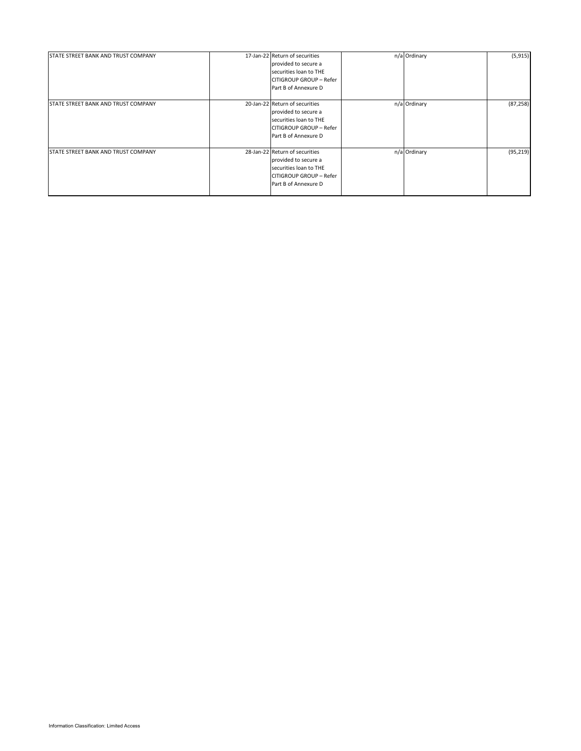| STATE STREET BANK AND TRUST COMPANY        | 17-Jan-22 Return of securities<br>provided to secure a<br>securities loan to THE<br>CITIGROUP GROUP - Refer<br>Part B of Annexure D | n/a Ordinary | (5, 915)  |
|--------------------------------------------|-------------------------------------------------------------------------------------------------------------------------------------|--------------|-----------|
| STATE STREET BANK AND TRUST COMPANY        | 20-Jan-22 Return of securities<br>provided to secure a<br>securities loan to THE<br>CITIGROUP GROUP - Refer<br>Part B of Annexure D | n/a Ordinary | (87, 258) |
| <b>STATE STREET BANK AND TRUST COMPANY</b> | 28-Jan-22 Return of securities<br>provided to secure a<br>securities loan to THE<br>CITIGROUP GROUP - Refer<br>Part B of Annexure D | n/a Ordinary | (95, 219) |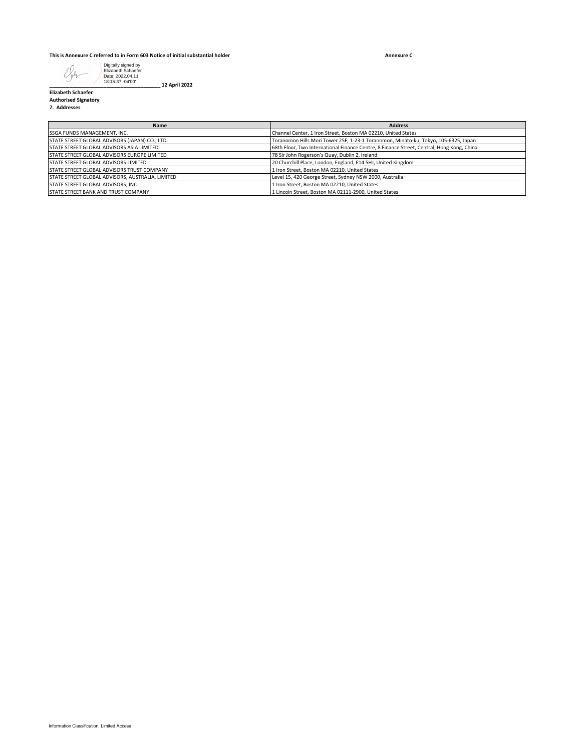### **This is Annexure C referred to in Form 603 Notice of initial substantial holder**

**Annexure C**



**Elizabeth Schaefer Authorised Signatory**

**7. Addresses**

| <b>Name</b>                                        | <b>Address</b>                                                                            |
|----------------------------------------------------|-------------------------------------------------------------------------------------------|
| SSGA FUNDS MANAGEMENT, INC.                        | Channel Center, 1 Iron Street, Boston MA 02210, United States                             |
| STATE STREET GLOBAL ADVISORS (JAPAN) CO., LTD.     | Toranomon Hills Mori Tower 25F, 1-23-1 Toranomon, Minato-ku, Tokyo, 105-6325, Japan       |
| <b>STATE STREET GLOBAL ADVISORS ASIA LIMITED</b>   | 68th Floor, Two International Finance Centre, 8 Finance Street, Central, Hong Kong, China |
| <b>STATE STREET GLOBAL ADVISORS EUROPE LIMITED</b> | 78 Sir John Rogerson's Quay, Dublin 2, Ireland                                            |
| <b>STATE STREET GLOBAL ADVISORS LIMITED</b>        | 20 Churchill Place, London, England, E14 5HJ, United Kingdom                              |
| <b>STATE STREET GLOBAL ADVISORS TRUST COMPANY</b>  | 1 Iron Street, Boston MA 02210, United States                                             |
| STATE STREET GLOBAL ADVISORS, AUSTRALIA, LIMITED   | Level 15, 420 George Street, Sydney NSW 2000, Australia                                   |
| STATE STREET GLOBAL ADVISORS, INC.                 | 1 Iron Street, Boston MA 02210, United States                                             |
| <b>ISTATE STREET BANK AND TRUST COMPANY</b>        | 1 Lincoln Street. Boston MA 02111-2900. United States                                     |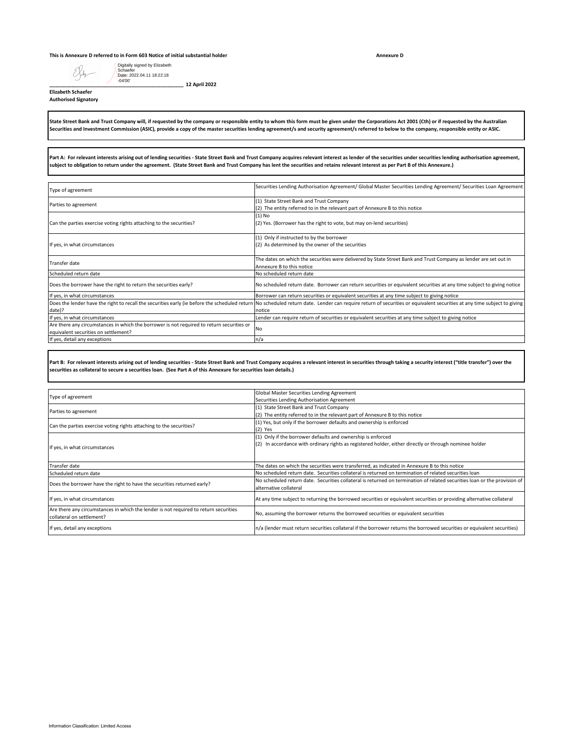### **This is Annexure D referred to in Form 603 Notice of initial substantial holder**

Eler

Digitally signed by Elizabeth Schaefer Date: 2022.04.11 18:22:18 -04'00'

**\_\_\_\_\_\_\_\_\_\_\_\_\_\_\_\_\_\_\_\_\_\_\_\_\_\_\_\_\_\_\_\_\_\_\_\_\_\_\_\_\_\_\_\_\_\_\_\_\_ 12 April 2022**

**Elizabeth Schaefer Authorised Signatory**

**State Street Bank and Trust Company will, if requested by the company or responsible entity to whom this form must be given under the Corporations Act 2001 (Cth) or if requested by the Australian Securities and Investment Commission (ASIC), provide a copy of the master securities lending agreement/s and security agreement/s referred to below to the company, responsible entity or ASIC.**

**Part A: For relevant interests arising out of lending securities - State Street Bank and Trust Company acquires relevant interest as lender of the securities under securities lending authorisation agreement, subject to obligation to return under the agreement. (State Street Bank and Trust Company has lent the securities and retains relevant interest as per Part B of this Annexure.)**

| Type of agreement                                                                         | Securities Lending Authorisation Agreement/ Global Master Securities Lending Agreement/ Securities Loan Agreement                                                                                                      |
|-------------------------------------------------------------------------------------------|------------------------------------------------------------------------------------------------------------------------------------------------------------------------------------------------------------------------|
|                                                                                           | (1) State Street Bank and Trust Company                                                                                                                                                                                |
| Parties to agreement                                                                      | (2) The entity referred to in the relevant part of Annexure B to this notice                                                                                                                                           |
|                                                                                           | $(1)$ No                                                                                                                                                                                                               |
| Can the parties exercise voting rights attaching to the securities?                       | (2) Yes. (Borrower has the right to vote, but may on-lend securities)                                                                                                                                                  |
|                                                                                           | (1) Only if instructed to by the borrower                                                                                                                                                                              |
| If yes, in what circumstances                                                             | (2) As determined by the owner of the securities                                                                                                                                                                       |
|                                                                                           |                                                                                                                                                                                                                        |
|                                                                                           | The dates on which the securities were delivered by State Street Bank and Trust Company as lender are set out in                                                                                                       |
| <b>Transfer date</b>                                                                      | Annexure B to this notice                                                                                                                                                                                              |
| Scheduled return date                                                                     | No scheduled return date                                                                                                                                                                                               |
| Does the borrower have the right to return the securities early?                          | No scheduled return date. Borrower can return securities or equivalent securities at any time subject to giving notice                                                                                                 |
| If yes, in what circumstances                                                             | Borrower can return securities or equivalent securities at any time subject to giving notice                                                                                                                           |
|                                                                                           | Does the lender have the right to recall the securities early (ie before the scheduled return No scheduled return date. Lender can require return of securities or equivalent securities at any time subject to giving |
| date)?                                                                                    | notice                                                                                                                                                                                                                 |
| If yes, in what circumstances                                                             | Lender can require return of securities or equivalent securities at any time subject to giving notice                                                                                                                  |
| Are there any circumstances in which the borrower is not required to return securities or | <b>No</b>                                                                                                                                                                                                              |
| equivalent securities on settlement?                                                      |                                                                                                                                                                                                                        |
| If yes, detail any exceptions                                                             | n/a                                                                                                                                                                                                                    |

Part B: For relevant interests arising out of lending securities - State Street Bank and Trust Company acquires a relevant interest in securities through taking a security interest ("title transfer") over the **securities as collateral to secure a securities loan. (See Part A of this Annexure for securities loan details.)**

| Type of agreement                                                                    | Global Master Securities Lending Agreement                                                                                |
|--------------------------------------------------------------------------------------|---------------------------------------------------------------------------------------------------------------------------|
|                                                                                      | Securities Lending Authorisation Agreement                                                                                |
| Parties to agreement                                                                 | (1) State Street Bank and Trust Company                                                                                   |
|                                                                                      | (2) The entity referred to in the relevant part of Annexure B to this notice                                              |
| Can the parties exercise voting rights attaching to the securities?                  | (1) Yes, but only if the borrower defaults and ownership is enforced                                                      |
|                                                                                      | $(2)$ Yes                                                                                                                 |
|                                                                                      | (1) Only if the borrower defaults and ownership is enforced                                                               |
| If yes, in what circumstances                                                        | (2) In accordance with ordinary rights as registered holder, either directly or through nominee holder                    |
|                                                                                      |                                                                                                                           |
|                                                                                      |                                                                                                                           |
| Transfer date                                                                        | The dates on which the securities were transferred, as indicated in Annexure B to this notice                             |
| Scheduled return date                                                                | No scheduled return date. Securities collateral is returned on termination of related securities loan                     |
| Does the borrower have the right to have the securities returned early?              | No scheduled return date. Securities collateral is returned on termination of related securities loan or the provision of |
|                                                                                      | alternative collateral                                                                                                    |
| If yes, in what circumstances                                                        | At any time subject to returning the borrowed securities or equivalent securities or providing alternative collateral     |
|                                                                                      |                                                                                                                           |
| Are there any circumstances in which the lender is not required to return securities | No, assuming the borrower returns the borrowed securities or equivalent securities                                        |
| collateral on settlement?                                                            |                                                                                                                           |
|                                                                                      |                                                                                                                           |
| If yes, detail any exceptions                                                        | n/a (lender must return securities collateral if the borrower returns the borrowed securities or equivalent securities)   |

**Annexure D**